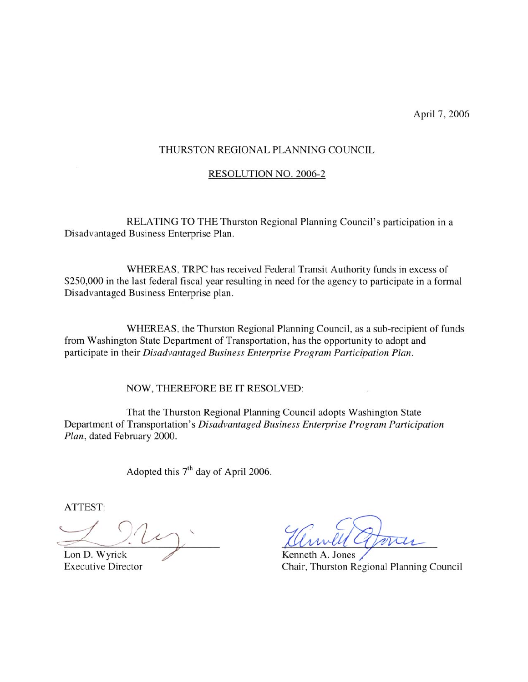April 7, 2006

#### THURSTON REGIONAL PLANNING COUNCIL

#### **RESOLUTION NO. 2006-2**

RELATING TO THE Thurston Regional Planning Council's participation in a Disadvantaged Business Enterprise Plan.

WHEREAS, TRPC has received Federal Transit Authority funds in excess of \$250,000 in the last federal fiscal year resulting in need for the agency to participate in a formal Disadvantaged Business Enterprise plan.

WHEREAS, the Thurston Regional Planning Council, as a sub-recipient of funds from Washington State Department of Transportation, has the opportunity to adopt and participate in their Disadvantaged Business Enterprise Program Participation Plan.

NOW, THEREFORE BE IT RESOLVED:

That the Thurston Regional Planning Council adopts Washington State Department of Transportation's Disadvantaged Business Enterprise Program Participation Plan, dated February 2000.

Adopted this 7<sup>th</sup> day of April 2006.

ATTEST:

Lon D. Wyrick **Executive Director** 

 $\lambda$ 

Kenneth A. Jones Chair, Thurston Regional Planning Council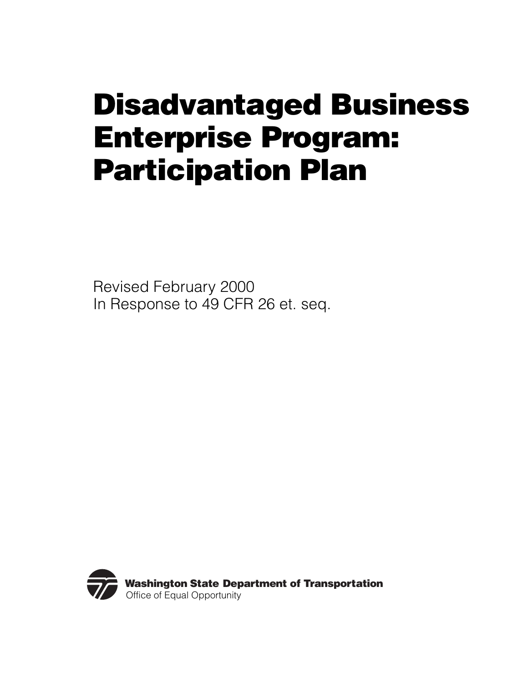# **Disadvantaged Business Enterprise Program: Participation Plan**

Revised February 2000 In Response to 49 CFR 26 et. seq.

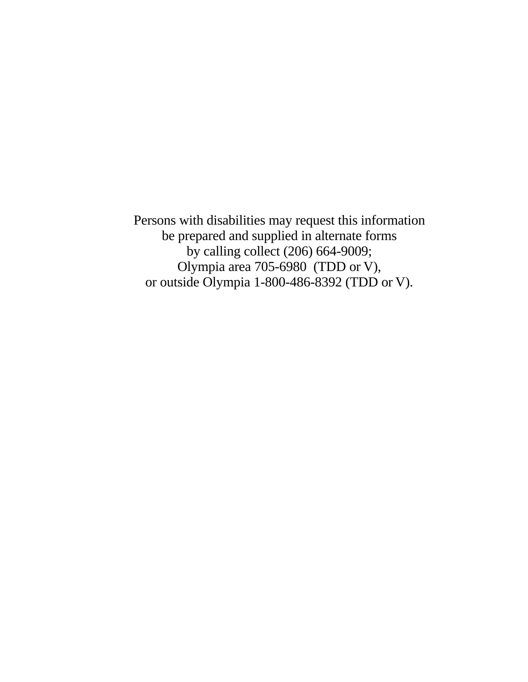Persons with disabilities may request this information be prepared and supplied in alternate forms by calling collect (206) 664-9009; Olympia area 705-6980 (TDD or V), or outside Olympia 1-800-486-8392 (TDD or V).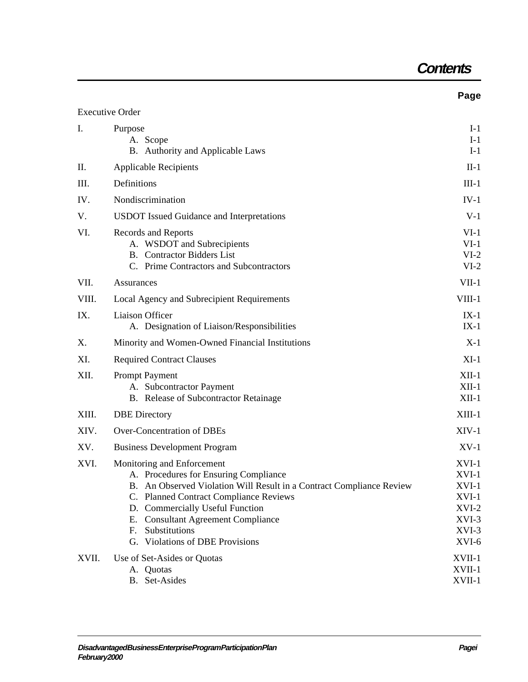## **Contents**

**Page**

|       | <b>Executive Order</b>                                                                                                                                                                                                                                                                                                             |                                                                                  |  |  |
|-------|------------------------------------------------------------------------------------------------------------------------------------------------------------------------------------------------------------------------------------------------------------------------------------------------------------------------------------|----------------------------------------------------------------------------------|--|--|
| Ι.    | Purpose<br>A. Scope<br>B. Authority and Applicable Laws                                                                                                                                                                                                                                                                            | $I-1$<br>$I-1$<br>$I-1$                                                          |  |  |
| Π.    | <b>Applicable Recipients</b>                                                                                                                                                                                                                                                                                                       |                                                                                  |  |  |
| III.  | Definitions                                                                                                                                                                                                                                                                                                                        |                                                                                  |  |  |
| IV.   | Nondiscrimination                                                                                                                                                                                                                                                                                                                  |                                                                                  |  |  |
| V.    | <b>USDOT</b> Issued Guidance and Interpretations                                                                                                                                                                                                                                                                                   |                                                                                  |  |  |
| VI.   | Records and Reports<br>A. WSDOT and Subrecipients<br><b>B.</b> Contractor Bidders List<br>C. Prime Contractors and Subcontractors                                                                                                                                                                                                  | $VI-1$<br>$VI-1$<br>$VI-2$<br>$VI-2$                                             |  |  |
| VII.  | Assurances                                                                                                                                                                                                                                                                                                                         |                                                                                  |  |  |
| VIII. | Local Agency and Subrecipient Requirements                                                                                                                                                                                                                                                                                         | VIII-1                                                                           |  |  |
| IX.   | Liaison Officer<br>A. Designation of Liaison/Responsibilities                                                                                                                                                                                                                                                                      | $IX-1$<br>$IX-1$                                                                 |  |  |
| Χ.    | Minority and Women-Owned Financial Institutions                                                                                                                                                                                                                                                                                    | $X-1$                                                                            |  |  |
| XI.   | <b>Required Contract Clauses</b>                                                                                                                                                                                                                                                                                                   | $XI-1$                                                                           |  |  |
| XII.  | <b>Prompt Payment</b><br>A. Subcontractor Payment<br>B. Release of Subcontractor Retainage                                                                                                                                                                                                                                         | $XII-1$<br>$XII-1$<br>$XII-1$                                                    |  |  |
| XIII. | <b>DBE</b> Directory                                                                                                                                                                                                                                                                                                               |                                                                                  |  |  |
| XIV.  | <b>Over-Concentration of DBEs</b>                                                                                                                                                                                                                                                                                                  | $XIV-1$                                                                          |  |  |
| XV.   | <b>Business Development Program</b>                                                                                                                                                                                                                                                                                                | $XV-1$                                                                           |  |  |
| XVI.  | Monitoring and Enforcement<br>A. Procedures for Ensuring Compliance<br>B. An Observed Violation Will Result in a Contract Compliance Review<br>C. Planned Contract Compliance Reviews<br>D. Commercially Useful Function<br><b>Consultant Agreement Compliance</b><br>Е.<br>Substitutions<br>F.<br>G. Violations of DBE Provisions | $XVI-1$<br>$XVI-1$<br>$XVI-1$<br>XVI-1<br>$XVI-2$<br>$XVI-3$<br>$XVI-3$<br>XVI-6 |  |  |
| XVII. | Use of Set-Asides or Quotas<br>A. Quotas<br>B. Set-Asides                                                                                                                                                                                                                                                                          | XVII-1<br>XVII-1<br>XVII-1                                                       |  |  |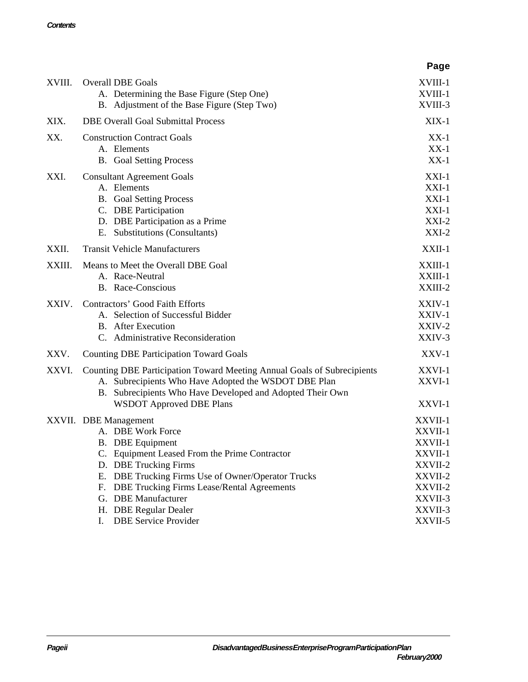|        |                                                                                                                                                                                                                                                                                            | Page                                                                                 |  |  |
|--------|--------------------------------------------------------------------------------------------------------------------------------------------------------------------------------------------------------------------------------------------------------------------------------------------|--------------------------------------------------------------------------------------|--|--|
| XVIII. | <b>Overall DBE Goals</b><br>A. Determining the Base Figure (Step One)<br>B. Adjustment of the Base Figure (Step Two)                                                                                                                                                                       | XVIII-1<br>XVIII-1<br>XVIII-3                                                        |  |  |
| XIX.   | <b>DBE Overall Goal Submittal Process</b>                                                                                                                                                                                                                                                  |                                                                                      |  |  |
| XX.    | <b>Construction Contract Goals</b><br>A. Elements<br><b>B.</b> Goal Setting Process                                                                                                                                                                                                        |                                                                                      |  |  |
| XXI.   | <b>Consultant Agreement Goals</b><br>A. Elements<br><b>B.</b> Goal Setting Process<br>C. DBE Participation<br>D. DBE Participation as a Prime<br>E. Substitutions (Consultants)                                                                                                            | $XXI-1$<br>$XXI-1$<br>$XXI-1$<br>$XXI-1$<br>$XXI-2$<br>$XXI-2$                       |  |  |
| XXII.  | <b>Transit Vehicle Manufacturers</b>                                                                                                                                                                                                                                                       | XXII-1                                                                               |  |  |
| XXIII. | Means to Meet the Overall DBE Goal<br>A. Race-Neutral<br><b>B.</b> Race-Conscious                                                                                                                                                                                                          | XXIII-1<br>XXIII-1<br>XXIII-2                                                        |  |  |
| XXIV.  | <b>Contractors' Good Faith Efforts</b><br>A. Selection of Successful Bidder<br><b>B.</b> After Execution<br>C. Administrative Reconsideration                                                                                                                                              | XXIV-1<br>XXIV-1<br>XXIV-2<br>XXIV-3                                                 |  |  |
| XXV.   | <b>Counting DBE Participation Toward Goals</b>                                                                                                                                                                                                                                             | XXV-1                                                                                |  |  |
| XXVI.  | Counting DBE Participation Toward Meeting Annual Goals of Subrecipients<br>A. Subrecipients Who Have Adopted the WSDOT DBE Plan<br>B. Subrecipients Who Have Developed and Adopted Their Own<br><b>WSDOT Approved DBE Plans</b>                                                            | XXVI-1<br>XXVI-1<br>XXVI-1                                                           |  |  |
|        | XXVII. DBE Management<br>A. DBE Work Force<br><b>B.</b> DBE Equipment<br>C. Equipment Leased From the Prime Contractor<br>D. DBE Trucking Firms<br>DBE Trucking Firms Use of Owner/Operator Trucks<br>Е.<br><b>DBE Trucking Firms Lease/Rental Agreements</b><br>F.<br>G. DBE Manufacturer | XXVII-1<br>XXVII-1<br>XXVII-1<br>XXVII-1<br>XXVII-2<br>XXVII-2<br>XXVII-2<br>XXVII-3 |  |  |
|        | H. DBE Regular Dealer<br><b>DBE Service Provider</b><br>I.                                                                                                                                                                                                                                 | XXVII-3<br>XXVII-5                                                                   |  |  |
|        |                                                                                                                                                                                                                                                                                            |                                                                                      |  |  |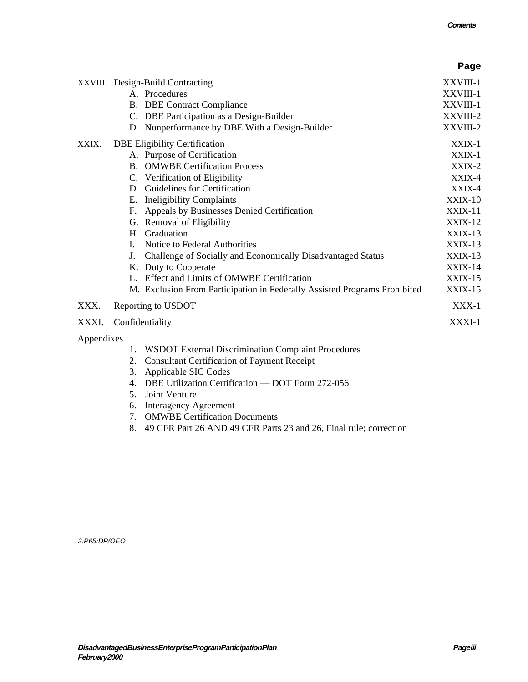|            |                    |                                                                           | Page           |
|------------|--------------------|---------------------------------------------------------------------------|----------------|
|            |                    | XXVIII. Design-Build Contracting                                          | XXVIII-1       |
|            |                    | A. Procedures                                                             | XXVIII-1       |
|            |                    | <b>B.</b> DBE Contract Compliance                                         | XXVIII-1       |
|            |                    | C. DBE Participation as a Design-Builder                                  | XXVIII-2       |
|            |                    | D. Nonperformance by DBE With a Design-Builder                            | XXVIII-2       |
| XXIX.      |                    | <b>DBE Eligibility Certification</b>                                      | XXIX-1         |
|            |                    | A. Purpose of Certification                                               | XXIX-1         |
|            |                    | <b>B.</b> OMWBE Certification Process                                     | XXIX-2         |
|            |                    | C. Verification of Eligibility                                            | XXIX-4         |
|            |                    | D. Guidelines for Certification                                           | XXIX-4         |
|            |                    | E. Ineligibility Complaints                                               | $XXIX-10$      |
|            | F.                 | Appeals by Businesses Denied Certification                                | XXIX-11        |
|            |                    | G. Removal of Eligibility                                                 | $XXIX-12$      |
|            |                    | H. Graduation                                                             | $XXIX-13$      |
|            | L.                 | Notice to Federal Authorities                                             | $XXIX-13$      |
|            | J.                 | Challenge of Socially and Economically Disadvantaged Status               | $XXIX-13$      |
|            |                    | K. Duty to Cooperate                                                      | XXIX-14        |
|            |                    | L. Effect and Limits of OMWBE Certification                               | <b>XXIX-15</b> |
|            |                    | M. Exclusion From Participation in Federally Assisted Programs Prohibited | <b>XXIX-15</b> |
| XXX.       | Reporting to USDOT |                                                                           | $XXX-1$        |
| XXXI.      | Confidentiality    |                                                                           | XXXI-1         |
| Appendixes |                    |                                                                           |                |
|            | 1.                 | WSDOT External Discrimination Complaint Procedures                        |                |
|            | 2.                 | <b>Consultant Certification of Payment Receipt</b>                        |                |
|            | 3.                 | Applicable SIC Codes                                                      |                |
|            | 4.                 | DBE Utilization Certification — DOT Form 272-056                          |                |
|            | 5.                 | Joint Venture                                                             |                |
|            | 6.                 | <b>Interagency Agreement</b>                                              |                |

- 7. [OMWBE Certification Documents](http://www.wsdot.wa.gov/oeo/PDF/App7.pdf)
- 8. [49 CFR Part 26](http://osdbuweb.dot.gov/business/dbe/dbeview.html) AND [49 CFR Parts 23 and 26, Final rule; correction](http://osdbuweb.dot.gov/business/dbe/fedreg.html)

2:P65:DP/OEO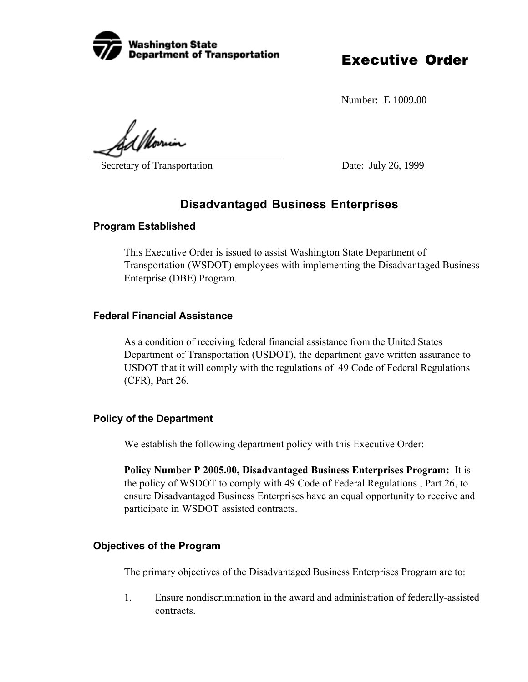

Number: E 1009.00

d *1 U*oru

Secretary of Transportation Date: July 26, 1999

## **Disadvantaged Business Enterprises**

#### **Program Established**

This Executive Order is issued to assist Washington State Department of Transportation (WSDOT) employees with implementing the Disadvantaged Business Enterprise (DBE) Program.

#### **Federal Financial Assistance**

As a condition of receiving federal financial assistance from the United States Department of Transportation (USDOT), the department gave written assurance to USDOT that it will comply with the regulations of 49 Code of Federal Regulations (CFR), Part 26.

#### **Policy of the Department**

We establish the following department policy with this Executive Order:

**Policy Number P 2005.00, Disadvantaged Business Enterprises Program:** It is the policy of WSDOT to comply with 49 Code of Federal Regulations , Part 26, to ensure Disadvantaged Business Enterprises have an equal opportunity to receive and participate in WSDOT assisted contracts.

#### **Objectives of the Program**

The primary objectives of the Disadvantaged Business Enterprises Program are to:

1. Ensure nondiscrimination in the award and administration of federally-assisted contracts.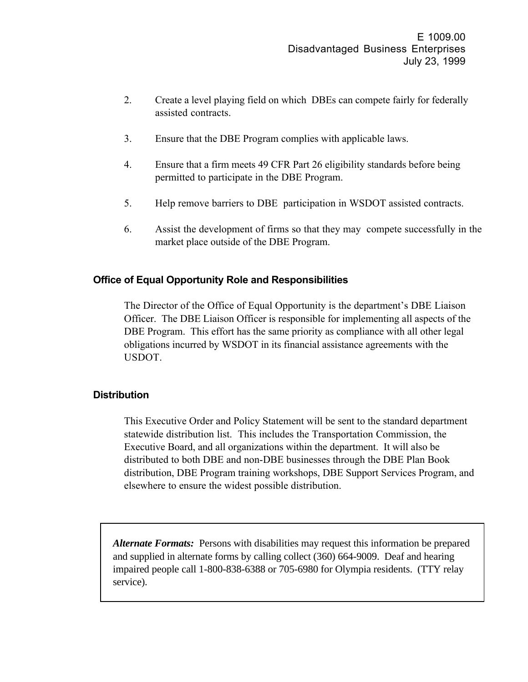- 2. Create a level playing field on which DBEs can compete fairly for federally assisted contracts.
- 3. Ensure that the DBE Program complies with applicable laws.
- 4. Ensure that a firm meets 49 CFR Part 26 eligibility standards before being permitted to participate in the DBE Program.
- 5. Help remove barriers to DBE participation in WSDOT assisted contracts.
- 6. Assist the development of firms so that they may compete successfully in the market place outside of the DBE Program.

#### **Office of Equal Opportunity Role and Responsibilities**

The Director of the Office of Equal Opportunity is the department's DBE Liaison Officer. The DBE Liaison Officer is responsible for implementing all aspects of the DBE Program. This effort has the same priority as compliance with all other legal obligations incurred by WSDOT in its financial assistance agreements with the USDOT.

#### **Distribution**

This Executive Order and Policy Statement will be sent to the standard department statewide distribution list. This includes the Transportation Commission, the Executive Board, and all organizations within the department. It will also be distributed to both DBE and non-DBE businesses through the DBE Plan Book distribution, DBE Program training workshops, DBE Support Services Program, and elsewhere to ensure the widest possible distribution.

*Alternate Formats:* Persons with disabilities may request this information be prepared and supplied in alternate forms by calling collect (360) 664-9009. Deaf and hearing impaired people call 1-800-838-6388 or 705-6980 for Olympia residents. (TTY relay service).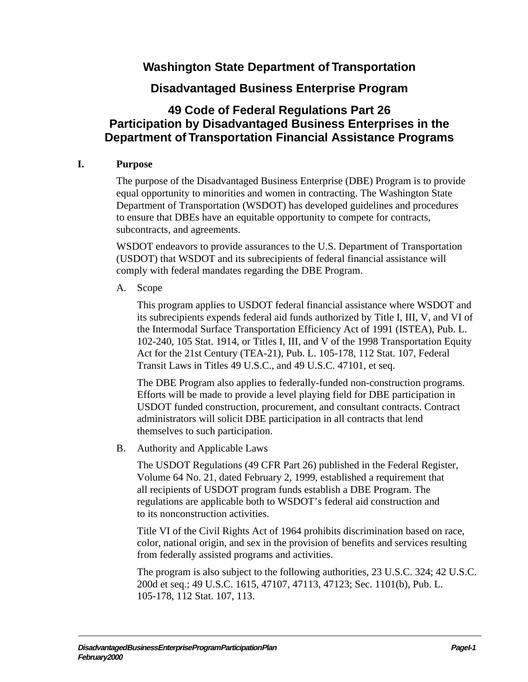## **Washington State Department of Transportation**

### **Disadvantaged Business Enterprise Program**

## <span id="page-9-0"></span>**49 Code of Federal Regulations Part 26 Participation by Disadvantaged Business Enterprises in the Department of Transportation Financial Assistance Programs**

#### **I. Purpose**

The purpose of the Disadvantaged Business Enterprise (DBE) Program is to provide equal opportunity to minorities and women in contracting. The Washington State Department of Transportation (WSDOT) has developed guidelines and procedures to ensure that DBEs have an equitable opportunity to compete for contracts, subcontracts, and agreements.

WSDOT endeavors to provide assurances to the U.S. Department of Transportation (USDOT) that WSDOT and its subrecipients of federal financial assistance will comply with federal mandates regarding the DBE Program.

A. Scope

This program applies to USDOT federal financial assistance where WSDOT and its subrecipients expends federal aid funds authorized by Title I, III, V, and VI of the Intermodal Surface Transportation Efficiency Act of 1991 (ISTEA), Pub. L. 102-240, 105 Stat. 1914, or Titles I, III, and V of the 1998 Transportation Equity Act for the 21st Century (TEA-21), Pub. L. 105-178, 112 Stat. 107, Federal Transit Laws in Titles 49 U.S.C., and 49 U.S.C. 47101, et seq.

The DBE Program also applies to federally-funded non-construction programs. Efforts will be made to provide a level playing field for DBE participation in USDOT funded construction, procurement, and consultant contracts. Contract administrators will solicit DBE participation in all contracts that lend themselves to such participation.

B. Authority and Applicable Laws

The USDOT Regulations (49 CFR Part 26) published in the Federal Register, Volume 64 No. 21, dated February 2, 1999, established a requirement that all recipients of USDOT program funds establish a DBE Program. The regulations are applicable both to WSDOT's federal aid construction and to its nonconstruction activities.

Title VI of the Civil Rights Act of 1964 prohibits discrimination based on race, color, national origin, and sex in the provision of benefits and services resulting from federally assisted programs and activities.

The program is also subject to the following authorities, 23 U.S.C. 324; 42 U.S.C. 200d et seq.; 49 U.S.C. 1615, 47107, 47113, 47123; Sec. 1101(b), Pub. L. 105-178, 112 Stat. 107, 113.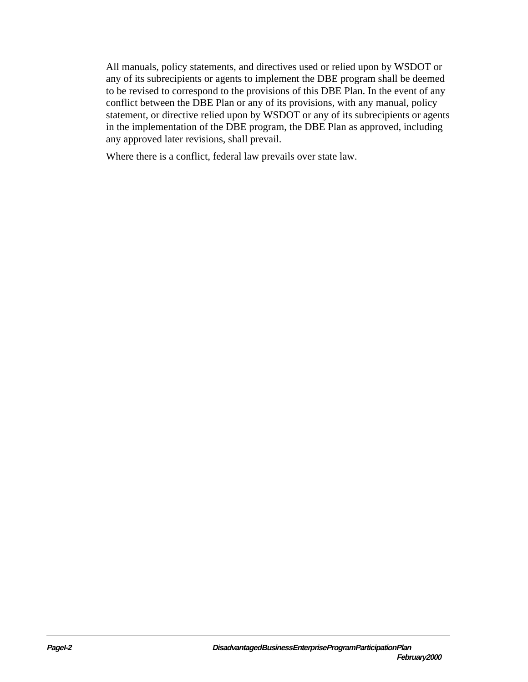All manuals, policy statements, and directives used or relied upon by WSDOT or any of its subrecipients or agents to implement the DBE program shall be deemed to be revised to correspond to the provisions of this DBE Plan. In the event of any conflict between the DBE Plan or any of its provisions, with any manual, policy statement, or directive relied upon by WSDOT or any of its subrecipients or agents in the implementation of the DBE program, the DBE Plan as approved, including any approved later revisions, shall prevail.

Where there is a conflict, federal law prevails over state law.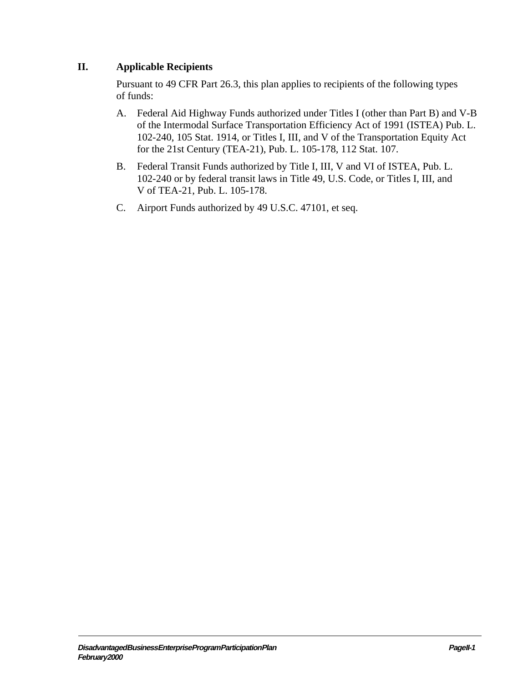#### <span id="page-11-0"></span>**II. Applicable Recipients**

Pursuant to 49 CFR Part 26.3, this plan applies to recipients of the following types of funds:

- A. Federal Aid Highway Funds authorized under Titles I (other than Part B) and V-B of the Intermodal Surface Transportation Efficiency Act of 1991 (ISTEA) Pub. L. 102-240, 105 Stat. 1914, or Titles I, III, and V of the Transportation Equity Act for the 21st Century (TEA-21), Pub. L. 105-178, 112 Stat. 107.
- B. Federal Transit Funds authorized by Title I, III, V and VI of ISTEA, Pub. L. 102-240 or by federal transit laws in Title 49, U.S. Code, or Titles I, III, and V of TEA-21, Pub. L. 105-178.
- C. Airport Funds authorized by 49 U.S.C. 47101, et seq.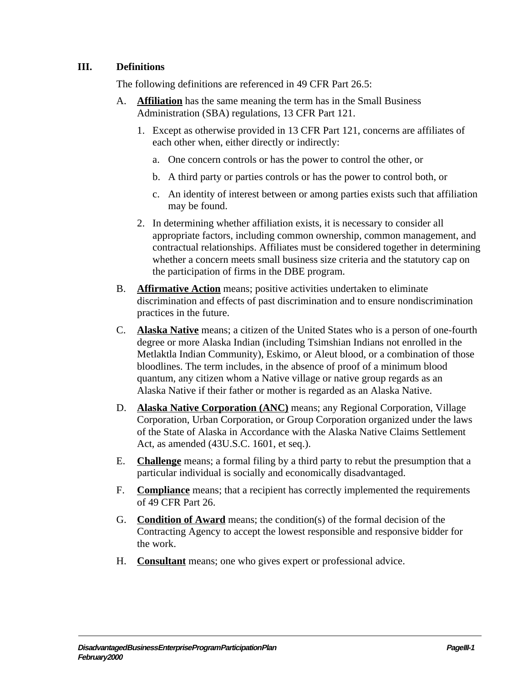#### <span id="page-13-0"></span>**III. Definitions**

The following definitions are referenced in 49 CFR Part 26.5:

- A. **Affiliation** has the same meaning the term has in the Small Business Administration (SBA) regulations, 13 CFR Part 121.
	- 1. Except as otherwise provided in 13 CFR Part 121, concerns are affiliates of each other when, either directly or indirectly:
		- a. One concern controls or has the power to control the other, or
		- b. A third party or parties controls or has the power to control both, or
		- c. An identity of interest between or among parties exists such that affiliation may be found.
	- 2. In determining whether affiliation exists, it is necessary to consider all appropriate factors, including common ownership, common management, and contractual relationships. Affiliates must be considered together in determining whether a concern meets small business size criteria and the statutory cap on the participation of firms in the DBE program.
- B. **Affirmative Action** means; positive activities undertaken to eliminate discrimination and effects of past discrimination and to ensure nondiscrimination practices in the future.
- C. **Alaska Native** means; a citizen of the United States who is a person of one-fourth degree or more Alaska Indian (including Tsimshian Indians not enrolled in the Metlaktla Indian Community), Eskimo, or Aleut blood, or a combination of those bloodlines. The term includes, in the absence of proof of a minimum blood quantum, any citizen whom a Native village or native group regards as an Alaska Native if their father or mother is regarded as an Alaska Native.
- D. **Alaska Native Corporation (ANC)** means; any Regional Corporation, Village Corporation, Urban Corporation, or Group Corporation organized under the laws of the State of Alaska in Accordance with the Alaska Native Claims Settlement Act, as amended (43U.S.C. 1601, et seq.).
- E. **Challenge** means; a formal filing by a third party to rebut the presumption that a particular individual is socially and economically disadvantaged.
- F. **Compliance** means; that a recipient has correctly implemented the requirements of 49 CFR Part 26.
- G. **Condition of Award** means; the condition(s) of the formal decision of the Contracting Agency to accept the lowest responsible and responsive bidder for the work.
- H. **Consultant** means; one who gives expert or professional advice.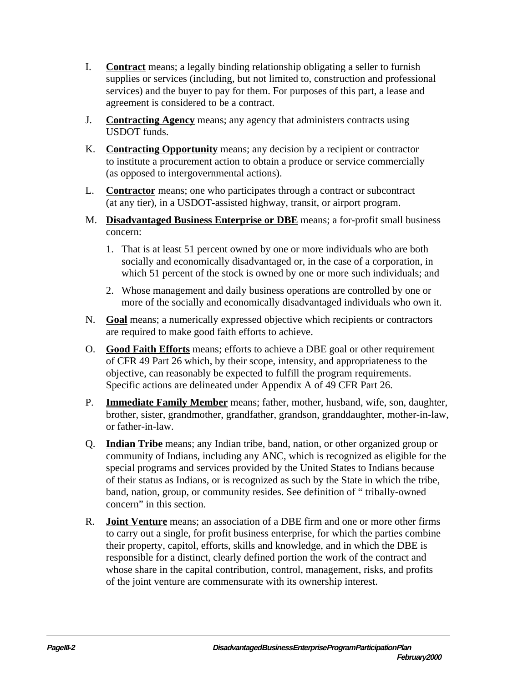- I. **Contract** means; a legally binding relationship obligating a seller to furnish supplies or services (including, but not limited to, construction and professional services) and the buyer to pay for them. For purposes of this part, a lease and agreement is considered to be a contract.
- J. **Contracting Agency** means; any agency that administers contracts using USDOT funds.
- K. **Contracting Opportunity** means; any decision by a recipient or contractor to institute a procurement action to obtain a produce or service commercially (as opposed to intergovernmental actions).
- L. **Contractor** means; one who participates through a contract or subcontract (at any tier), in a USDOT-assisted highway, transit, or airport program.
- M. **Disadvantaged Business Enterprise or DBE** means; a for-profit small business concern:
	- 1. That is at least 51 percent owned by one or more individuals who are both socially and economically disadvantaged or, in the case of a corporation, in which 51 percent of the stock is owned by one or more such individuals; and
	- 2. Whose management and daily business operations are controlled by one or more of the socially and economically disadvantaged individuals who own it.
- N. **Goal** means; a numerically expressed objective which recipients or contractors are required to make good faith efforts to achieve.
- O. **Good Faith Efforts** means; efforts to achieve a DBE goal or other requirement of CFR 49 Part 26 which, by their scope, intensity, and appropriateness to the objective, can reasonably be expected to fulfill the program requirements. Specific actions are delineated under Appendix A of 49 CFR Part 26.
- P. **Immediate Family Member** means; father, mother, husband, wife, son, daughter, brother, sister, grandmother, grandfather, grandson, granddaughter, mother-in-law, or father-in-law.
- Q. **Indian Tribe** means; any Indian tribe, band, nation, or other organized group or community of Indians, including any ANC, which is recognized as eligible for the special programs and services provided by the United States to Indians because of their status as Indians, or is recognized as such by the State in which the tribe, band, nation, group, or community resides. See definition of " tribally-owned concern" in this section.
- R. **Joint Venture** means; an association of a DBE firm and one or more other firms to carry out a single, for profit business enterprise, for which the parties combine their property, capitol, efforts, skills and knowledge, and in which the DBE is responsible for a distinct, clearly defined portion the work of the contract and whose share in the capital contribution, control, management, risks, and profits of the joint venture are commensurate with its ownership interest.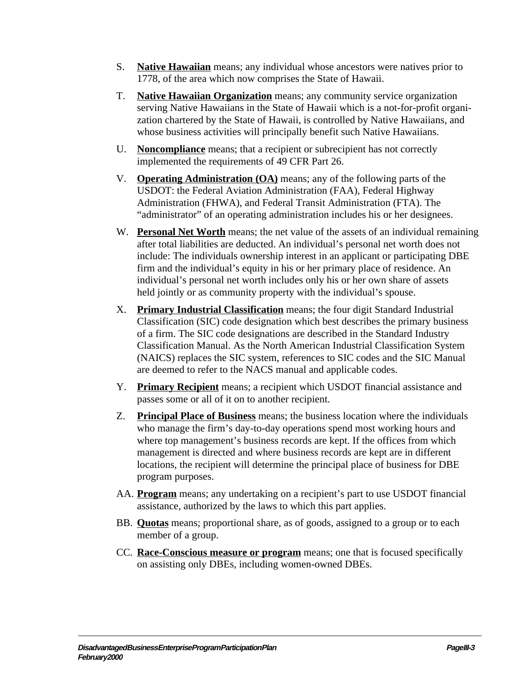- S. **Native Hawaiian** means; any individual whose ancestors were natives prior to 1778, of the area which now comprises the State of Hawaii.
- T. **Native Hawaiian Organization** means; any community service organization serving Native Hawaiians in the State of Hawaii which is a not-for-profit organization chartered by the State of Hawaii, is controlled by Native Hawaiians, and whose business activities will principally benefit such Native Hawaiians.
- U. **Noncompliance** means; that a recipient or subrecipient has not correctly implemented the requirements of 49 CFR Part 26.
- V. **Operating Administration (OA)** means; any of the following parts of the USDOT: the Federal Aviation Administration (FAA), Federal Highway Administration (FHWA), and Federal Transit Administration (FTA). The "administrator" of an operating administration includes his or her designees.
- W. **Personal Net Worth** means; the net value of the assets of an individual remaining after total liabilities are deducted. An individual's personal net worth does not include: The individuals ownership interest in an applicant or participating DBE firm and the individual's equity in his or her primary place of residence. An individual's personal net worth includes only his or her own share of assets held jointly or as community property with the individual's spouse.
- X. **Primary Industrial Classification** means; the four digit Standard Industrial Classification (SIC) code designation which best describes the primary business of a firm. The SIC code designations are described in the Standard Industry Classification Manual. As the North American Industrial Classification System (NAICS) replaces the SIC system, references to SIC codes and the SIC Manual are deemed to refer to the NACS manual and applicable codes.
- Y. **Primary Recipient** means; a recipient which USDOT financial assistance and passes some or all of it on to another recipient.
- Z. **Principal Place of Business** means; the business location where the individuals who manage the firm's day-to-day operations spend most working hours and where top management's business records are kept. If the offices from which management is directed and where business records are kept are in different locations, the recipient will determine the principal place of business for DBE program purposes.
- AA. **Program** means; any undertaking on a recipient's part to use USDOT financial assistance, authorized by the laws to which this part applies.
- BB. **Quotas** means; proportional share, as of goods, assigned to a group or to each member of a group.
- CC. **Race-Conscious measure or program** means; one that is focused specifically on assisting only DBEs, including women-owned DBEs.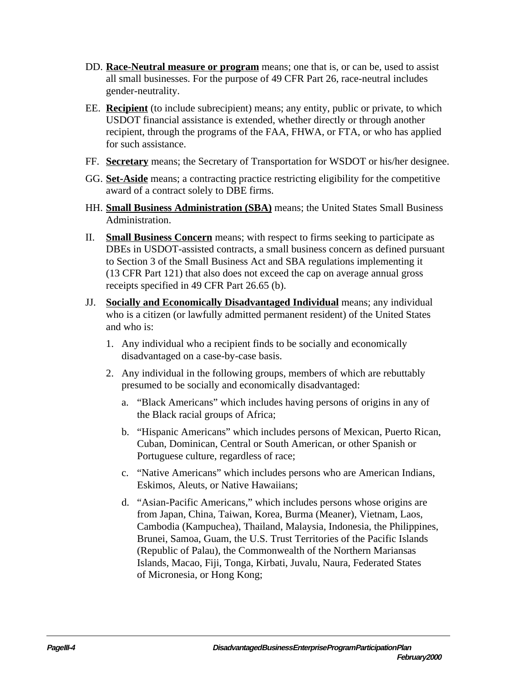- DD. **Race-Neutral measure or program** means; one that is, or can be, used to assist all small businesses. For the purpose of 49 CFR Part 26, race-neutral includes gender-neutrality.
- EE. **Recipient** (to include subrecipient) means; any entity, public or private, to which USDOT financial assistance is extended, whether directly or through another recipient, through the programs of the FAA, FHWA, or FTA, or who has applied for such assistance.
- FF. **Secretary** means; the Secretary of Transportation for WSDOT or his/her designee.
- GG. **Set-Aside** means; a contracting practice restricting eligibility for the competitive award of a contract solely to DBE firms.
- HH. **Small Business Administration (SBA)** means; the United States Small Business Administration.
- II. **Small Business Concern** means; with respect to firms seeking to participate as DBEs in USDOT-assisted contracts, a small business concern as defined pursuant to Section 3 of the Small Business Act and SBA regulations implementing it (13 CFR Part 121) that also does not exceed the cap on average annual gross receipts specified in 49 CFR Part 26.65 (b).
- JJ. **Socially and Economically Disadvantaged Individual** means; any individual who is a citizen (or lawfully admitted permanent resident) of the United States and who is:
	- 1. Any individual who a recipient finds to be socially and economically disadvantaged on a case-by-case basis.
	- 2. Any individual in the following groups, members of which are rebuttably presumed to be socially and economically disadvantaged:
		- a. "Black Americans" which includes having persons of origins in any of the Black racial groups of Africa;
		- b. "Hispanic Americans" which includes persons of Mexican, Puerto Rican, Cuban, Dominican, Central or South American, or other Spanish or Portuguese culture, regardless of race;
		- c. "Native Americans" which includes persons who are American Indians, Eskimos, Aleuts, or Native Hawaiians;
		- d. "Asian-Pacific Americans," which includes persons whose origins are from Japan, China, Taiwan, Korea, Burma (Meaner), Vietnam, Laos, Cambodia (Kampuchea), Thailand, Malaysia, Indonesia, the Philippines, Brunei, Samoa, Guam, the U.S. Trust Territories of the Pacific Islands (Republic of Palau), the Commonwealth of the Northern Mariansas Islands, Macao, Fiji, Tonga, Kirbati, Juvalu, Naura, Federated States of Micronesia, or Hong Kong;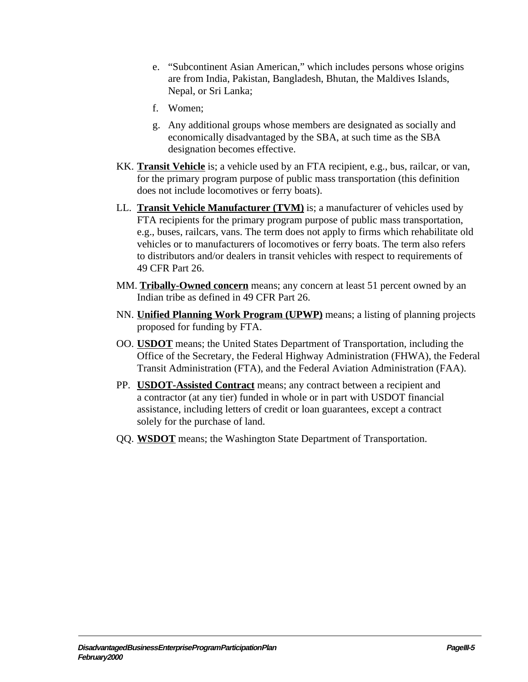- e. "Subcontinent Asian American," which includes persons whose origins are from India, Pakistan, Bangladesh, Bhutan, the Maldives Islands, Nepal, or Sri Lanka;
- f. Women;
- g. Any additional groups whose members are designated as socially and economically disadvantaged by the SBA, at such time as the SBA designation becomes effective.
- KK. **Transit Vehicle** is; a vehicle used by an FTA recipient, e.g., bus, railcar, or van, for the primary program purpose of public mass transportation (this definition does not include locomotives or ferry boats).
- LL. **Transit Vehicle Manufacturer (TVM)** is; a manufacturer of vehicles used by FTA recipients for the primary program purpose of public mass transportation, e.g., buses, railcars, vans. The term does not apply to firms which rehabilitate old vehicles or to manufacturers of locomotives or ferry boats. The term also refers to distributors and/or dealers in transit vehicles with respect to requirements of 49 CFR Part 26.
- MM. **Tribally-Owned concern** means; any concern at least 51 percent owned by an Indian tribe as defined in 49 CFR Part 26.
- NN. **Unified Planning Work Program (UPWP)** means; a listing of planning projects proposed for funding by FTA.
- OO. **USDOT** means; the United States Department of Transportation, including the Office of the Secretary, the Federal Highway Administration (FHWA), the Federal Transit Administration (FTA), and the Federal Aviation Administration (FAA).
- PP. **USDOT-Assisted Contract** means; any contract between a recipient and a contractor (at any tier) funded in whole or in part with USDOT financial assistance, including letters of credit or loan guarantees, except a contract solely for the purchase of land.
- QQ. **WSDOT** means; the Washington State Department of Transportation.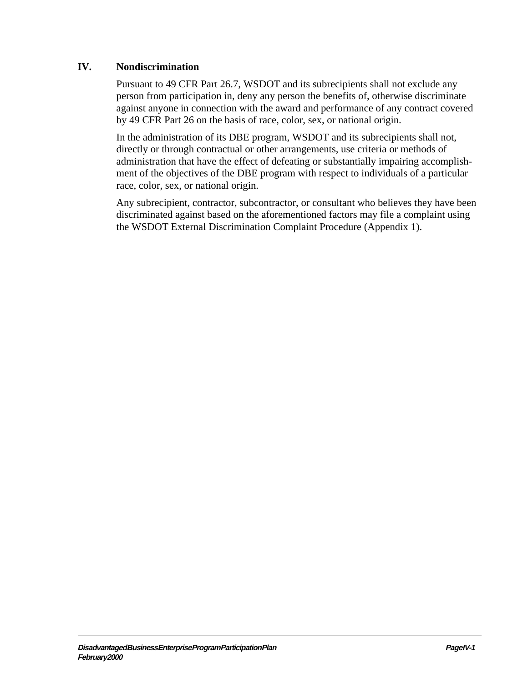#### <span id="page-19-0"></span>**IV. Nondiscrimination**

Pursuant to 49 CFR Part 26.7, WSDOT and its subrecipients shall not exclude any person from participation in, deny any person the benefits of, otherwise discriminate against anyone in connection with the award and performance of any contract covered by 49 CFR Part 26 on the basis of race, color, sex, or national origin.

In the administration of its DBE program, WSDOT and its subrecipients shall not, directly or through contractual or other arrangements, use criteria or methods of administration that have the effect of defeating or substantially impairing accomplishment of the objectives of the DBE program with respect to individuals of a particular race, color, sex, or national origin.

Any subrecipient, contractor, subcontractor, or consultant who believes they have been discriminated against based on the aforementioned factors may file a complaint using the WSDOT External Discrimination Complaint Procedure (Appendix 1).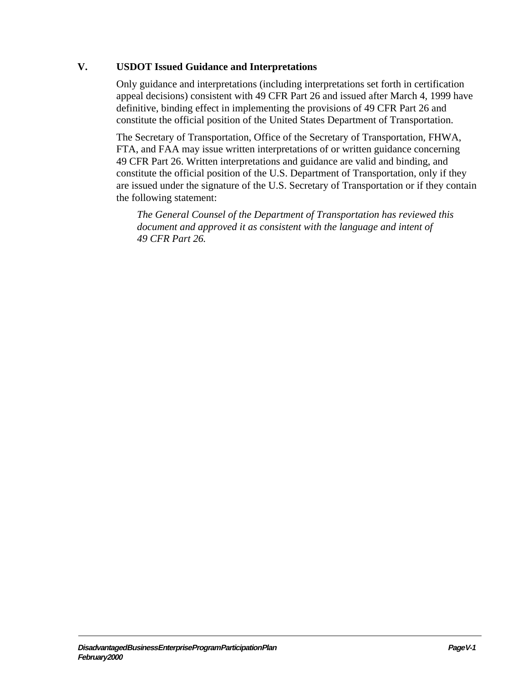#### <span id="page-21-0"></span>**V. USDOT Issued Guidance and Interpretations**

Only guidance and interpretations (including interpretations set forth in certification appeal decisions) consistent with 49 CFR Part 26 and issued after March 4, 1999 have definitive, binding effect in implementing the provisions of 49 CFR Part 26 and constitute the official position of the United States Department of Transportation.

The Secretary of Transportation, Office of the Secretary of Transportation, FHWA, FTA, and FAA may issue written interpretations of or written guidance concerning 49 CFR Part 26. Written interpretations and guidance are valid and binding, and constitute the official position of the U.S. Department of Transportation, only if they are issued under the signature of the U.S. Secretary of Transportation or if they contain the following statement:

*The General Counsel of the Department of Transportation has reviewed this document and approved it as consistent with the language and intent of 49 CFR Part 26.*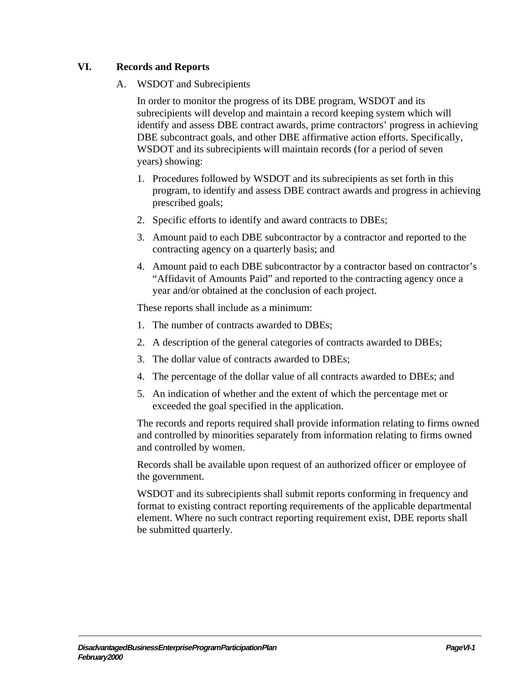#### <span id="page-23-0"></span>**VI. Records and Reports**

#### A. WSDOT and Subrecipients

In order to monitor the progress of its DBE program, WSDOT and its subrecipients will develop and maintain a record keeping system which will identify and assess DBE contract awards, prime contractors' progress in achieving DBE subcontract goals, and other DBE affirmative action efforts. Specifically, WSDOT and its subrecipients will maintain records (for a period of seven years) showing:

- 1. Procedures followed by WSDOT and its subrecipients as set forth in this program, to identify and assess DBE contract awards and progress in achieving prescribed goals;
- 2. Specific efforts to identify and award contracts to DBEs;
- 3. Amount paid to each DBE subcontractor by a contractor and reported to the contracting agency on a quarterly basis; and
- 4. Amount paid to each DBE subcontractor by a contractor based on contractor's "Affidavit of Amounts Paid" and reported to the contracting agency once a year and/or obtained at the conclusion of each project.

These reports shall include as a minimum:

- 1. The number of contracts awarded to DBEs;
- 2. A description of the general categories of contracts awarded to DBEs;
- 3. The dollar value of contracts awarded to DBEs;
- 4. The percentage of the dollar value of all contracts awarded to DBEs; and
- 5. An indication of whether and the extent of which the percentage met or exceeded the goal specified in the application.

The records and reports required shall provide information relating to firms owned and controlled by minorities separately from information relating to firms owned and controlled by women.

Records shall be available upon request of an authorized officer or employee of the government.

WSDOT and its subrecipients shall submit reports conforming in frequency and format to existing contract reporting requirements of the applicable departmental element. Where no such contract reporting requirement exist, DBE reports shall be submitted quarterly.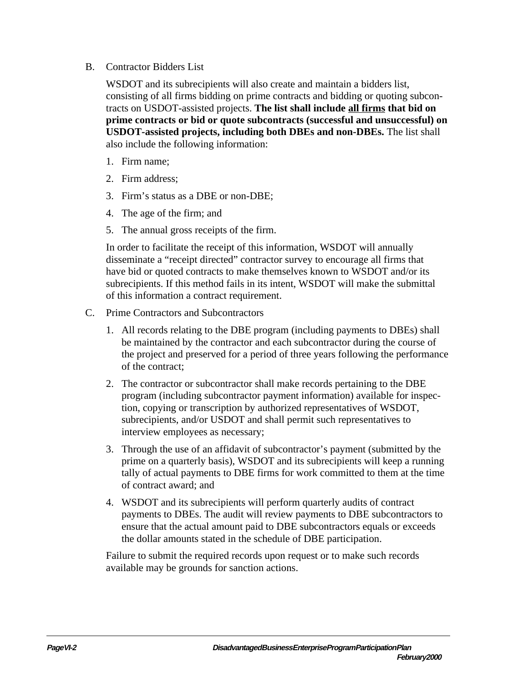#### <span id="page-24-0"></span>B. Contractor Bidders List

WSDOT and its subrecipients will also create and maintain a bidders list, consisting of all firms bidding on prime contracts and bidding or quoting subcontracts on USDOT-assisted projects. **The list shall include all firms that bid on prime contracts or bid or quote subcontracts (successful and unsuccessful) on USDOT-assisted projects, including both DBEs and non-DBEs.** The list shall also include the following information:

- 1. Firm name;
- 2. Firm address;
- 3. Firm's status as a DBE or non-DBE;
- 4. The age of the firm; and
- 5. The annual gross receipts of the firm.

In order to facilitate the receipt of this information, WSDOT will annually disseminate a "receipt directed" contractor survey to encourage all firms that have bid or quoted contracts to make themselves known to WSDOT and/or its subrecipients. If this method fails in its intent, WSDOT will make the submittal of this information a contract requirement.

- C. Prime Contractors and Subcontractors
	- 1. All records relating to the DBE program (including payments to DBEs) shall be maintained by the contractor and each subcontractor during the course of the project and preserved for a period of three years following the performance of the contract;
	- 2. The contractor or subcontractor shall make records pertaining to the DBE program (including subcontractor payment information) available for inspection, copying or transcription by authorized representatives of WSDOT, subrecipients, and/or USDOT and shall permit such representatives to interview employees as necessary;
	- 3. Through the use of an affidavit of subcontractor's payment (submitted by the prime on a quarterly basis), WSDOT and its subrecipients will keep a running tally of actual payments to DBE firms for work committed to them at the time of contract award; and
	- 4. WSDOT and its subrecipients will perform quarterly audits of contract payments to DBEs. The audit will review payments to DBE subcontractors to ensure that the actual amount paid to DBE subcontractors equals or exceeds the dollar amounts stated in the schedule of DBE participation.

Failure to submit the required records upon request or to make such records available may be grounds for sanction actions.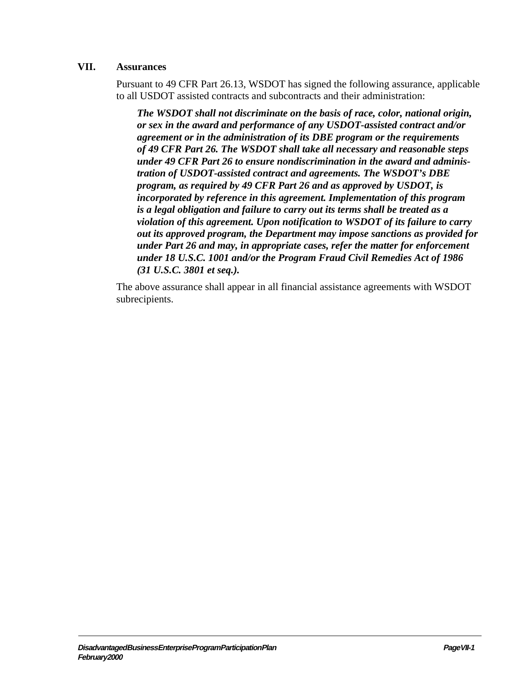#### <span id="page-25-0"></span>**VII. Assurances**

Pursuant to 49 CFR Part 26.13, WSDOT has signed the following assurance, applicable to all USDOT assisted contracts and subcontracts and their administration:

*The WSDOT shall not discriminate on the basis of race, color, national origin, or sex in the award and performance of any USDOT-assisted contract and/or agreement or in the administration of its DBE program or the requirements of 49 CFR Part 26. The WSDOT shall take all necessary and reasonable steps under 49 CFR Part 26 to ensure nondiscrimination in the award and administration of USDOT-assisted contract and agreements. The WSDOT's DBE program, as required by 49 CFR Part 26 and as approved by USDOT, is incorporated by reference in this agreement. Implementation of this program is a legal obligation and failure to carry out its terms shall be treated as a violation of this agreement. Upon notification to WSDOT of its failure to carry out its approved program, the Department may impose sanctions as provided for under Part 26 and may, in appropriate cases, refer the matter for enforcement under 18 U.S.C. 1001 and/or the Program Fraud Civil Remedies Act of 1986 (31 U.S.C. 3801 et seq.).*

The above assurance shall appear in all financial assistance agreements with WSDOT subrecipients.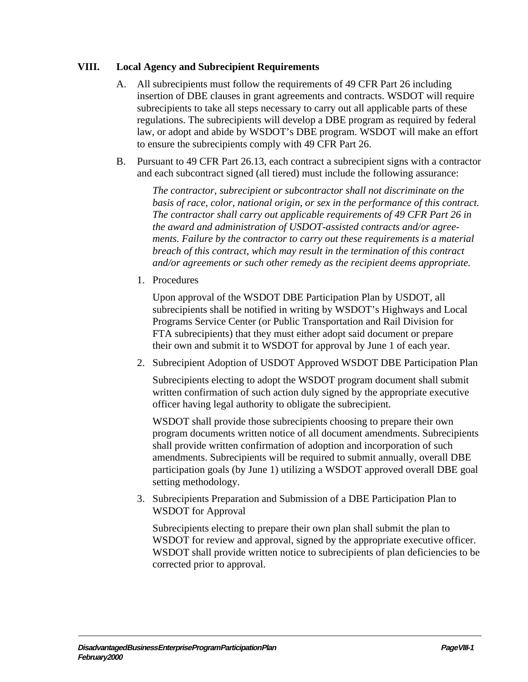#### <span id="page-27-0"></span>**VIII. Local Agency and Subrecipient Requirements**

- A. All subrecipients must follow the requirements of 49 CFR Part 26 including insertion of DBE clauses in grant agreements and contracts. WSDOT will require subrecipients to take all steps necessary to carry out all applicable parts of these regulations. The subrecipients will develop a DBE program as required by federal law, or adopt and abide by WSDOT's DBE program. WSDOT will make an effort to ensure the subrecipients comply with 49 CFR Part 26.
- B. Pursuant to 49 CFR Part 26.13, each contract a subrecipient signs with a contractor and each subcontract signed (all tiered) must include the following assurance:

*The contractor, subrecipient or subcontractor shall not discriminate on the basis of race, color, national origin, or sex in the performance of this contract. The contractor shall carry out applicable requirements of 49 CFR Part 26 in the award and administration of USDOT-assisted contracts and/or agreements. Failure by the contractor to carry out these requirements is a material breach of this contract, which may result in the termination of this contract and/or agreements or such other remedy as the recipient deems appropriate.*

1. Procedures

Upon approval of the WSDOT DBE Participation Plan by USDOT, all subrecipients shall be notified in writing by WSDOT's Highways and Local Programs Service Center (or Public Transportation and Rail Division for FTA subrecipients) that they must either adopt said document or prepare their own and submit it to WSDOT for approval by June 1 of each year.

2. Subrecipient Adoption of USDOT Approved WSDOT DBE Participation Plan

Subrecipients electing to adopt the WSDOT program document shall submit written confirmation of such action duly signed by the appropriate executive officer having legal authority to obligate the subrecipient.

WSDOT shall provide those subrecipients choosing to prepare their own program documents written notice of all document amendments. Subrecipients shall provide written confirmation of adoption and incorporation of such amendments. Subrecipients will be required to submit annually, overall DBE participation goals (by June 1) utilizing a WSDOT approved overall DBE goal setting methodology.

3. Subrecipients Preparation and Submission of a DBE Participation Plan to WSDOT for Approval

Subrecipients electing to prepare their own plan shall submit the plan to WSDOT for review and approval, signed by the appropriate executive officer. WSDOT shall provide written notice to subrecipients of plan deficiencies to be corrected prior to approval.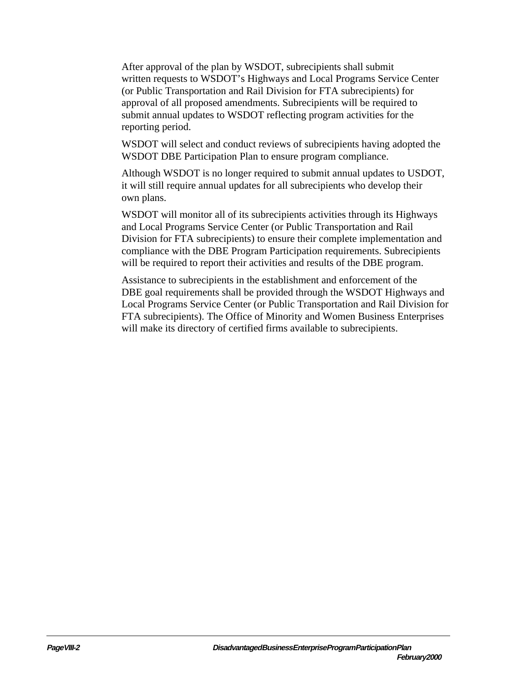After approval of the plan by WSDOT, subrecipients shall submit written requests to WSDOT's Highways and Local Programs Service Center (or Public Transportation and Rail Division for FTA subrecipients) for approval of all proposed amendments. Subrecipients will be required to submit annual updates to WSDOT reflecting program activities for the reporting period.

WSDOT will select and conduct reviews of subrecipients having adopted the WSDOT DBE Participation Plan to ensure program compliance.

Although WSDOT is no longer required to submit annual updates to USDOT, it will still require annual updates for all subrecipients who develop their own plans.

WSDOT will monitor all of its subrecipients activities through its Highways and Local Programs Service Center (or Public Transportation and Rail Division for FTA subrecipients) to ensure their complete implementation and compliance with the DBE Program Participation requirements. Subrecipients will be required to report their activities and results of the DBE program.

Assistance to subrecipients in the establishment and enforcement of the DBE goal requirements shall be provided through the WSDOT Highways and Local Programs Service Center (or Public Transportation and Rail Division for FTA subrecipients). The Office of Minority and Women Business Enterprises will make its directory of certified firms available to subrecipients.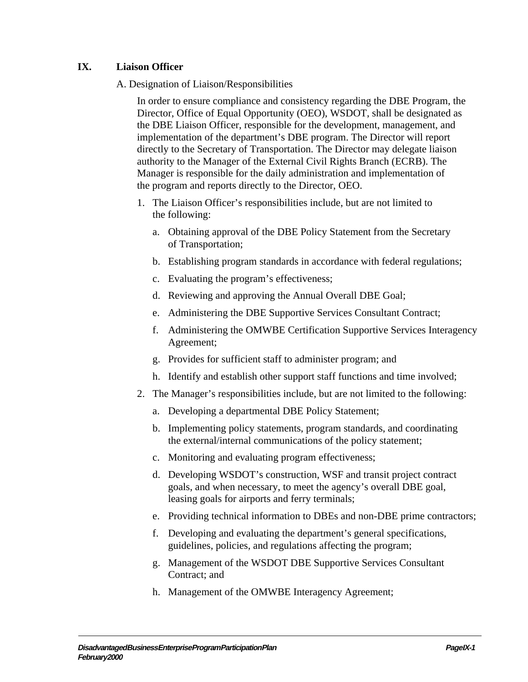#### <span id="page-29-0"></span>**IX. Liaison Officer**

#### A. Designation of Liaison/Responsibilities

In order to ensure compliance and consistency regarding the DBE Program, the Director, Office of Equal Opportunity (OEO), WSDOT, shall be designated as the DBE Liaison Officer, responsible for the development, management, and implementation of the department's DBE program. The Director will report directly to the Secretary of Transportation. The Director may delegate liaison authority to the Manager of the External Civil Rights Branch (ECRB). The Manager is responsible for the daily administration and implementation of the program and reports directly to the Director, OEO.

- 1. The Liaison Officer's responsibilities include, but are not limited to the following:
	- a. Obtaining approval of the DBE Policy Statement from the Secretary of Transportation;
	- b. Establishing program standards in accordance with federal regulations;
	- c. Evaluating the program's effectiveness;
	- d. Reviewing and approving the Annual Overall DBE Goal;
	- e. Administering the DBE Supportive Services Consultant Contract;
	- f. Administering the OMWBE Certification Supportive Services Interagency Agreement;
	- g. Provides for sufficient staff to administer program; and
	- h. Identify and establish other support staff functions and time involved;
- 2. The Manager's responsibilities include, but are not limited to the following:
	- a. Developing a departmental DBE Policy Statement;
	- b. Implementing policy statements, program standards, and coordinating the external/internal communications of the policy statement;
	- c. Monitoring and evaluating program effectiveness;
	- d. Developing WSDOT's construction, WSF and transit project contract goals, and when necessary, to meet the agency's overall DBE goal, leasing goals for airports and ferry terminals;
	- e. Providing technical information to DBEs and non-DBE prime contractors;
	- f. Developing and evaluating the department's general specifications, guidelines, policies, and regulations affecting the program;
	- g. Management of the WSDOT DBE Supportive Services Consultant Contract; and
	- h. Management of the OMWBE Interagency Agreement;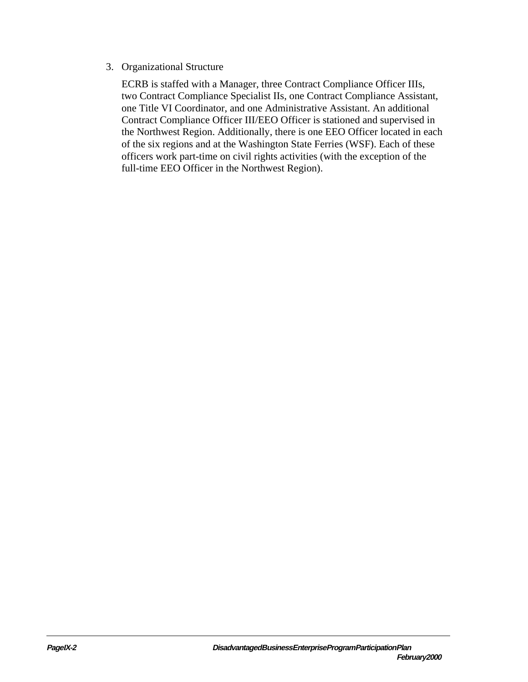#### 3. Organizational Structure

ECRB is staffed with a Manager, three Contract Compliance Officer IIIs, two Contract Compliance Specialist IIs, one Contract Compliance Assistant, one Title VI Coordinator, and one Administrative Assistant. An additional Contract Compliance Officer III/EEO Officer is stationed and supervised in the Northwest Region. Additionally, there is one EEO Officer located in each of the six regions and at the Washington State Ferries (WSF). Each of these officers work part-time on civil rights activities (with the exception of the full-time EEO Officer in the Northwest Region).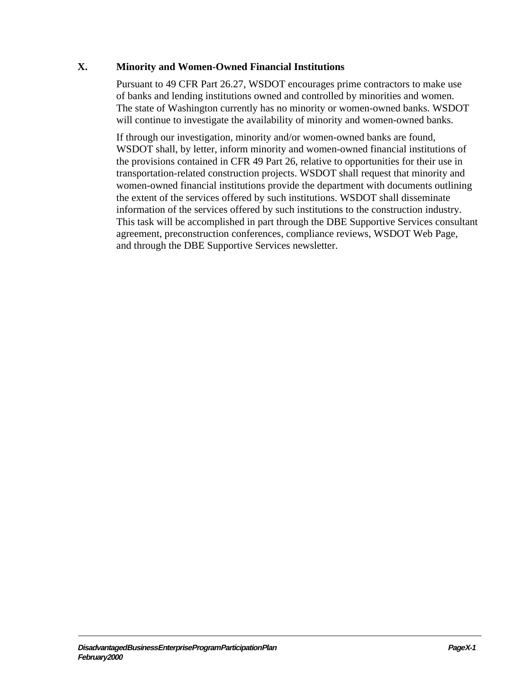#### <span id="page-31-0"></span>**X. Minority and Women-Owned Financial Institutions**

Pursuant to 49 CFR Part 26.27, WSDOT encourages prime contractors to make use of banks and lending institutions owned and controlled by minorities and women. The state of Washington currently has no minority or women-owned banks. WSDOT will continue to investigate the availability of minority and women-owned banks.

If through our investigation, minority and/or women-owned banks are found, WSDOT shall, by letter, inform minority and women-owned financial institutions of the provisions contained in CFR 49 Part 26, relative to opportunities for their use in transportation-related construction projects. WSDOT shall request that minority and women-owned financial institutions provide the department with documents outlining the extent of the services offered by such institutions. WSDOT shall disseminate information of the services offered by such institutions to the construction industry. This task will be accomplished in part through the DBE Supportive Services consultant agreement, preconstruction conferences, compliance reviews, WSDOT Web Page, and through the DBE Supportive Services newsletter.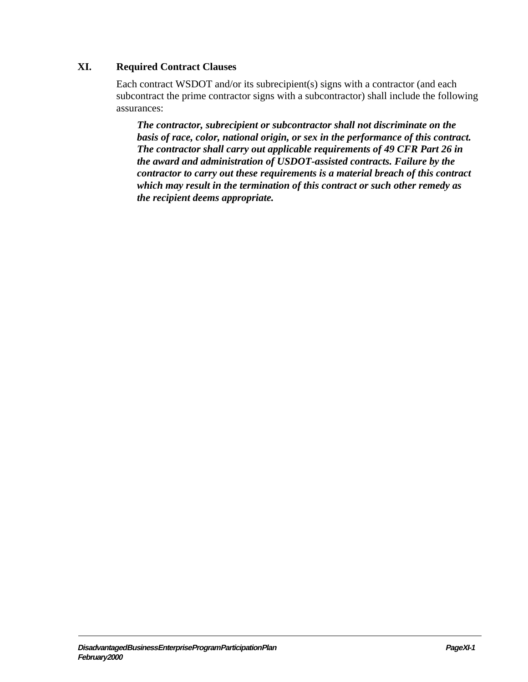#### <span id="page-33-0"></span>**XI. Required Contract Clauses**

Each contract WSDOT and/or its subrecipient(s) signs with a contractor (and each subcontract the prime contractor signs with a subcontractor) shall include the following assurances:

*The contractor, subrecipient or subcontractor shall not discriminate on the basis of race, color, national origin, or sex in the performance of this contract. The contractor shall carry out applicable requirements of 49 CFR Part 26 in the award and administration of USDOT-assisted contracts. Failure by the contractor to carry out these requirements is a material breach of this contract which may result in the termination of this contract or such other remedy as the recipient deems appropriate.*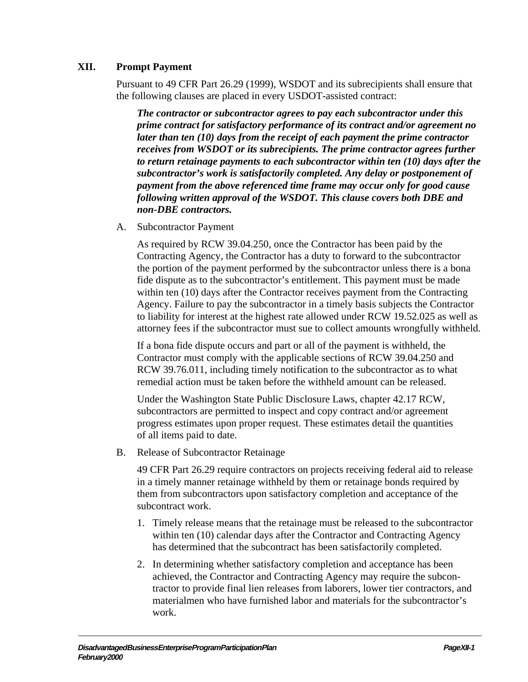#### <span id="page-35-0"></span>**XII. Prompt Payment**

Pursuant to 49 CFR Part 26.29 (1999), WSDOT and its subrecipients shall ensure that the following clauses are placed in every USDOT-assisted contract:

*The contractor or subcontractor agrees to pay each subcontractor under this prime contract for satisfactory performance of its contract and/or agreement no later than ten (10) days from the receipt of each payment the prime contractor receives from WSDOT or its subrecipients. The prime contractor agrees further to return retainage payments to each subcontractor within ten (10) days after the subcontractor's work is satisfactorily completed. Any delay or postponement of payment from the above referenced time frame may occur only for good cause following written approval of the WSDOT. This clause covers both DBE and non-DBE contractors.*

A. Subcontractor Payment

As required by RCW 39.04.250, once the Contractor has been paid by the Contracting Agency, the Contractor has a duty to forward to the subcontractor the portion of the payment performed by the subcontractor unless there is a bona fide dispute as to the subcontractor's entitlement. This payment must be made within ten (10) days after the Contractor receives payment from the Contracting Agency. Failure to pay the subcontractor in a timely basis subjects the Contractor to liability for interest at the highest rate allowed under RCW 19.52.025 as well as attorney fees if the subcontractor must sue to collect amounts wrongfully withheld.

If a bona fide dispute occurs and part or all of the payment is withheld, the Contractor must comply with the applicable sections of RCW 39.04.250 and RCW 39.76.011, including timely notification to the subcontractor as to what remedial action must be taken before the withheld amount can be released.

Under the Washington State Public Disclosure Laws, chapter 42.17 RCW, subcontractors are permitted to inspect and copy contract and/or agreement progress estimates upon proper request. These estimates detail the quantities of all items paid to date.

B. Release of Subcontractor Retainage

49 CFR Part 26.29 require contractors on projects receiving federal aid to release in a timely manner retainage withheld by them or retainage bonds required by them from subcontractors upon satisfactory completion and acceptance of the subcontract work.

- 1. Timely release means that the retainage must be released to the subcontractor within ten (10) calendar days after the Contractor and Contracting Agency has determined that the subcontract has been satisfactorily completed.
- 2. In determining whether satisfactory completion and acceptance has been achieved, the Contractor and Contracting Agency may require the subcontractor to provide final lien releases from laborers, lower tier contractors, and materialmen who have furnished labor and materials for the subcontractor's work.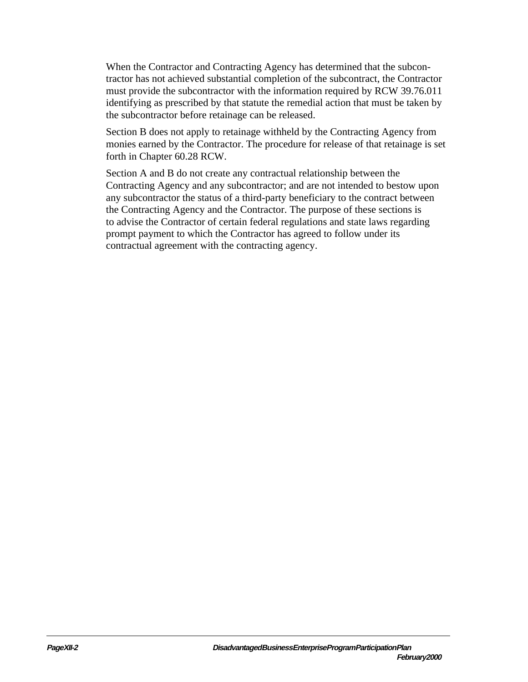When the Contractor and Contracting Agency has determined that the subcontractor has not achieved substantial completion of the subcontract, the Contractor must provide the subcontractor with the information required by RCW 39.76.011 identifying as prescribed by that statute the remedial action that must be taken by the subcontractor before retainage can be released.

Section B does not apply to retainage withheld by the Contracting Agency from monies earned by the Contractor. The procedure for release of that retainage is set forth in Chapter 60.28 RCW.

Section A and B do not create any contractual relationship between the Contracting Agency and any subcontractor; and are not intended to bestow upon any subcontractor the status of a third-party beneficiary to the contract between the Contracting Agency and the Contractor. The purpose of these sections is to advise the Contractor of certain federal regulations and state laws regarding prompt payment to which the Contractor has agreed to follow under its contractual agreement with the contracting agency.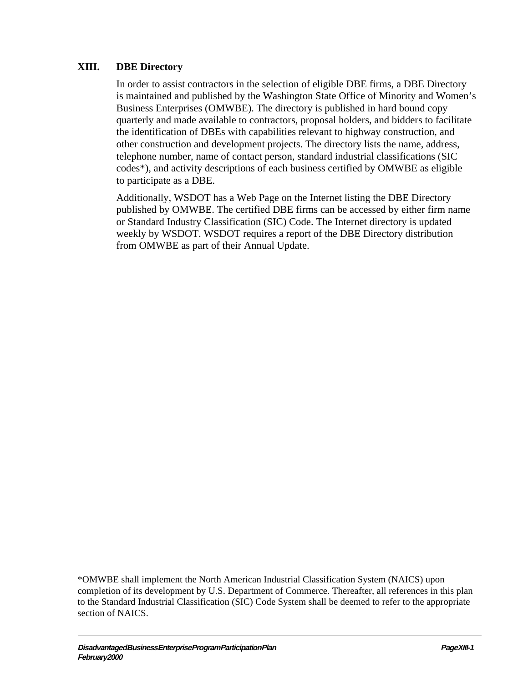## **XIII. DBE Directory**

In order to assist contractors in the selection of eligible DBE firms, a DBE Directory is maintained and published by the Washington State Office of Minority and Women's Business Enterprises (OMWBE). The directory is published in hard bound copy quarterly and made available to contractors, proposal holders, and bidders to facilitate the identification of DBEs with capabilities relevant to highway construction, and other construction and development projects. The directory lists the name, address, telephone number, name of contact person, standard industrial classifications (SIC codes\*), and activity descriptions of each business certified by OMWBE as eligible to participate as a DBE.

Additionally, WSDOT has a Web Page on the Internet listing the DBE Directory published by OMWBE. The certified DBE firms can be accessed by either firm name or Standard Industry Classification (SIC) Code. The Internet directory is updated weekly by WSDOT. WSDOT requires a report of the DBE Directory distribution from OMWBE as part of their Annual Update.

\*OMWBE shall implement the North American Industrial Classification System (NAICS) upon completion of its development by U.S. Department of Commerce. Thereafter, all references in this plan to the Standard Industrial Classification (SIC) Code System shall be deemed to refer to the appropriate section of NAICS.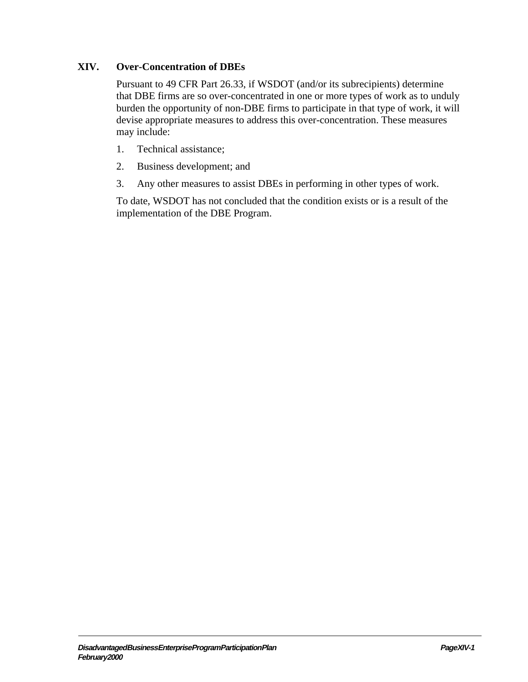# **XIV. Over-Concentration of DBEs**

Pursuant to 49 CFR Part 26.33, if WSDOT (and/or its subrecipients) determine that DBE firms are so over-concentrated in one or more types of work as to unduly burden the opportunity of non-DBE firms to participate in that type of work, it will devise appropriate measures to address this over-concentration. These measures may include:

- 1. Technical assistance;
- 2. Business development; and
- 3. Any other measures to assist DBEs in performing in other types of work.

To date, WSDOT has not concluded that the condition exists or is a result of the implementation of the DBE Program.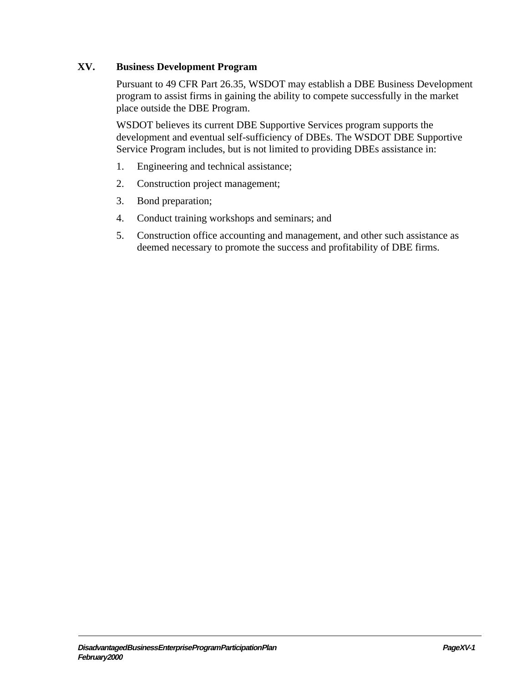### **XV. Business Development Program**

Pursuant to 49 CFR Part 26.35, WSDOT may establish a DBE Business Development program to assist firms in gaining the ability to compete successfully in the market place outside the DBE Program.

WSDOT believes its current DBE Supportive Services program supports the development and eventual self-sufficiency of DBEs. The WSDOT DBE Supportive Service Program includes, but is not limited to providing DBEs assistance in:

- 1. Engineering and technical assistance;
- 2. Construction project management;
- 3. Bond preparation;
- 4. Conduct training workshops and seminars; and
- 5. Construction office accounting and management, and other such assistance as deemed necessary to promote the success and profitability of DBE firms.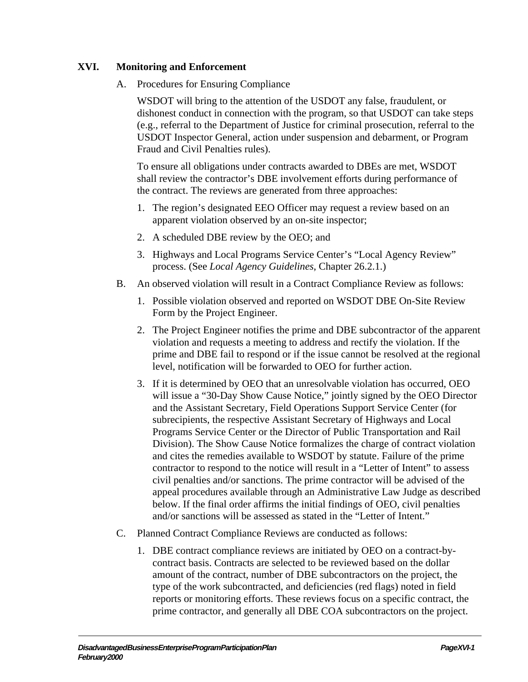# **XVI. Monitoring and Enforcement**

A. Procedures for Ensuring Compliance

WSDOT will bring to the attention of the USDOT any false, fraudulent, or dishonest conduct in connection with the program, so that USDOT can take steps (e.g., referral to the Department of Justice for criminal prosecution, referral to the USDOT Inspector General, action under suspension and debarment, or Program Fraud and Civil Penalties rules).

To ensure all obligations under contracts awarded to DBEs are met, WSDOT shall review the contractor's DBE involvement efforts during performance of the contract. The reviews are generated from three approaches:

- 1. The region's designated EEO Officer may request a review based on an apparent violation observed by an on-site inspector;
- 2. A scheduled DBE review by the OEO; and
- 3. Highways and Local Programs Service Center's "Local Agency Review" process. (See *Local Agency Guidelines*, Chapter 26.2.1.)
- B. An observed violation will result in a Contract Compliance Review as follows:
	- 1. Possible violation observed and reported on WSDOT DBE On-Site Review Form by the Project Engineer.
	- 2. The Project Engineer notifies the prime and DBE subcontractor of the apparent violation and requests a meeting to address and rectify the violation. If the prime and DBE fail to respond or if the issue cannot be resolved at the regional level, notification will be forwarded to OEO for further action.
	- 3. If it is determined by OEO that an unresolvable violation has occurred, OEO will issue a "30-Day Show Cause Notice," jointly signed by the OEO Director and the Assistant Secretary, Field Operations Support Service Center (for subrecipients, the respective Assistant Secretary of Highways and Local Programs Service Center or the Director of Public Transportation and Rail Division). The Show Cause Notice formalizes the charge of contract violation and cites the remedies available to WSDOT by statute. Failure of the prime contractor to respond to the notice will result in a "Letter of Intent" to assess civil penalties and/or sanctions. The prime contractor will be advised of the appeal procedures available through an Administrative Law Judge as described below. If the final order affirms the initial findings of OEO, civil penalties and/or sanctions will be assessed as stated in the "Letter of Intent."
- C. Planned Contract Compliance Reviews are conducted as follows:
	- 1. DBE contract compliance reviews are initiated by OEO on a contract-bycontract basis. Contracts are selected to be reviewed based on the dollar amount of the contract, number of DBE subcontractors on the project, the type of the work subcontracted, and deficiencies (red flags) noted in field reports or monitoring efforts. These reviews focus on a specific contract, the prime contractor, and generally all DBE COA subcontractors on the project.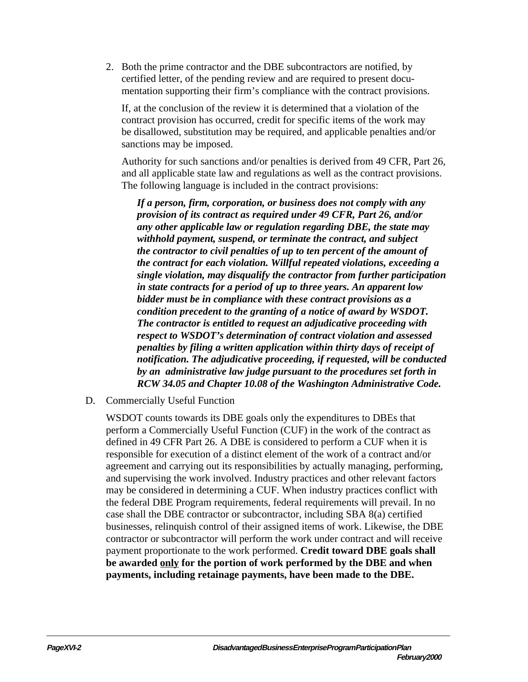2. Both the prime contractor and the DBE subcontractors are notified, by certified letter, of the pending review and are required to present documentation supporting their firm's compliance with the contract provisions.

If, at the conclusion of the review it is determined that a violation of the contract provision has occurred, credit for specific items of the work may be disallowed, substitution may be required, and applicable penalties and/or sanctions may be imposed.

Authority for such sanctions and/or penalties is derived from 49 CFR, Part 26, and all applicable state law and regulations as well as the contract provisions. The following language is included in the contract provisions:

*If a person, firm, corporation, or business does not comply with any provision of its contract as required under 49 CFR, Part 26, and/or any other applicable law or regulation regarding DBE, the state may withhold payment, suspend, or terminate the contract, and subject the contractor to civil penalties of up to ten percent of the amount of the contract for each violation. Willful repeated violations, exceeding a single violation, may disqualify the contractor from further participation in state contracts for a period of up to three years. An apparent low bidder must be in compliance with these contract provisions as a condition precedent to the granting of a notice of award by WSDOT. The contractor is entitled to request an adjudicative proceeding with respect to WSDOT's determination of contract violation and assessed penalties by filing a written application within thirty days of receipt of notification. The adjudicative proceeding, if requested, will be conducted by an administrative law judge pursuant to the procedures set forth in RCW 34.05 and Chapter 10.08 of the Washington Administrative Code.*

D. Commercially Useful Function

WSDOT counts towards its DBE goals only the expenditures to DBEs that perform a Commercially Useful Function (CUF) in the work of the contract as defined in 49 CFR Part 26. A DBE is considered to perform a CUF when it is responsible for execution of a distinct element of the work of a contract and/or agreement and carrying out its responsibilities by actually managing, performing, and supervising the work involved. Industry practices and other relevant factors may be considered in determining a CUF. When industry practices conflict with the federal DBE Program requirements, federal requirements will prevail. In no case shall the DBE contractor or subcontractor, including SBA 8(a) certified businesses, relinquish control of their assigned items of work. Likewise, the DBE contractor or subcontractor will perform the work under contract and will receive payment proportionate to the work performed. **Credit toward DBE goals shall be awarded only for the portion of work performed by the DBE and when payments, including retainage payments, have been made to the DBE.**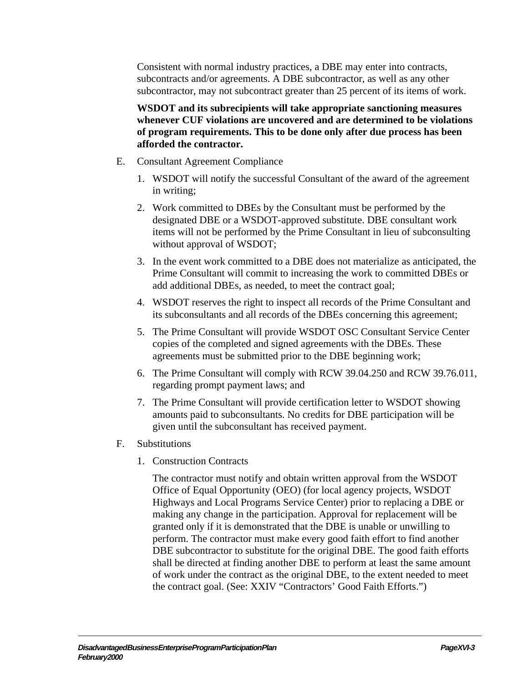Consistent with normal industry practices, a DBE may enter into contracts, subcontracts and/or agreements. A DBE subcontractor, as well as any other subcontractor, may not subcontract greater than 25 percent of its items of work.

**WSDOT and its subrecipients will take appropriate sanctioning measures whenever CUF violations are uncovered and are determined to be violations of program requirements. This to be done only after due process has been afforded the contractor.**

- E. Consultant Agreement Compliance
	- 1. WSDOT will notify the successful Consultant of the award of the agreement in writing;
	- 2. Work committed to DBEs by the Consultant must be performed by the designated DBE or a WSDOT-approved substitute. DBE consultant work items will not be performed by the Prime Consultant in lieu of subconsulting without approval of WSDOT;
	- 3. In the event work committed to a DBE does not materialize as anticipated, the Prime Consultant will commit to increasing the work to committed DBEs or add additional DBEs, as needed, to meet the contract goal;
	- 4. WSDOT reserves the right to inspect all records of the Prime Consultant and its subconsultants and all records of the DBEs concerning this agreement;
	- 5. The Prime Consultant will provide WSDOT OSC Consultant Service Center copies of the completed and signed agreements with the DBEs. These agreements must be submitted prior to the DBE beginning work;
	- 6. The Prime Consultant will comply with RCW 39.04.250 and RCW 39.76.011, regarding prompt payment laws; and
	- 7. The Prime Consultant will provide certification letter to WSDOT showing amounts paid to subconsultants. No credits for DBE participation will be given until the subconsultant has received payment.
- F. Substitutions
	- 1. Construction Contracts

The contractor must notify and obtain written approval from the WSDOT Office of Equal Opportunity (OEO) (for local agency projects, WSDOT Highways and Local Programs Service Center) prior to replacing a DBE or making any change in the participation. Approval for replacement will be granted only if it is demonstrated that the DBE is unable or unwilling to perform. The contractor must make every good faith effort to find another DBE subcontractor to substitute for the original DBE. The good faith efforts shall be directed at finding another DBE to perform at least the same amount of work under the contract as the original DBE, to the extent needed to meet the contract goal. (See: XXIV "Contractors' Good Faith Efforts.")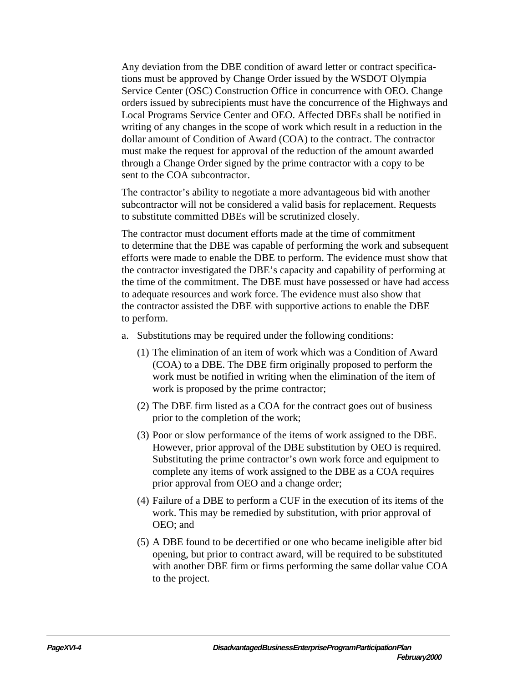Any deviation from the DBE condition of award letter or contract specifications must be approved by Change Order issued by the WSDOT Olympia Service Center (OSC) Construction Office in concurrence with OEO. Change orders issued by subrecipients must have the concurrence of the Highways and Local Programs Service Center and OEO. Affected DBEs shall be notified in writing of any changes in the scope of work which result in a reduction in the dollar amount of Condition of Award (COA) to the contract. The contractor must make the request for approval of the reduction of the amount awarded through a Change Order signed by the prime contractor with a copy to be sent to the COA subcontractor.

The contractor's ability to negotiate a more advantageous bid with another subcontractor will not be considered a valid basis for replacement. Requests to substitute committed DBEs will be scrutinized closely.

The contractor must document efforts made at the time of commitment to determine that the DBE was capable of performing the work and subsequent efforts were made to enable the DBE to perform. The evidence must show that the contractor investigated the DBE's capacity and capability of performing at the time of the commitment. The DBE must have possessed or have had access to adequate resources and work force. The evidence must also show that the contractor assisted the DBE with supportive actions to enable the DBE to perform.

- a. Substitutions may be required under the following conditions:
	- (1) The elimination of an item of work which was a Condition of Award (COA) to a DBE. The DBE firm originally proposed to perform the work must be notified in writing when the elimination of the item of work is proposed by the prime contractor;
	- (2) The DBE firm listed as a COA for the contract goes out of business prior to the completion of the work;
	- (3) Poor or slow performance of the items of work assigned to the DBE. However, prior approval of the DBE substitution by OEO is required. Substituting the prime contractor's own work force and equipment to complete any items of work assigned to the DBE as a COA requires prior approval from OEO and a change order;
	- (4) Failure of a DBE to perform a CUF in the execution of its items of the work. This may be remedied by substitution, with prior approval of OEO; and
	- (5) A DBE found to be decertified or one who became ineligible after bid opening, but prior to contract award, will be required to be substituted with another DBE firm or firms performing the same dollar value COA to the project.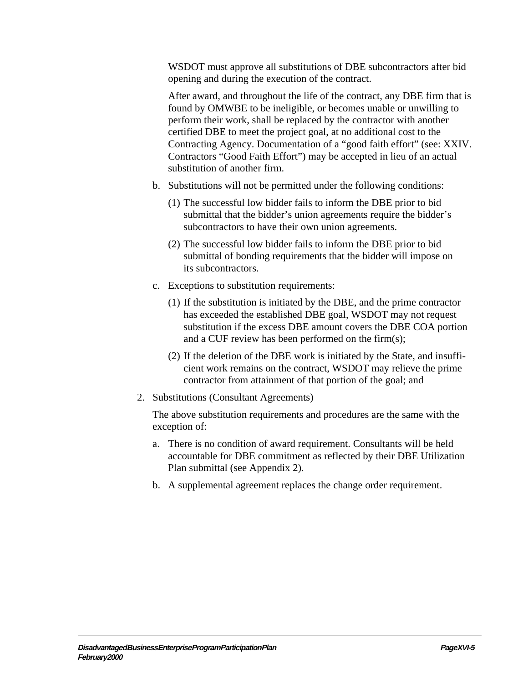WSDOT must approve all substitutions of DBE subcontractors after bid opening and during the execution of the contract.

After award, and throughout the life of the contract, any DBE firm that is found by OMWBE to be ineligible, or becomes unable or unwilling to perform their work, shall be replaced by the contractor with another certified DBE to meet the project goal, at no additional cost to the Contracting Agency. Documentation of a "good faith effort" (see: XXIV. Contractors "Good Faith Effort") may be accepted in lieu of an actual substitution of another firm.

- b. Substitutions will not be permitted under the following conditions:
	- (1) The successful low bidder fails to inform the DBE prior to bid submittal that the bidder's union agreements require the bidder's subcontractors to have their own union agreements.
	- (2) The successful low bidder fails to inform the DBE prior to bid submittal of bonding requirements that the bidder will impose on its subcontractors.
- c. Exceptions to substitution requirements:
	- (1) If the substitution is initiated by the DBE, and the prime contractor has exceeded the established DBE goal, WSDOT may not request substitution if the excess DBE amount covers the DBE COA portion and a CUF review has been performed on the firm(s);
	- (2) If the deletion of the DBE work is initiated by the State, and insufficient work remains on the contract, WSDOT may relieve the prime contractor from attainment of that portion of the goal; and
- 2. Substitutions (Consultant Agreements)

The above substitution requirements and procedures are the same with the exception of:

- a. There is no condition of award requirement. Consultants will be held accountable for DBE commitment as reflected by their DBE Utilization Plan submittal (see Appendix 2).
- b. A supplemental agreement replaces the change order requirement.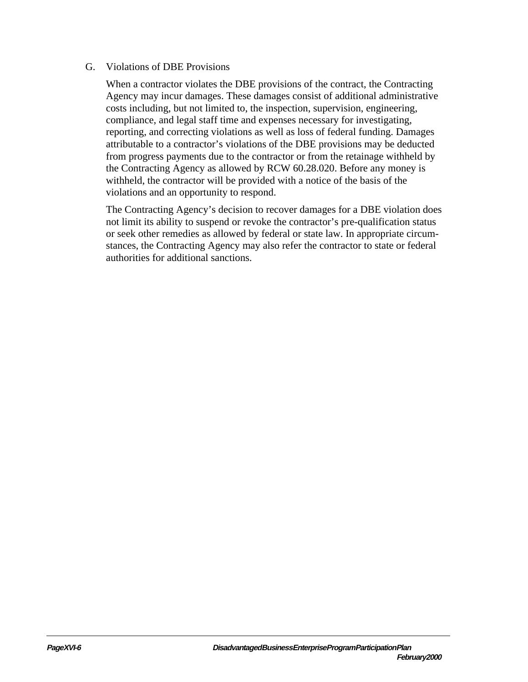#### G. Violations of DBE Provisions

When a contractor violates the DBE provisions of the contract, the Contracting Agency may incur damages. These damages consist of additional administrative costs including, but not limited to, the inspection, supervision, engineering, compliance, and legal staff time and expenses necessary for investigating, reporting, and correcting violations as well as loss of federal funding. Damages attributable to a contractor's violations of the DBE provisions may be deducted from progress payments due to the contractor or from the retainage withheld by the Contracting Agency as allowed by RCW 60.28.020. Before any money is withheld, the contractor will be provided with a notice of the basis of the violations and an opportunity to respond.

The Contracting Agency's decision to recover damages for a DBE violation does not limit its ability to suspend or revoke the contractor's pre-qualification status or seek other remedies as allowed by federal or state law. In appropriate circumstances, the Contracting Agency may also refer the contractor to state or federal authorities for additional sanctions.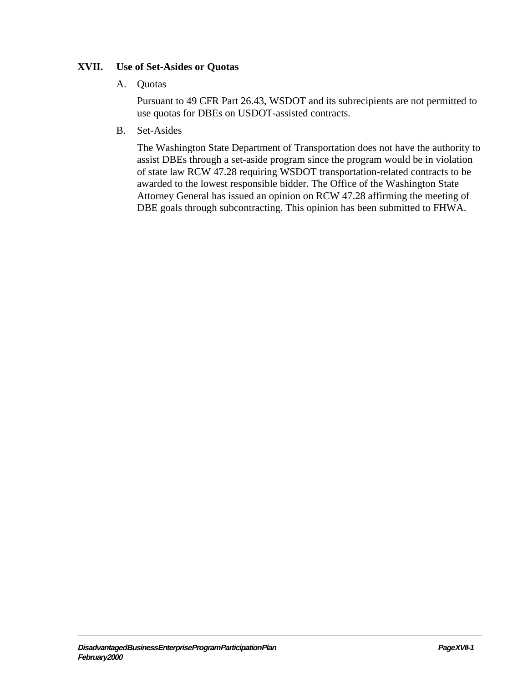# **XVII. Use of Set-Asides or Quotas**

#### A. Quotas

Pursuant to 49 CFR Part 26.43, WSDOT and its subrecipients are not permitted to use quotas for DBEs on USDOT-assisted contracts.

B. Set-Asides

The Washington State Department of Transportation does not have the authority to assist DBEs through a set-aside program since the program would be in violation of state law RCW 47.28 requiring WSDOT transportation-related contracts to be awarded to the lowest responsible bidder. The Office of the Washington State Attorney General has issued an opinion on RCW 47.28 affirming the meeting of DBE goals through subcontracting. This opinion has been submitted to FHWA.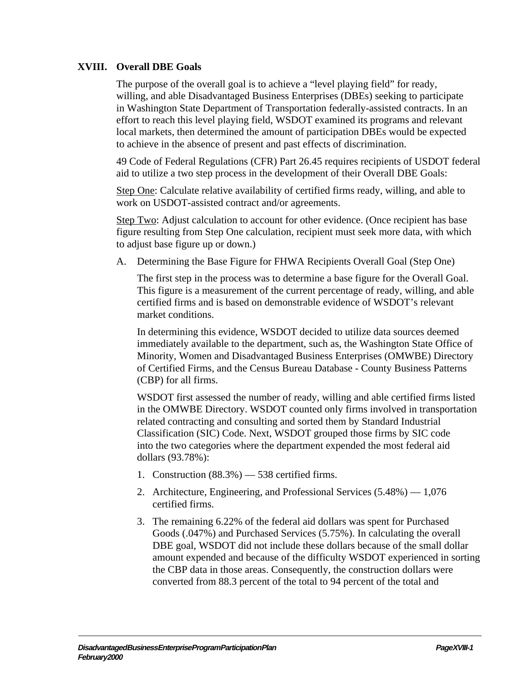## **XVIII. Overall DBE Goals**

The purpose of the overall goal is to achieve a "level playing field" for ready, willing, and able Disadvantaged Business Enterprises (DBEs) seeking to participate in Washington State Department of Transportation federally-assisted contracts. In an effort to reach this level playing field, WSDOT examined its programs and relevant local markets, then determined the amount of participation DBEs would be expected to achieve in the absence of present and past effects of discrimination.

49 Code of Federal Regulations (CFR) Part 26.45 requires recipients of USDOT federal aid to utilize a two step process in the development of their Overall DBE Goals:

Step One: Calculate relative availability of certified firms ready, willing, and able to work on USDOT-assisted contract and/or agreements.

Step Two: Adjust calculation to account for other evidence. (Once recipient has base figure resulting from Step One calculation, recipient must seek more data, with which to adjust base figure up or down.)

A. Determining the Base Figure for FHWA Recipients Overall Goal (Step One)

The first step in the process was to determine a base figure for the Overall Goal. This figure is a measurement of the current percentage of ready, willing, and able certified firms and is based on demonstrable evidence of WSDOT's relevant market conditions.

In determining this evidence, WSDOT decided to utilize data sources deemed immediately available to the department, such as, the Washington State Office of Minority, Women and Disadvantaged Business Enterprises (OMWBE) Directory of Certified Firms, and the Census Bureau Database - County Business Patterns (CBP) for all firms.

WSDOT first assessed the number of ready, willing and able certified firms listed in the OMWBE Directory. WSDOT counted only firms involved in transportation related contracting and consulting and sorted them by Standard Industrial Classification (SIC) Code. Next, WSDOT grouped those firms by SIC code into the two categories where the department expended the most federal aid dollars (93.78%):

- 1. Construction  $(88.3\%)$   $-$  538 certified firms.
- 2. Architecture, Engineering, and Professional Services (5.48%) 1,076 certified firms.
- 3. The remaining 6.22% of the federal aid dollars was spent for Purchased Goods (.047%) and Purchased Services (5.75%). In calculating the overall DBE goal, WSDOT did not include these dollars because of the small dollar amount expended and because of the difficulty WSDOT experienced in sorting the CBP data in those areas. Consequently, the construction dollars were converted from 88.3 percent of the total to 94 percent of the total and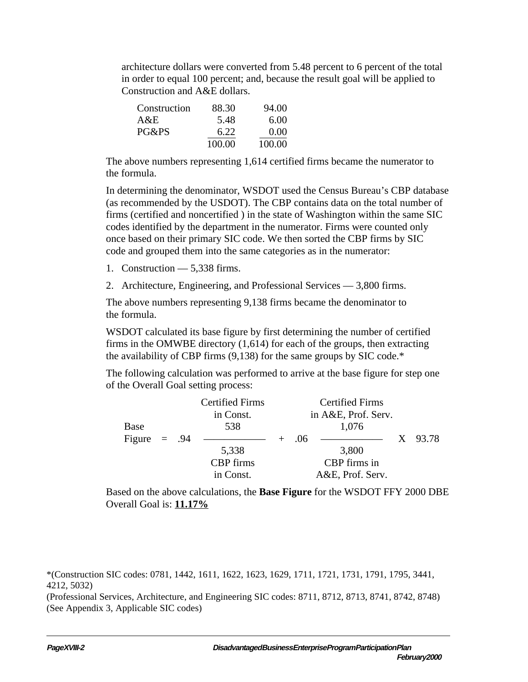architecture dollars were converted from 5.48 percent to 6 percent of the total in order to equal 100 percent; and, because the result goal will be applied to Construction and A&E dollars.

| Construction | 88.30  | 94.00  |
|--------------|--------|--------|
| A&E          | 5.48   | 6.00   |
| PG&PS        | 6.22   | 0.00   |
|              | 100.00 | 100.00 |

The above numbers representing 1,614 certified firms became the numerator to the formula.

In determining the denominator, WSDOT used the Census Bureau's CBP database (as recommended by the USDOT). The CBP contains data on the total number of firms (certified and noncertified ) in the state of Washington within the same SIC codes identified by the department in the numerator. Firms were counted only once based on their primary SIC code. We then sorted the CBP firms by SIC code and grouped them into the same categories as in the numerator:

- 1. Construction 5,338 firms.
- 2. Architecture, Engineering, and Professional Services 3,800 firms.

The above numbers representing 9,138 firms became the denominator to the formula.

WSDOT calculated its base figure by first determining the number of certified firms in the OMWBE directory (1,614) for each of the groups, then extracting the availability of CBP firms (9,138) for the same groups by SIC code.\*

The following calculation was performed to arrive at the base figure for step one of the Overall Goal setting process:

|                |  | <b>Certified Firms</b> | <b>Certified Firms</b> |     |                                                                                                                                                                                                                                      |         |
|----------------|--|------------------------|------------------------|-----|--------------------------------------------------------------------------------------------------------------------------------------------------------------------------------------------------------------------------------------|---------|
|                |  | in Const.              |                        |     | in A&E, Prof. Serv.                                                                                                                                                                                                                  |         |
| Base           |  | 538                    |                        |     | 1,076                                                                                                                                                                                                                                |         |
| Figure $= .94$ |  |                        |                        | .06 | <u> 1989 - Andrea Station Andrea Station Andrea Station Andrea Station Andrea Station Andrea Station Andrea Station Andrea Station Andrea Station Andrea Station Andrea Station Andrea Station Andrea Station Andrea Station And</u> | X 93.78 |
|                |  | 5,338                  |                        |     | 3,800                                                                                                                                                                                                                                |         |
|                |  | <b>CBP</b> firms       |                        |     | CBP firms in                                                                                                                                                                                                                         |         |
|                |  | in Const.              |                        |     | A&E, Prof. Serv.                                                                                                                                                                                                                     |         |

Based on the above calculations, the **Base Figure** for the WSDOT FFY 2000 DBE Overall Goal is: **11.17%**

\*(Construction SIC codes: 0781, 1442, 1611, 1622, 1623, 1629, 1711, 1721, 1731, 1791, 1795, 3441, 4212, 5032)

(Professional Services, Architecture, and Engineering SIC codes: 8711, 8712, 8713, 8741, 8742, 8748) (See Appendix 3, Applicable SIC codes)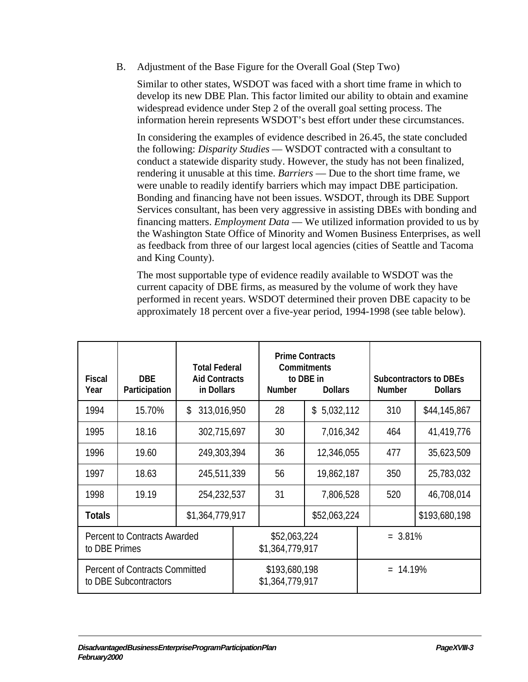B. Adjustment of the Base Figure for the Overall Goal (Step Two)

Similar to other states, WSDOT was faced with a short time frame in which to develop its new DBE Plan. This factor limited our ability to obtain and examine widespread evidence under Step 2 of the overall goal setting process. The information herein represents WSDOT's best effort under these circumstances.

In considering the examples of evidence described in 26.45, the state concluded the following: *Disparity Studies* — WSDOT contracted with a consultant to conduct a statewide disparity study. However, the study has not been finalized, rendering it unusable at this time. *Barriers* — Due to the short time frame, we were unable to readily identify barriers which may impact DBE participation. Bonding and financing have not been issues. WSDOT, through its DBE Support Services consultant, has been very aggressive in assisting DBEs with bonding and financing matters. *Employment Data* — We utilized information provided to us by the Washington State Office of Minority and Women Business Enterprises, as well as feedback from three of our largest local agencies (cities of Seattle and Tacoma and King County).

The most supportable type of evidence readily available to WSDOT was the current capacity of DBE firms, as measured by the volume of work they have performed in recent years. WSDOT determined their proven DBE capacity to be approximately 18 percent over a five-year period, 1994-1998 (see table below).

| <b>Fiscal</b><br>Year                                          | <b>DBE</b><br><b>Participation</b> | <b>Total Federal</b><br><b>Aid Contracts</b><br>in Dollars |  | <b>Prime Contracts</b><br><b>Commitments</b><br>to DBE in<br><b>Number</b><br><b>Dollars</b> |              |  | <b>Subcontractors to DBEs</b><br><b>Number</b><br><b>Dollars</b> |               |  |
|----------------------------------------------------------------|------------------------------------|------------------------------------------------------------|--|----------------------------------------------------------------------------------------------|--------------|--|------------------------------------------------------------------|---------------|--|
| 1994                                                           | 15.70%                             | \$<br>313,016,950                                          |  | 28                                                                                           | \$5,032,112  |  | 310                                                              | \$44,145,867  |  |
| 1995                                                           | 18.16                              | 302,715,697                                                |  | 30                                                                                           | 7,016,342    |  | 464                                                              | 41,419,776    |  |
| 1996                                                           | 19.60                              | 249,303,394                                                |  | 36                                                                                           | 12,346,055   |  | 477                                                              | 35,623,509    |  |
| 1997                                                           | 18.63                              | 245,511,339                                                |  | 56                                                                                           | 19,862,187   |  | 350                                                              | 25,783,032    |  |
| 1998                                                           | 19.19                              | 254,232,537                                                |  | 31                                                                                           | 7,806,528    |  | 520                                                              | 46,708,014    |  |
| <b>Totals</b>                                                  |                                    | \$1,364,779,917                                            |  |                                                                                              | \$52,063,224 |  |                                                                  | \$193,680,198 |  |
| <b>Percent to Contracts Awarded</b><br>to DBE Primes           |                                    |                                                            |  | \$52,063,224<br>\$1,364,779,917                                                              |              |  | $= 3.81\%$                                                       |               |  |
| <b>Percent of Contracts Committed</b><br>to DBE Subcontractors |                                    |                                                            |  | \$193,680,198<br>\$1,364,779,917                                                             |              |  | $= 14.19%$                                                       |               |  |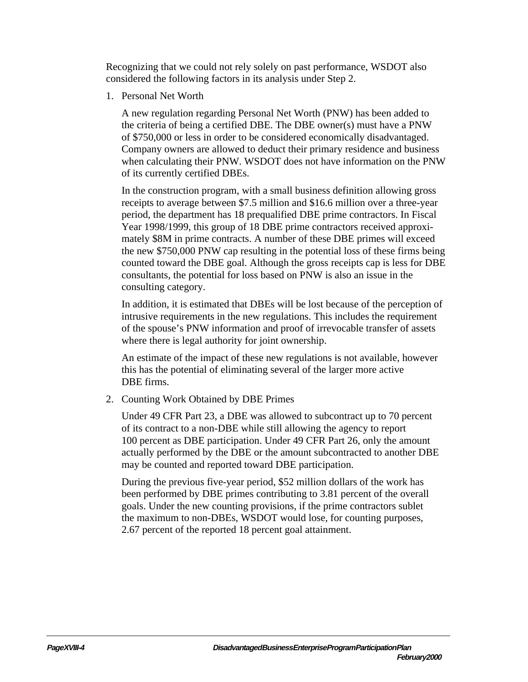Recognizing that we could not rely solely on past performance, WSDOT also considered the following factors in its analysis under Step 2.

1. Personal Net Worth

A new regulation regarding Personal Net Worth (PNW) has been added to the criteria of being a certified DBE. The DBE owner(s) must have a PNW of \$750,000 or less in order to be considered economically disadvantaged. Company owners are allowed to deduct their primary residence and business when calculating their PNW. WSDOT does not have information on the PNW of its currently certified DBEs.

In the construction program, with a small business definition allowing gross receipts to average between \$7.5 million and \$16.6 million over a three-year period, the department has 18 prequalified DBE prime contractors. In Fiscal Year 1998/1999, this group of 18 DBE prime contractors received approximately \$8M in prime contracts. A number of these DBE primes will exceed the new \$750,000 PNW cap resulting in the potential loss of these firms being counted toward the DBE goal. Although the gross receipts cap is less for DBE consultants, the potential for loss based on PNW is also an issue in the consulting category.

In addition, it is estimated that DBEs will be lost because of the perception of intrusive requirements in the new regulations. This includes the requirement of the spouse's PNW information and proof of irrevocable transfer of assets where there is legal authority for joint ownership.

An estimate of the impact of these new regulations is not available, however this has the potential of eliminating several of the larger more active DBE firms.

2. Counting Work Obtained by DBE Primes

Under 49 CFR Part 23, a DBE was allowed to subcontract up to 70 percent of its contract to a non-DBE while still allowing the agency to report 100 percent as DBE participation. Under 49 CFR Part 26, only the amount actually performed by the DBE or the amount subcontracted to another DBE may be counted and reported toward DBE participation.

During the previous five-year period, \$52 million dollars of the work has been performed by DBE primes contributing to 3.81 percent of the overall goals. Under the new counting provisions, if the prime contractors sublet the maximum to non-DBEs, WSDOT would lose, for counting purposes, 2.67 percent of the reported 18 percent goal attainment.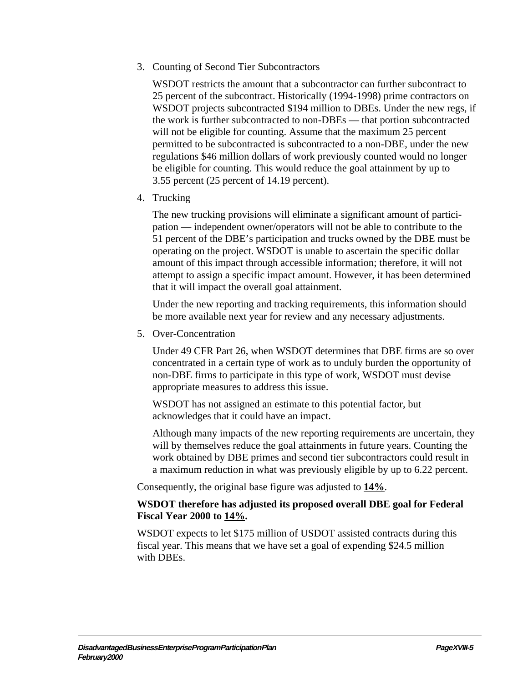3. Counting of Second Tier Subcontractors

WSDOT restricts the amount that a subcontractor can further subcontract to 25 percent of the subcontract. Historically (1994-1998) prime contractors on WSDOT projects subcontracted \$194 million to DBEs. Under the new regs, if the work is further subcontracted to non-DBEs — that portion subcontracted will not be eligible for counting. Assume that the maximum 25 percent permitted to be subcontracted is subcontracted to a non-DBE, under the new regulations \$46 million dollars of work previously counted would no longer be eligible for counting. This would reduce the goal attainment by up to 3.55 percent (25 percent of 14.19 percent).

4. Trucking

The new trucking provisions will eliminate a significant amount of participation — independent owner/operators will not be able to contribute to the 51 percent of the DBE's participation and trucks owned by the DBE must be operating on the project. WSDOT is unable to ascertain the specific dollar amount of this impact through accessible information; therefore, it will not attempt to assign a specific impact amount. However, it has been determined that it will impact the overall goal attainment.

Under the new reporting and tracking requirements, this information should be more available next year for review and any necessary adjustments.

5. Over-Concentration

Under 49 CFR Part 26, when WSDOT determines that DBE firms are so over concentrated in a certain type of work as to unduly burden the opportunity of non-DBE firms to participate in this type of work, WSDOT must devise appropriate measures to address this issue.

WSDOT has not assigned an estimate to this potential factor, but acknowledges that it could have an impact.

Although many impacts of the new reporting requirements are uncertain, they will by themselves reduce the goal attainments in future years. Counting the work obtained by DBE primes and second tier subcontractors could result in a maximum reduction in what was previously eligible by up to 6.22 percent.

Consequently, the original base figure was adjusted to **14%**.

## **WSDOT therefore has adjusted its proposed overall DBE goal for Federal Fiscal Year 2000 to 14%.**

WSDOT expects to let \$175 million of USDOT assisted contracts during this fiscal year. This means that we have set a goal of expending \$24.5 million with DBEs.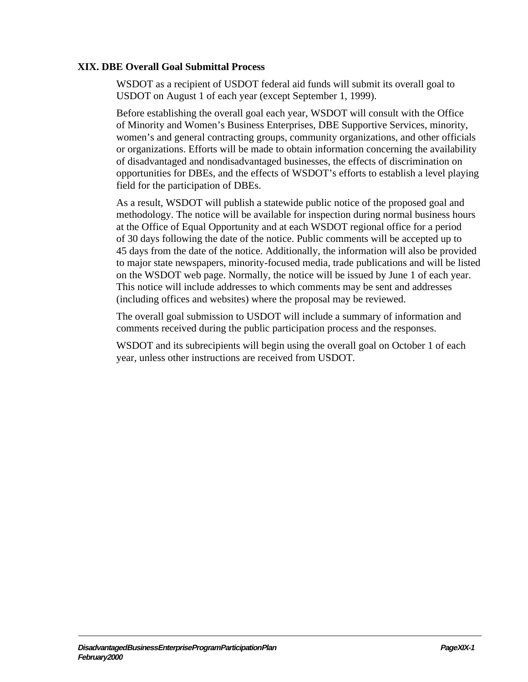### **XIX. DBE Overall Goal Submittal Process**

WSDOT as a recipient of USDOT federal aid funds will submit its overall goal to USDOT on August 1 of each year (except September 1, 1999).

Before establishing the overall goal each year, WSDOT will consult with the Office of Minority and Women's Business Enterprises, DBE Supportive Services, minority, women's and general contracting groups, community organizations, and other officials or organizations. Efforts will be made to obtain information concerning the availability of disadvantaged and nondisadvantaged businesses, the effects of discrimination on opportunities for DBEs, and the effects of WSDOT's efforts to establish a level playing field for the participation of DBEs.

As a result, WSDOT will publish a statewide public notice of the proposed goal and methodology. The notice will be available for inspection during normal business hours at the Office of Equal Opportunity and at each WSDOT regional office for a period of 30 days following the date of the notice. Public comments will be accepted up to 45 days from the date of the notice. Additionally, the information will also be provided to major state newspapers, minority-focused media, trade publications and will be listed on the WSDOT web page. Normally, the notice will be issued by June 1 of each year. This notice will include addresses to which comments may be sent and addresses (including offices and websites) where the proposal may be reviewed.

The overall goal submission to USDOT will include a summary of information and comments received during the public participation process and the responses.

WSDOT and its subrecipients will begin using the overall goal on October 1 of each year, unless other instructions are received from USDOT.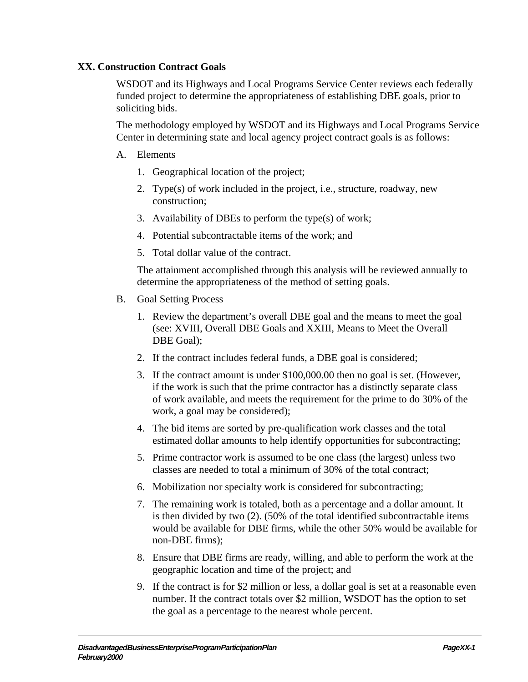# **XX. Construction Contract Goals**

WSDOT and its Highways and Local Programs Service Center reviews each federally funded project to determine the appropriateness of establishing DBE goals, prior to soliciting bids.

The methodology employed by WSDOT and its Highways and Local Programs Service Center in determining state and local agency project contract goals is as follows:

### A. Elements

- 1. Geographical location of the project;
- 2. Type(s) of work included in the project, i.e., structure, roadway, new construction;
- 3. Availability of DBEs to perform the type(s) of work;
- 4. Potential subcontractable items of the work; and
- 5. Total dollar value of the contract.

The attainment accomplished through this analysis will be reviewed annually to determine the appropriateness of the method of setting goals.

- B. Goal Setting Process
	- 1. Review the department's overall DBE goal and the means to meet the goal (see: XVIII, Overall DBE Goals and XXIII, Means to Meet the Overall DBE Goal);
	- 2. If the contract includes federal funds, a DBE goal is considered;
	- 3. If the contract amount is under \$100,000.00 then no goal is set. (However, if the work is such that the prime contractor has a distinctly separate class of work available, and meets the requirement for the prime to do 30% of the work, a goal may be considered);
	- 4. The bid items are sorted by pre-qualification work classes and the total estimated dollar amounts to help identify opportunities for subcontracting;
	- 5. Prime contractor work is assumed to be one class (the largest) unless two classes are needed to total a minimum of 30% of the total contract;
	- 6. Mobilization nor specialty work is considered for subcontracting;
	- 7. The remaining work is totaled, both as a percentage and a dollar amount. It is then divided by two (2). (50% of the total identified subcontractable items would be available for DBE firms, while the other 50% would be available for non-DBE firms);
	- 8. Ensure that DBE firms are ready, willing, and able to perform the work at the geographic location and time of the project; and
	- 9. If the contract is for \$2 million or less, a dollar goal is set at a reasonable even number. If the contract totals over \$2 million, WSDOT has the option to set the goal as a percentage to the nearest whole percent.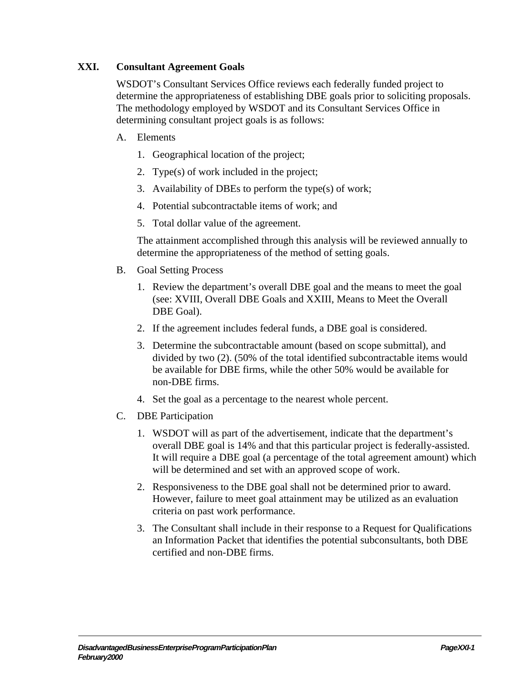# **XXI. Consultant Agreement Goals**

WSDOT's Consultant Services Office reviews each federally funded project to determine the appropriateness of establishing DBE goals prior to soliciting proposals. The methodology employed by WSDOT and its Consultant Services Office in determining consultant project goals is as follows:

#### A. Elements

- 1. Geographical location of the project;
- 2. Type(s) of work included in the project;
- 3. Availability of DBEs to perform the type(s) of work;
- 4. Potential subcontractable items of work; and
- 5. Total dollar value of the agreement.

The attainment accomplished through this analysis will be reviewed annually to determine the appropriateness of the method of setting goals.

- B. Goal Setting Process
	- 1. Review the department's overall DBE goal and the means to meet the goal (see: XVIII, Overall DBE Goals and XXIII, Means to Meet the Overall DBE Goal).
	- 2. If the agreement includes federal funds, a DBE goal is considered.
	- 3. Determine the subcontractable amount (based on scope submittal), and divided by two (2). (50% of the total identified subcontractable items would be available for DBE firms, while the other 50% would be available for non-DBE firms.
	- 4. Set the goal as a percentage to the nearest whole percent.
- C. DBE Participation
	- 1. WSDOT will as part of the advertisement, indicate that the department's overall DBE goal is 14% and that this particular project is federally-assisted. It will require a DBE goal (a percentage of the total agreement amount) which will be determined and set with an approved scope of work.
	- 2. Responsiveness to the DBE goal shall not be determined prior to award. However, failure to meet goal attainment may be utilized as an evaluation criteria on past work performance.
	- 3. The Consultant shall include in their response to a Request for Qualifications an Information Packet that identifies the potential subconsultants, both DBE certified and non-DBE firms.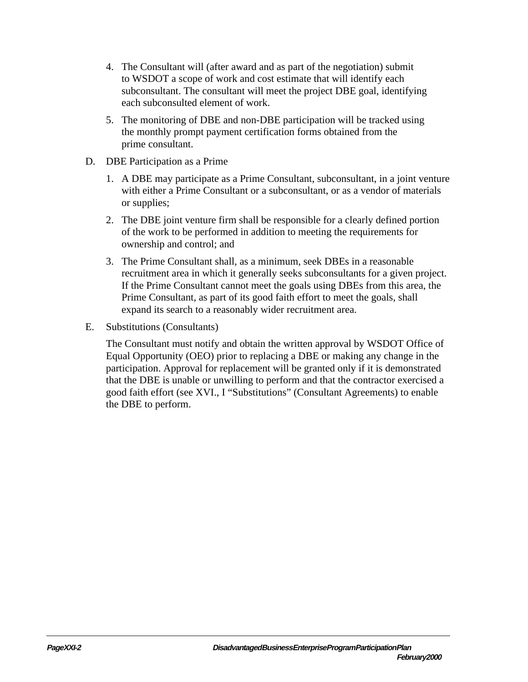- 4. The Consultant will (after award and as part of the negotiation) submit to WSDOT a scope of work and cost estimate that will identify each subconsultant. The consultant will meet the project DBE goal, identifying each subconsulted element of work.
- 5. The monitoring of DBE and non-DBE participation will be tracked using the monthly prompt payment certification forms obtained from the prime consultant.
- D. DBE Participation as a Prime
	- 1. A DBE may participate as a Prime Consultant, subconsultant, in a joint venture with either a Prime Consultant or a subconsultant, or as a vendor of materials or supplies;
	- 2. The DBE joint venture firm shall be responsible for a clearly defined portion of the work to be performed in addition to meeting the requirements for ownership and control; and
	- 3. The Prime Consultant shall, as a minimum, seek DBEs in a reasonable recruitment area in which it generally seeks subconsultants for a given project. If the Prime Consultant cannot meet the goals using DBEs from this area, the Prime Consultant, as part of its good faith effort to meet the goals, shall expand its search to a reasonably wider recruitment area.
- E. Substitutions (Consultants)

The Consultant must notify and obtain the written approval by WSDOT Office of Equal Opportunity (OEO) prior to replacing a DBE or making any change in the participation. Approval for replacement will be granted only if it is demonstrated that the DBE is unable or unwilling to perform and that the contractor exercised a good faith effort (see XVI., I "Substitutions" (Consultant Agreements) to enable the DBE to perform.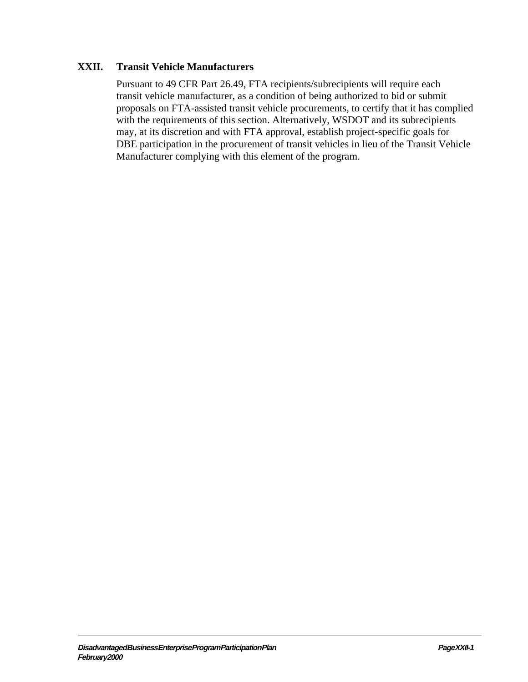## **XXII. Transit Vehicle Manufacturers**

Pursuant to 49 CFR Part 26.49, FTA recipients/subrecipients will require each transit vehicle manufacturer, as a condition of being authorized to bid or submit proposals on FTA-assisted transit vehicle procurements, to certify that it has complied with the requirements of this section. Alternatively, WSDOT and its subrecipients may, at its discretion and with FTA approval, establish project-specific goals for DBE participation in the procurement of transit vehicles in lieu of the Transit Vehicle Manufacturer complying with this element of the program.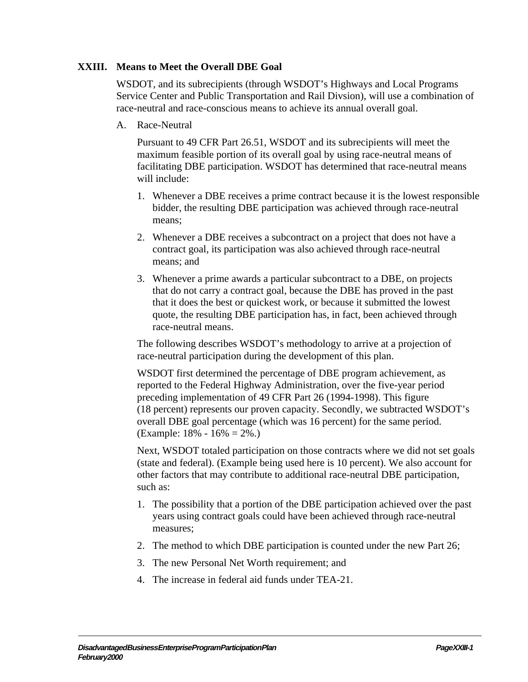## **XXIII. Means to Meet the Overall DBE Goal**

WSDOT, and its subrecipients (through WSDOT's Highways and Local Programs Service Center and Public Transportation and Rail Divsion), will use a combination of race-neutral and race-conscious means to achieve its annual overall goal.

A. Race-Neutral

Pursuant to 49 CFR Part 26.51, WSDOT and its subrecipients will meet the maximum feasible portion of its overall goal by using race-neutral means of facilitating DBE participation. WSDOT has determined that race-neutral means will include:

- 1. Whenever a DBE receives a prime contract because it is the lowest responsible bidder, the resulting DBE participation was achieved through race-neutral means;
- 2. Whenever a DBE receives a subcontract on a project that does not have a contract goal, its participation was also achieved through race-neutral means; and
- 3. Whenever a prime awards a particular subcontract to a DBE, on projects that do not carry a contract goal, because the DBE has proved in the past that it does the best or quickest work, or because it submitted the lowest quote, the resulting DBE participation has, in fact, been achieved through race-neutral means.

The following describes WSDOT's methodology to arrive at a projection of race-neutral participation during the development of this plan.

WSDOT first determined the percentage of DBE program achievement, as reported to the Federal Highway Administration, over the five-year period preceding implementation of 49 CFR Part 26 (1994-1998). This figure (18 percent) represents our proven capacity. Secondly, we subtracted WSDOT's overall DBE goal percentage (which was 16 percent) for the same period. (Example: 18% - 16% = 2%.)

Next, WSDOT totaled participation on those contracts where we did not set goals (state and federal). (Example being used here is 10 percent). We also account for other factors that may contribute to additional race-neutral DBE participation, such as:

- 1. The possibility that a portion of the DBE participation achieved over the past years using contract goals could have been achieved through race-neutral measures;
- 2. The method to which DBE participation is counted under the new Part 26;
- 3. The new Personal Net Worth requirement; and
- 4. The increase in federal aid funds under TEA-21.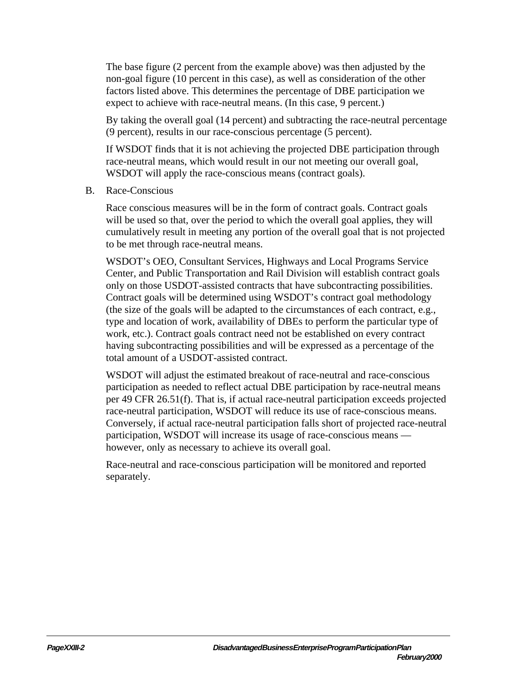The base figure (2 percent from the example above) was then adjusted by the non-goal figure (10 percent in this case), as well as consideration of the other factors listed above. This determines the percentage of DBE participation we expect to achieve with race-neutral means. (In this case, 9 percent.)

By taking the overall goal (14 percent) and subtracting the race-neutral percentage (9 percent), results in our race-conscious percentage (5 percent).

If WSDOT finds that it is not achieving the projected DBE participation through race-neutral means, which would result in our not meeting our overall goal, WSDOT will apply the race-conscious means (contract goals).

B. Race-Conscious

Race conscious measures will be in the form of contract goals. Contract goals will be used so that, over the period to which the overall goal applies, they will cumulatively result in meeting any portion of the overall goal that is not projected to be met through race-neutral means.

WSDOT's OEO, Consultant Services, Highways and Local Programs Service Center, and Public Transportation and Rail Division will establish contract goals only on those USDOT-assisted contracts that have subcontracting possibilities. Contract goals will be determined using WSDOT's contract goal methodology (the size of the goals will be adapted to the circumstances of each contract, e.g., type and location of work, availability of DBEs to perform the particular type of work, etc.). Contract goals contract need not be established on every contract having subcontracting possibilities and will be expressed as a percentage of the total amount of a USDOT-assisted contract.

WSDOT will adjust the estimated breakout of race-neutral and race-conscious participation as needed to reflect actual DBE participation by race-neutral means per 49 CFR 26.51(f). That is, if actual race-neutral participation exceeds projected race-neutral participation, WSDOT will reduce its use of race-conscious means. Conversely, if actual race-neutral participation falls short of projected race-neutral participation, WSDOT will increase its usage of race-conscious means however, only as necessary to achieve its overall goal.

Race-neutral and race-conscious participation will be monitored and reported separately.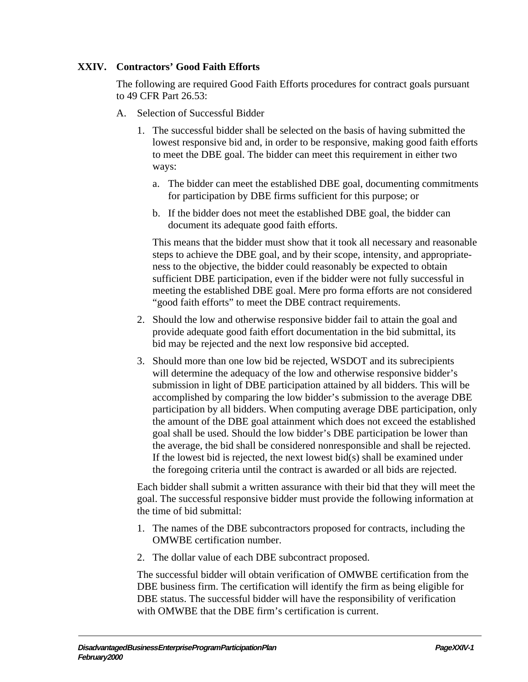# **XXIV. Contractors' Good Faith Efforts**

The following are required Good Faith Efforts procedures for contract goals pursuant to 49 CFR Part 26.53:

- A. Selection of Successful Bidder
	- 1. The successful bidder shall be selected on the basis of having submitted the lowest responsive bid and, in order to be responsive, making good faith efforts to meet the DBE goal. The bidder can meet this requirement in either two ways:
		- a. The bidder can meet the established DBE goal, documenting commitments for participation by DBE firms sufficient for this purpose; or
		- b. If the bidder does not meet the established DBE goal, the bidder can document its adequate good faith efforts.

This means that the bidder must show that it took all necessary and reasonable steps to achieve the DBE goal, and by their scope, intensity, and appropriateness to the objective, the bidder could reasonably be expected to obtain sufficient DBE participation, even if the bidder were not fully successful in meeting the established DBE goal. Mere pro forma efforts are not considered "good faith efforts" to meet the DBE contract requirements.

- 2. Should the low and otherwise responsive bidder fail to attain the goal and provide adequate good faith effort documentation in the bid submittal, its bid may be rejected and the next low responsive bid accepted.
- 3. Should more than one low bid be rejected, WSDOT and its subrecipients will determine the adequacy of the low and otherwise responsive bidder's submission in light of DBE participation attained by all bidders. This will be accomplished by comparing the low bidder's submission to the average DBE participation by all bidders. When computing average DBE participation, only the amount of the DBE goal attainment which does not exceed the established goal shall be used. Should the low bidder's DBE participation be lower than the average, the bid shall be considered nonresponsible and shall be rejected. If the lowest bid is rejected, the next lowest bid(s) shall be examined under the foregoing criteria until the contract is awarded or all bids are rejected.

Each bidder shall submit a written assurance with their bid that they will meet the goal. The successful responsive bidder must provide the following information at the time of bid submittal:

- 1. The names of the DBE subcontractors proposed for contracts, including the OMWBE certification number.
- 2. The dollar value of each DBE subcontract proposed.

The successful bidder will obtain verification of OMWBE certification from the DBE business firm. The certification will identify the firm as being eligible for DBE status. The successful bidder will have the responsibility of verification with OMWBE that the DBE firm's certification is current.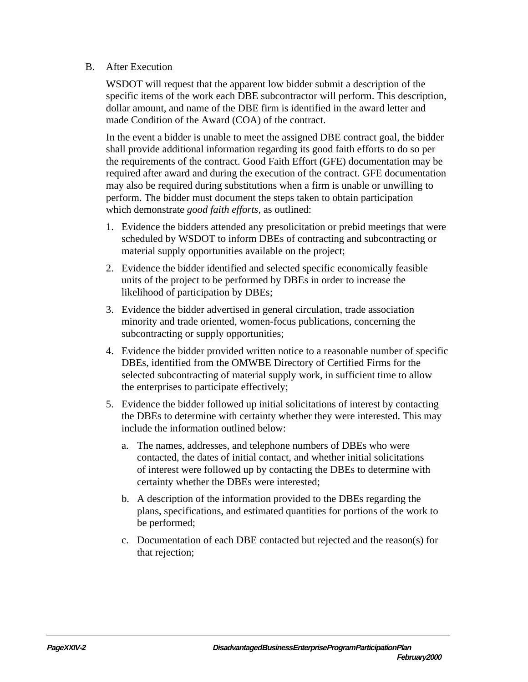#### B. After Execution

WSDOT will request that the apparent low bidder submit a description of the specific items of the work each DBE subcontractor will perform. This description, dollar amount, and name of the DBE firm is identified in the award letter and made Condition of the Award (COA) of the contract.

In the event a bidder is unable to meet the assigned DBE contract goal, the bidder shall provide additional information regarding its good faith efforts to do so per the requirements of the contract. Good Faith Effort (GFE) documentation may be required after award and during the execution of the contract. GFE documentation may also be required during substitutions when a firm is unable or unwilling to perform. The bidder must document the steps taken to obtain participation which demonstrate *good faith efforts*, as outlined:

- 1. Evidence the bidders attended any presolicitation or prebid meetings that were scheduled by WSDOT to inform DBEs of contracting and subcontracting or material supply opportunities available on the project;
- 2. Evidence the bidder identified and selected specific economically feasible units of the project to be performed by DBEs in order to increase the likelihood of participation by DBEs;
- 3. Evidence the bidder advertised in general circulation, trade association minority and trade oriented, women-focus publications, concerning the subcontracting or supply opportunities;
- 4. Evidence the bidder provided written notice to a reasonable number of specific DBEs, identified from the OMWBE Directory of Certified Firms for the selected subcontracting of material supply work, in sufficient time to allow the enterprises to participate effectively;
- 5. Evidence the bidder followed up initial solicitations of interest by contacting the DBEs to determine with certainty whether they were interested. This may include the information outlined below:
	- a. The names, addresses, and telephone numbers of DBEs who were contacted, the dates of initial contact, and whether initial solicitations of interest were followed up by contacting the DBEs to determine with certainty whether the DBEs were interested;
	- b. A description of the information provided to the DBEs regarding the plans, specifications, and estimated quantities for portions of the work to be performed;
	- c. Documentation of each DBE contacted but rejected and the reason(s) for that rejection;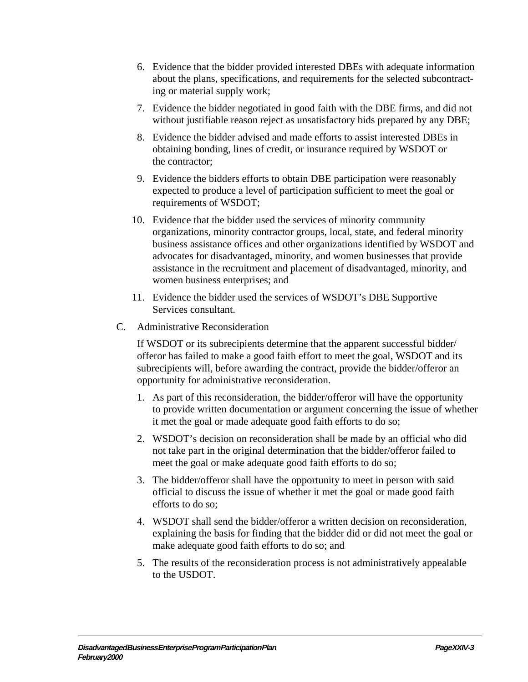- 6. Evidence that the bidder provided interested DBEs with adequate information about the plans, specifications, and requirements for the selected subcontracting or material supply work;
- 7. Evidence the bidder negotiated in good faith with the DBE firms, and did not without justifiable reason reject as unsatisfactory bids prepared by any DBE;
- 8. Evidence the bidder advised and made efforts to assist interested DBEs in obtaining bonding, lines of credit, or insurance required by WSDOT or the contractor;
- 9. Evidence the bidders efforts to obtain DBE participation were reasonably expected to produce a level of participation sufficient to meet the goal or requirements of WSDOT;
- 10. Evidence that the bidder used the services of minority community organizations, minority contractor groups, local, state, and federal minority business assistance offices and other organizations identified by WSDOT and advocates for disadvantaged, minority, and women businesses that provide assistance in the recruitment and placement of disadvantaged, minority, and women business enterprises; and
- 11. Evidence the bidder used the services of WSDOT's DBE Supportive Services consultant.
- C. Administrative Reconsideration

If WSDOT or its subrecipients determine that the apparent successful bidder/ offeror has failed to make a good faith effort to meet the goal, WSDOT and its subrecipients will, before awarding the contract, provide the bidder/offeror an opportunity for administrative reconsideration.

- 1. As part of this reconsideration, the bidder/offeror will have the opportunity to provide written documentation or argument concerning the issue of whether it met the goal or made adequate good faith efforts to do so;
- 2. WSDOT's decision on reconsideration shall be made by an official who did not take part in the original determination that the bidder/offeror failed to meet the goal or make adequate good faith efforts to do so;
- 3. The bidder/offeror shall have the opportunity to meet in person with said official to discuss the issue of whether it met the goal or made good faith efforts to do so;
- 4. WSDOT shall send the bidder/offeror a written decision on reconsideration, explaining the basis for finding that the bidder did or did not meet the goal or make adequate good faith efforts to do so; and
- 5. The results of the reconsideration process is not administratively appealable to the USDOT.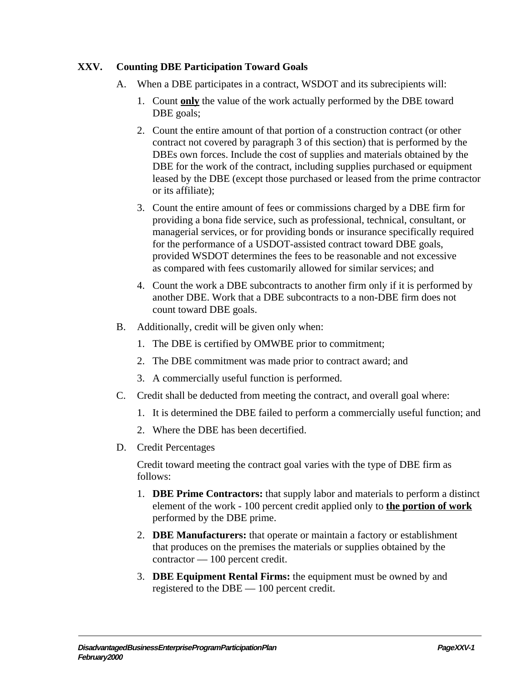## **XXV. Counting DBE Participation Toward Goals**

- A. When a DBE participates in a contract, WSDOT and its subrecipients will:
	- 1. Count **only** the value of the work actually performed by the DBE toward DBE goals;
	- 2. Count the entire amount of that portion of a construction contract (or other contract not covered by paragraph 3 of this section) that is performed by the DBEs own forces. Include the cost of supplies and materials obtained by the DBE for the work of the contract, including supplies purchased or equipment leased by the DBE (except those purchased or leased from the prime contractor or its affiliate);
	- 3. Count the entire amount of fees or commissions charged by a DBE firm for providing a bona fide service, such as professional, technical, consultant, or managerial services, or for providing bonds or insurance specifically required for the performance of a USDOT-assisted contract toward DBE goals, provided WSDOT determines the fees to be reasonable and not excessive as compared with fees customarily allowed for similar services; and
	- 4. Count the work a DBE subcontracts to another firm only if it is performed by another DBE. Work that a DBE subcontracts to a non-DBE firm does not count toward DBE goals.
- B. Additionally, credit will be given only when:
	- 1. The DBE is certified by OMWBE prior to commitment;
	- 2. The DBE commitment was made prior to contract award; and
	- 3. A commercially useful function is performed.
- C. Credit shall be deducted from meeting the contract, and overall goal where:
	- 1. It is determined the DBE failed to perform a commercially useful function; and
	- 2. Where the DBE has been decertified.
- D. Credit Percentages

Credit toward meeting the contract goal varies with the type of DBE firm as follows:

- 1. **DBE Prime Contractors:** that supply labor and materials to perform a distinct element of the work - 100 percent credit applied only to **the portion of work** performed by the DBE prime.
- 2. **DBE Manufacturers:** that operate or maintain a factory or establishment that produces on the premises the materials or supplies obtained by the contractor — 100 percent credit.
- 3. **DBE Equipment Rental Firms:** the equipment must be owned by and registered to the DBE — 100 percent credit.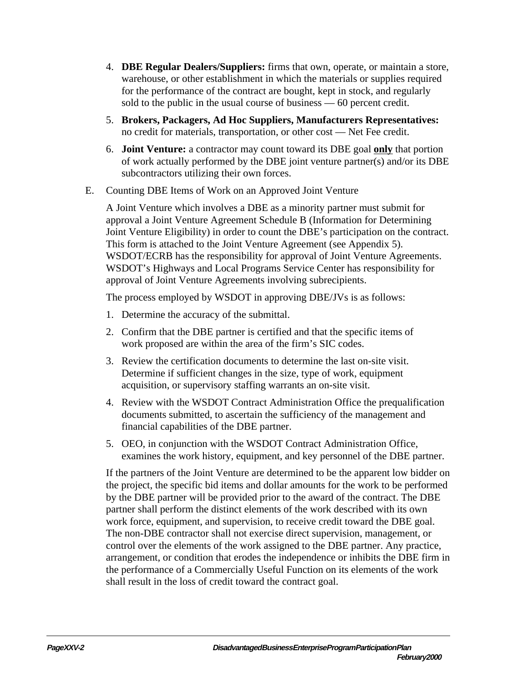- 4. **DBE Regular Dealers/Suppliers:** firms that own, operate, or maintain a store, warehouse, or other establishment in which the materials or supplies required for the performance of the contract are bought, kept in stock, and regularly sold to the public in the usual course of business — 60 percent credit.
- 5. **Brokers, Packagers, Ad Hoc Suppliers, Manufacturers Representatives:** no credit for materials, transportation, or other cost — Net Fee credit.
- 6. **Joint Venture:** a contractor may count toward its DBE goal **only** that portion of work actually performed by the DBE joint venture partner(s) and/or its DBE subcontractors utilizing their own forces.
- E. Counting DBE Items of Work on an Approved Joint Venture

A Joint Venture which involves a DBE as a minority partner must submit for approval a Joint Venture Agreement Schedule B (Information for Determining Joint Venture Eligibility) in order to count the DBE's participation on the contract. This form is attached to the Joint Venture Agreement (see Appendix 5). WSDOT/ECRB has the responsibility for approval of Joint Venture Agreements. WSDOT's Highways and Local Programs Service Center has responsibility for approval of Joint Venture Agreements involving subrecipients.

The process employed by WSDOT in approving DBE/JVs is as follows:

- 1. Determine the accuracy of the submittal.
- 2. Confirm that the DBE partner is certified and that the specific items of work proposed are within the area of the firm's SIC codes.
- 3. Review the certification documents to determine the last on-site visit. Determine if sufficient changes in the size, type of work, equipment acquisition, or supervisory staffing warrants an on-site visit.
- 4. Review with the WSDOT Contract Administration Office the prequalification documents submitted, to ascertain the sufficiency of the management and financial capabilities of the DBE partner.
- 5. OEO, in conjunction with the WSDOT Contract Administration Office, examines the work history, equipment, and key personnel of the DBE partner.

If the partners of the Joint Venture are determined to be the apparent low bidder on the project, the specific bid items and dollar amounts for the work to be performed by the DBE partner will be provided prior to the award of the contract. The DBE partner shall perform the distinct elements of the work described with its own work force, equipment, and supervision, to receive credit toward the DBE goal. The non-DBE contractor shall not exercise direct supervision, management, or control over the elements of the work assigned to the DBE partner. Any practice, arrangement, or condition that erodes the independence or inhibits the DBE firm in the performance of a Commercially Useful Function on its elements of the work shall result in the loss of credit toward the contract goal.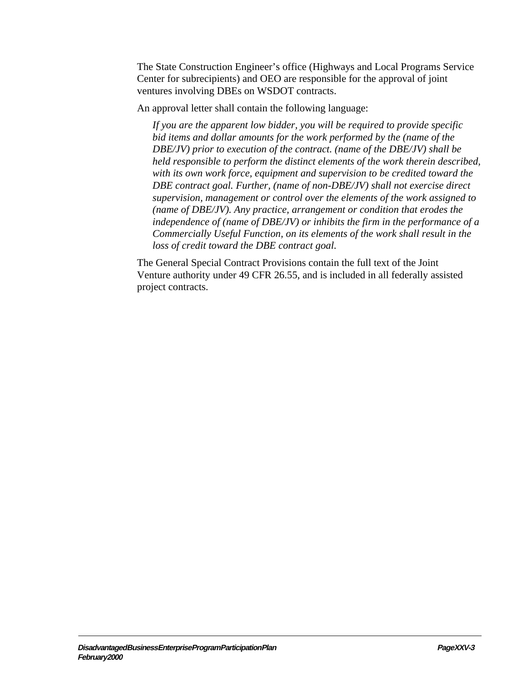The State Construction Engineer's office (Highways and Local Programs Service Center for subrecipients) and OEO are responsible for the approval of joint ventures involving DBEs on WSDOT contracts.

An approval letter shall contain the following language:

*If you are the apparent low bidder, you will be required to provide specific bid items and dollar amounts for the work performed by the (name of the DBE/JV) prior to execution of the contract. (name of the DBE/JV) shall be held responsible to perform the distinct elements of the work therein described, with its own work force, equipment and supervision to be credited toward the DBE contract goal. Further, (name of non-DBE/JV) shall not exercise direct supervision, management or control over the elements of the work assigned to (name of DBE/JV). Any practice, arrangement or condition that erodes the independence of (name of DBE/JV) or inhibits the firm in the performance of a Commercially Useful Function, on its elements of the work shall result in the loss of credit toward the DBE contract goal*.

The General Special Contract Provisions contain the full text of the Joint Venture authority under 49 CFR 26.55, and is included in all federally assisted project contracts.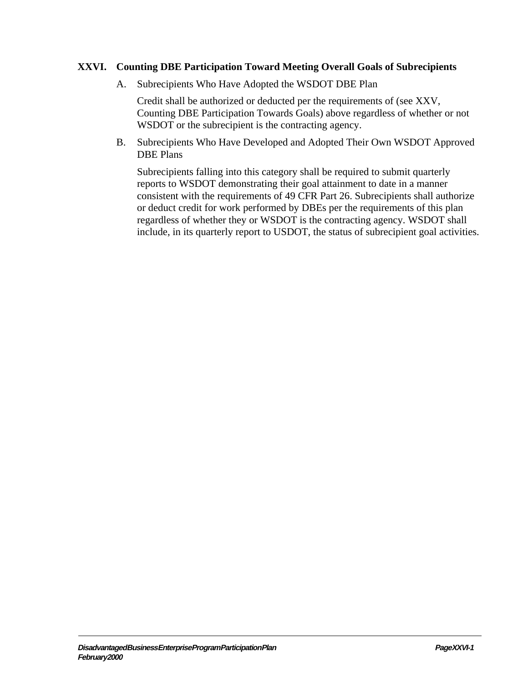## **XXVI. Counting DBE Participation Toward Meeting Overall Goals of Subrecipients**

A. Subrecipients Who Have Adopted the WSDOT DBE Plan

Credit shall be authorized or deducted per the requirements of (see XXV, Counting DBE Participation Towards Goals) above regardless of whether or not WSDOT or the subrecipient is the contracting agency.

B. Subrecipients Who Have Developed and Adopted Their Own WSDOT Approved DBE Plans

Subrecipients falling into this category shall be required to submit quarterly reports to WSDOT demonstrating their goal attainment to date in a manner consistent with the requirements of 49 CFR Part 26. Subrecipients shall authorize or deduct credit for work performed by DBEs per the requirements of this plan regardless of whether they or WSDOT is the contracting agency. WSDOT shall include, in its quarterly report to USDOT, the status of subrecipient goal activities.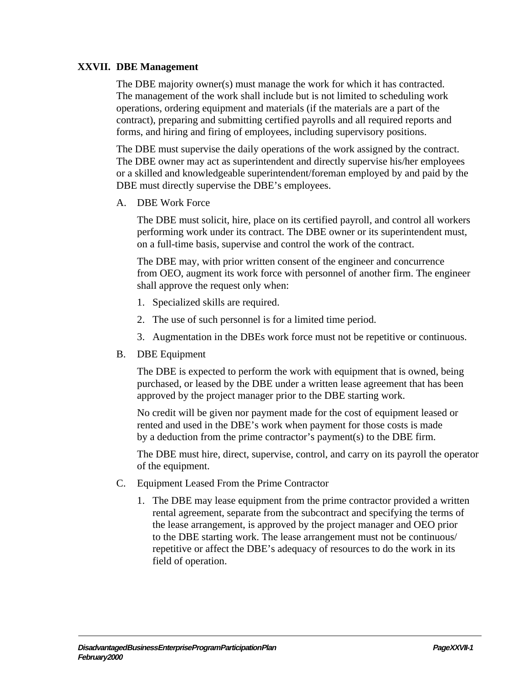## **XXVII. DBE Management**

The DBE majority owner(s) must manage the work for which it has contracted. The management of the work shall include but is not limited to scheduling work operations, ordering equipment and materials (if the materials are a part of the contract), preparing and submitting certified payrolls and all required reports and forms, and hiring and firing of employees, including supervisory positions.

The DBE must supervise the daily operations of the work assigned by the contract. The DBE owner may act as superintendent and directly supervise his/her employees or a skilled and knowledgeable superintendent/foreman employed by and paid by the DBE must directly supervise the DBE's employees.

A. DBE Work Force

The DBE must solicit, hire, place on its certified payroll, and control all workers performing work under its contract. The DBE owner or its superintendent must, on a full-time basis, supervise and control the work of the contract.

The DBE may, with prior written consent of the engineer and concurrence from OEO, augment its work force with personnel of another firm. The engineer shall approve the request only when:

- 1. Specialized skills are required.
- 2. The use of such personnel is for a limited time period.
- 3. Augmentation in the DBEs work force must not be repetitive or continuous.
- B. DBE Equipment

The DBE is expected to perform the work with equipment that is owned, being purchased, or leased by the DBE under a written lease agreement that has been approved by the project manager prior to the DBE starting work.

No credit will be given nor payment made for the cost of equipment leased or rented and used in the DBE's work when payment for those costs is made by a deduction from the prime contractor's payment(s) to the DBE firm.

The DBE must hire, direct, supervise, control, and carry on its payroll the operator of the equipment.

- C. Equipment Leased From the Prime Contractor
	- 1. The DBE may lease equipment from the prime contractor provided a written rental agreement, separate from the subcontract and specifying the terms of the lease arrangement, is approved by the project manager and OEO prior to the DBE starting work. The lease arrangement must not be continuous/ repetitive or affect the DBE's adequacy of resources to do the work in its field of operation.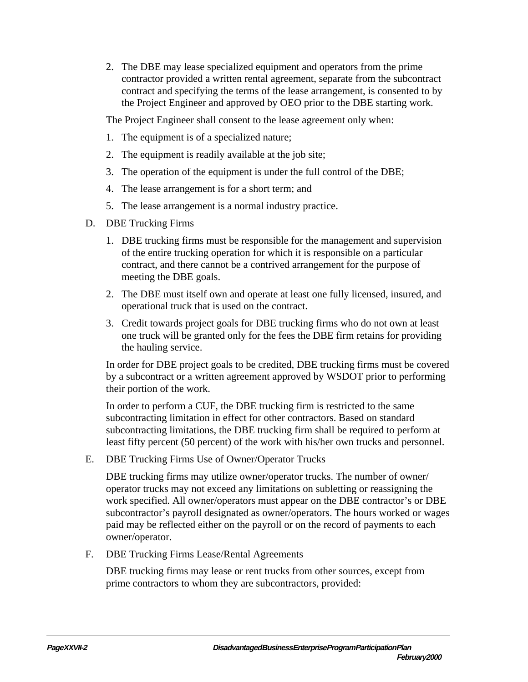2. The DBE may lease specialized equipment and operators from the prime contractor provided a written rental agreement, separate from the subcontract contract and specifying the terms of the lease arrangement, is consented to by the Project Engineer and approved by OEO prior to the DBE starting work.

The Project Engineer shall consent to the lease agreement only when:

- 1. The equipment is of a specialized nature;
- 2. The equipment is readily available at the job site;
- 3. The operation of the equipment is under the full control of the DBE;
- 4. The lease arrangement is for a short term; and
- 5. The lease arrangement is a normal industry practice.
- D. DBE Trucking Firms
	- 1. DBE trucking firms must be responsible for the management and supervision of the entire trucking operation for which it is responsible on a particular contract, and there cannot be a contrived arrangement for the purpose of meeting the DBE goals.
	- 2. The DBE must itself own and operate at least one fully licensed, insured, and operational truck that is used on the contract.
	- 3. Credit towards project goals for DBE trucking firms who do not own at least one truck will be granted only for the fees the DBE firm retains for providing the hauling service.

In order for DBE project goals to be credited, DBE trucking firms must be covered by a subcontract or a written agreement approved by WSDOT prior to performing their portion of the work.

In order to perform a CUF, the DBE trucking firm is restricted to the same subcontracting limitation in effect for other contractors. Based on standard subcontracting limitations, the DBE trucking firm shall be required to perform at least fifty percent (50 percent) of the work with his/her own trucks and personnel.

E. DBE Trucking Firms Use of Owner/Operator Trucks

DBE trucking firms may utilize owner/operator trucks. The number of owner/ operator trucks may not exceed any limitations on subletting or reassigning the work specified. All owner/operators must appear on the DBE contractor's or DBE subcontractor's payroll designated as owner/operators. The hours worked or wages paid may be reflected either on the payroll or on the record of payments to each owner/operator.

F. DBE Trucking Firms Lease/Rental Agreements

DBE trucking firms may lease or rent trucks from other sources, except from prime contractors to whom they are subcontractors, provided: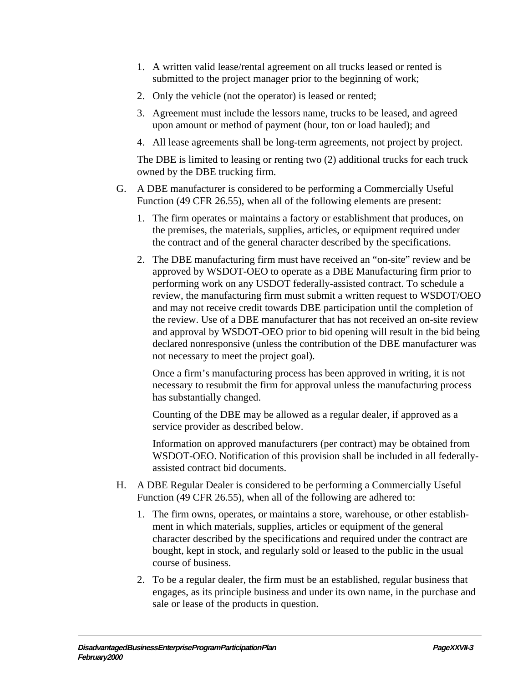- 1. A written valid lease/rental agreement on all trucks leased or rented is submitted to the project manager prior to the beginning of work;
- 2. Only the vehicle (not the operator) is leased or rented;
- 3. Agreement must include the lessors name, trucks to be leased, and agreed upon amount or method of payment (hour, ton or load hauled); and
- 4. All lease agreements shall be long-term agreements, not project by project.

The DBE is limited to leasing or renting two (2) additional trucks for each truck owned by the DBE trucking firm.

- G. A DBE manufacturer is considered to be performing a Commercially Useful Function (49 CFR 26.55), when all of the following elements are present:
	- 1. The firm operates or maintains a factory or establishment that produces, on the premises, the materials, supplies, articles, or equipment required under the contract and of the general character described by the specifications.
	- 2. The DBE manufacturing firm must have received an "on-site" review and be approved by WSDOT-OEO to operate as a DBE Manufacturing firm prior to performing work on any USDOT federally-assisted contract. To schedule a review, the manufacturing firm must submit a written request to WSDOT/OEO and may not receive credit towards DBE participation until the completion of the review. Use of a DBE manufacturer that has not received an on-site review and approval by WSDOT-OEO prior to bid opening will result in the bid being declared nonresponsive (unless the contribution of the DBE manufacturer was not necessary to meet the project goal).

Once a firm's manufacturing process has been approved in writing, it is not necessary to resubmit the firm for approval unless the manufacturing process has substantially changed.

Counting of the DBE may be allowed as a regular dealer, if approved as a service provider as described below.

Information on approved manufacturers (per contract) may be obtained from WSDOT-OEO. Notification of this provision shall be included in all federallyassisted contract bid documents.

- H. A DBE Regular Dealer is considered to be performing a Commercially Useful Function (49 CFR 26.55), when all of the following are adhered to:
	- 1. The firm owns, operates, or maintains a store, warehouse, or other establishment in which materials, supplies, articles or equipment of the general character described by the specifications and required under the contract are bought, kept in stock, and regularly sold or leased to the public in the usual course of business.
	- 2. To be a regular dealer, the firm must be an established, regular business that engages, as its principle business and under its own name, in the purchase and sale or lease of the products in question.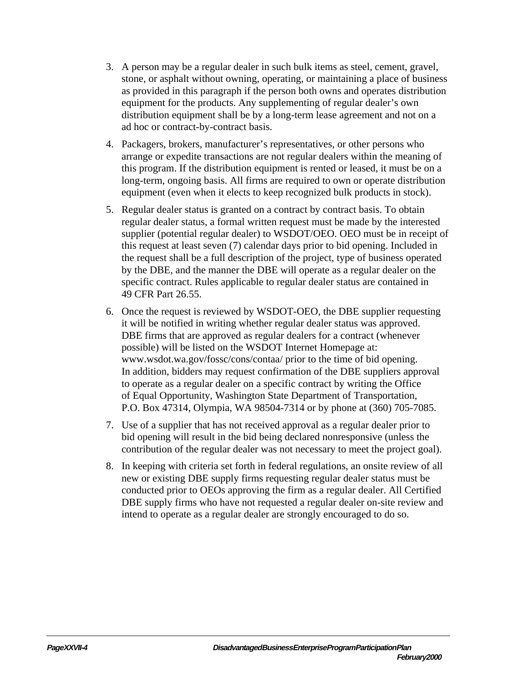- 3. A person may be a regular dealer in such bulk items as steel, cement, gravel, stone, or asphalt without owning, operating, or maintaining a place of business as provided in this paragraph if the person both owns and operates distribution equipment for the products. Any supplementing of regular dealer's own distribution equipment shall be by a long-term lease agreement and not on a ad hoc or contract-by-contract basis.
- 4. Packagers, brokers, manufacturer's representatives, or other persons who arrange or expedite transactions are not regular dealers within the meaning of this program. If the distribution equipment is rented or leased, it must be on a long-term, ongoing basis. All firms are required to own or operate distribution equipment (even when it elects to keep recognized bulk products in stock).
- 5. Regular dealer status is granted on a contract by contract basis. To obtain regular dealer status, a formal written request must be made by the interested supplier (potential regular dealer) to WSDOT/OEO. OEO must be in receipt of this request at least seven (7) calendar days prior to bid opening. Included in the request shall be a full description of the project, type of business operated by the DBE, and the manner the DBE will operate as a regular dealer on the specific contract. Rules applicable to regular dealer status are contained in 49 CFR Part 26.55.
- 6. Once the request is reviewed by WSDOT-OEO, the DBE supplier requesting it will be notified in writing whether regular dealer status was approved. DBE firms that are approved as regular dealers for a contract (whenever possible) will be listed on the WSDOT Internet Homepage at: www.wsdot.wa.gov/fossc/cons/contaa/ prior to the time of bid opening. In addition, bidders may request confirmation of the DBE suppliers approval to operate as a regular dealer on a specific contract by writing the Office of Equal Opportunity, Washington State Department of Transportation, P.O. Box 47314, Olympia, WA 98504-7314 or by phone at (360) 705-7085.
- 7. Use of a supplier that has not received approval as a regular dealer prior to bid opening will result in the bid being declared nonresponsive (unless the contribution of the regular dealer was not necessary to meet the project goal).
- 8. In keeping with criteria set forth in federal regulations, an onsite review of all new or existing DBE supply firms requesting regular dealer status must be conducted prior to OEOs approving the firm as a regular dealer. All Certified DBE supply firms who have not requested a regular dealer on-site review and intend to operate as a regular dealer are strongly encouraged to do so.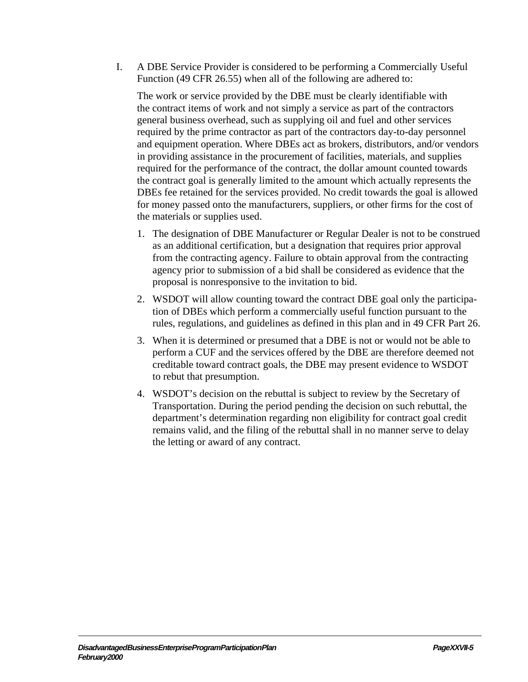I. A DBE Service Provider is considered to be performing a Commercially Useful Function (49 CFR 26.55) when all of the following are adhered to:

The work or service provided by the DBE must be clearly identifiable with the contract items of work and not simply a service as part of the contractors general business overhead, such as supplying oil and fuel and other services required by the prime contractor as part of the contractors day-to-day personnel and equipment operation. Where DBEs act as brokers, distributors, and/or vendors in providing assistance in the procurement of facilities, materials, and supplies required for the performance of the contract, the dollar amount counted towards the contract goal is generally limited to the amount which actually represents the DBEs fee retained for the services provided. No credit towards the goal is allowed for money passed onto the manufacturers, suppliers, or other firms for the cost of the materials or supplies used.

- 1. The designation of DBE Manufacturer or Regular Dealer is not to be construed as an additional certification, but a designation that requires prior approval from the contracting agency. Failure to obtain approval from the contracting agency prior to submission of a bid shall be considered as evidence that the proposal is nonresponsive to the invitation to bid.
- 2. WSDOT will allow counting toward the contract DBE goal only the participation of DBEs which perform a commercially useful function pursuant to the rules, regulations, and guidelines as defined in this plan and in 49 CFR Part 26.
- 3. When it is determined or presumed that a DBE is not or would not be able to perform a CUF and the services offered by the DBE are therefore deemed not creditable toward contract goals, the DBE may present evidence to WSDOT to rebut that presumption.
- 4. WSDOT's decision on the rebuttal is subject to review by the Secretary of Transportation. During the period pending the decision on such rebuttal, the department's determination regarding non eligibility for contract goal credit remains valid, and the filing of the rebuttal shall in no manner serve to delay the letting or award of any contract.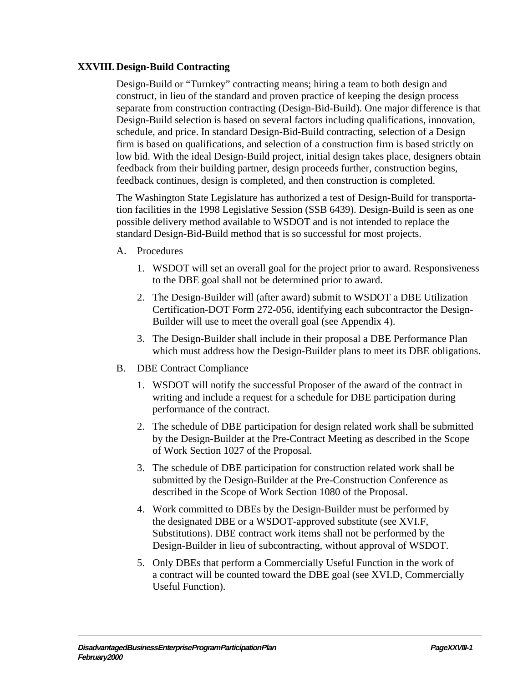## **XXVIII. Design-Build Contracting**

Design-Build or "Turnkey" contracting means; hiring a team to both design and construct, in lieu of the standard and proven practice of keeping the design process separate from construction contracting (Design-Bid-Build). One major difference is that Design-Build selection is based on several factors including qualifications, innovation, schedule, and price. In standard Design-Bid-Build contracting, selection of a Design firm is based on qualifications, and selection of a construction firm is based strictly on low bid. With the ideal Design-Build project, initial design takes place, designers obtain feedback from their building partner, design proceeds further, construction begins, feedback continues, design is completed, and then construction is completed.

The Washington State Legislature has authorized a test of Design-Build for transportation facilities in the 1998 Legislative Session (SSB 6439). Design-Build is seen as one possible delivery method available to WSDOT and is not intended to replace the standard Design-Bid-Build method that is so successful for most projects.

- A. Procedures
	- 1. WSDOT will set an overall goal for the project prior to award. Responsiveness to the DBE goal shall not be determined prior to award.
	- 2. The Design-Builder will (after award) submit to WSDOT a DBE Utilization Certification-DOT Form 272-056, identifying each subcontractor the Design-Builder will use to meet the overall goal (see Appendix 4).
	- 3. The Design-Builder shall include in their proposal a DBE Performance Plan which must address how the Design-Builder plans to meet its DBE obligations.
- B. DBE Contract Compliance
	- 1. WSDOT will notify the successful Proposer of the award of the contract in writing and include a request for a schedule for DBE participation during performance of the contract.
	- 2. The schedule of DBE participation for design related work shall be submitted by the Design-Builder at the Pre-Contract Meeting as described in the Scope of Work Section 1027 of the Proposal.
	- 3. The schedule of DBE participation for construction related work shall be submitted by the Design-Builder at the Pre-Construction Conference as described in the Scope of Work Section 1080 of the Proposal.
	- 4. Work committed to DBEs by the Design-Builder must be performed by the designated DBE or a WSDOT-approved substitute (see XVI.F, Substitutions). DBE contract work items shall not be performed by the Design-Builder in lieu of subcontracting, without approval of WSDOT.
	- 5. Only DBEs that perform a Commercially Useful Function in the work of a contract will be counted toward the DBE goal (see XVI.D, Commercially Useful Function).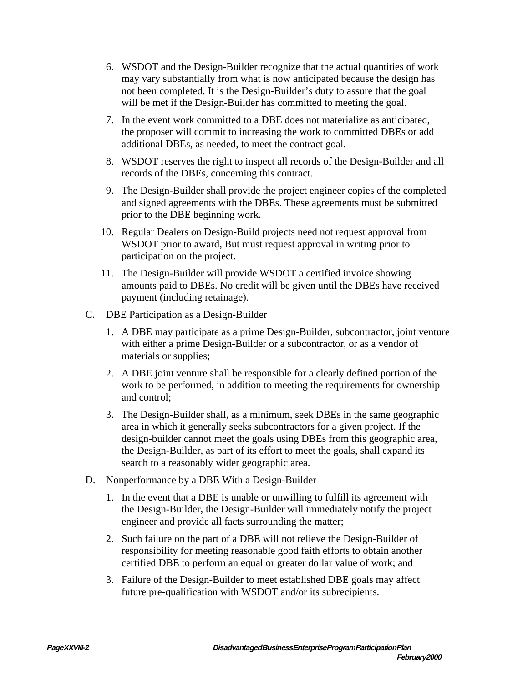- 6. WSDOT and the Design-Builder recognize that the actual quantities of work may vary substantially from what is now anticipated because the design has not been completed. It is the Design-Builder's duty to assure that the goal will be met if the Design-Builder has committed to meeting the goal.
- 7. In the event work committed to a DBE does not materialize as anticipated, the proposer will commit to increasing the work to committed DBEs or add additional DBEs, as needed, to meet the contract goal.
- 8. WSDOT reserves the right to inspect all records of the Design-Builder and all records of the DBEs, concerning this contract.
- 9. The Design-Builder shall provide the project engineer copies of the completed and signed agreements with the DBEs. These agreements must be submitted prior to the DBE beginning work.
- 10. Regular Dealers on Design-Build projects need not request approval from WSDOT prior to award, But must request approval in writing prior to participation on the project.
- 11. The Design-Builder will provide WSDOT a certified invoice showing amounts paid to DBEs. No credit will be given until the DBEs have received payment (including retainage).
- C. DBE Participation as a Design-Builder
	- 1. A DBE may participate as a prime Design-Builder, subcontractor, joint venture with either a prime Design-Builder or a subcontractor, or as a vendor of materials or supplies;
	- 2. A DBE joint venture shall be responsible for a clearly defined portion of the work to be performed, in addition to meeting the requirements for ownership and control;
	- 3. The Design-Builder shall, as a minimum, seek DBEs in the same geographic area in which it generally seeks subcontractors for a given project. If the design-builder cannot meet the goals using DBEs from this geographic area, the Design-Builder, as part of its effort to meet the goals, shall expand its search to a reasonably wider geographic area.
- D. Nonperformance by a DBE With a Design-Builder
	- 1. In the event that a DBE is unable or unwilling to fulfill its agreement with the Design-Builder, the Design-Builder will immediately notify the project engineer and provide all facts surrounding the matter;
	- 2. Such failure on the part of a DBE will not relieve the Design-Builder of responsibility for meeting reasonable good faith efforts to obtain another certified DBE to perform an equal or greater dollar value of work; and
	- 3. Failure of the Design-Builder to meet established DBE goals may affect future pre-qualification with WSDOT and/or its subrecipients.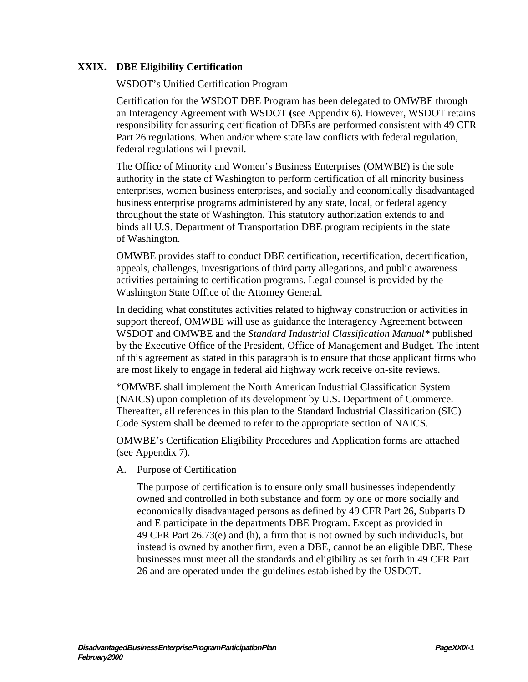## **XXIX. DBE Eligibility Certification**

WSDOT's Unified Certification Program

Certification for the WSDOT DBE Program has been delegated to OMWBE through an Interagency Agreement with WSDOT **(**see Appendix 6). However, WSDOT retains responsibility for assuring certification of DBEs are performed consistent with 49 CFR Part 26 regulations. When and/or where state law conflicts with federal regulation, federal regulations will prevail.

The Office of Minority and Women's Business Enterprises (OMWBE) is the sole authority in the state of Washington to perform certification of all minority business enterprises, women business enterprises, and socially and economically disadvantaged business enterprise programs administered by any state, local, or federal agency throughout the state of Washington. This statutory authorization extends to and binds all U.S. Department of Transportation DBE program recipients in the state of Washington.

OMWBE provides staff to conduct DBE certification, recertification, decertification, appeals, challenges, investigations of third party allegations, and public awareness activities pertaining to certification programs. Legal counsel is provided by the Washington State Office of the Attorney General.

In deciding what constitutes activities related to highway construction or activities in support thereof, OMWBE will use as guidance the Interagency Agreement between WSDOT and OMWBE and the *Standard Industrial Classification Manual\** published by the Executive Office of the President, Office of Management and Budget. The intent of this agreement as stated in this paragraph is to ensure that those applicant firms who are most likely to engage in federal aid highway work receive on-site reviews.

\*OMWBE shall implement the North American Industrial Classification System (NAICS) upon completion of its development by U.S. Department of Commerce. Thereafter, all references in this plan to the Standard Industrial Classification (SIC) Code System shall be deemed to refer to the appropriate section of NAICS.

OMWBE's Certification Eligibility Procedures and Application forms are attached (see Appendix 7).

A. Purpose of Certification

The purpose of certification is to ensure only small businesses independently owned and controlled in both substance and form by one or more socially and economically disadvantaged persons as defined by 49 CFR Part 26, Subparts D and E participate in the departments DBE Program. Except as provided in 49 CFR Part 26.73(e) and (h), a firm that is not owned by such individuals, but instead is owned by another firm, even a DBE, cannot be an eligible DBE. These businesses must meet all the standards and eligibility as set forth in 49 CFR Part 26 and are operated under the guidelines established by the USDOT.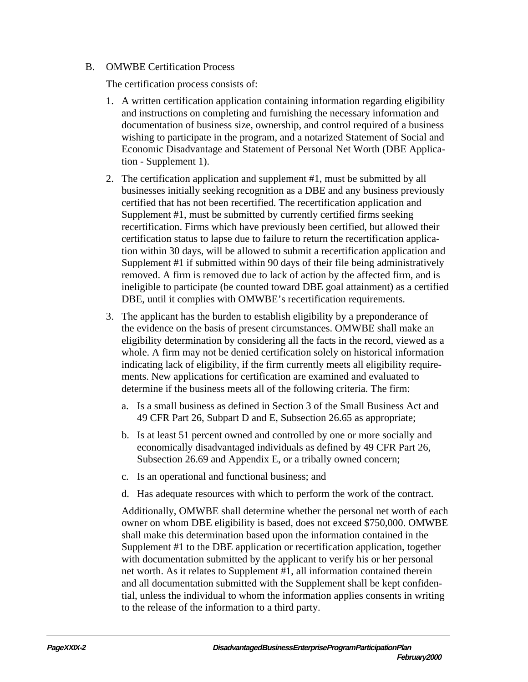#### B. OMWBE Certification Process

The certification process consists of:

- 1. A written certification application containing information regarding eligibility and instructions on completing and furnishing the necessary information and documentation of business size, ownership, and control required of a business wishing to participate in the program, and a notarized Statement of Social and Economic Disadvantage and Statement of Personal Net Worth (DBE Application - Supplement 1).
- 2. The certification application and supplement #1, must be submitted by all businesses initially seeking recognition as a DBE and any business previously certified that has not been recertified. The recertification application and Supplement #1, must be submitted by currently certified firms seeking recertification. Firms which have previously been certified, but allowed their certification status to lapse due to failure to return the recertification application within 30 days, will be allowed to submit a recertification application and Supplement #1 if submitted within 90 days of their file being administratively removed. A firm is removed due to lack of action by the affected firm, and is ineligible to participate (be counted toward DBE goal attainment) as a certified DBE, until it complies with OMWBE's recertification requirements.
- 3. The applicant has the burden to establish eligibility by a preponderance of the evidence on the basis of present circumstances. OMWBE shall make an eligibility determination by considering all the facts in the record, viewed as a whole. A firm may not be denied certification solely on historical information indicating lack of eligibility, if the firm currently meets all eligibility requirements. New applications for certification are examined and evaluated to determine if the business meets all of the following criteria. The firm:
	- a. Is a small business as defined in Section 3 of the Small Business Act and 49 CFR Part 26, Subpart D and E, Subsection 26.65 as appropriate;
	- b. Is at least 51 percent owned and controlled by one or more socially and economically disadvantaged individuals as defined by 49 CFR Part 26, Subsection 26.69 and Appendix E, or a tribally owned concern;
	- c. Is an operational and functional business; and
	- d. Has adequate resources with which to perform the work of the contract.

Additionally, OMWBE shall determine whether the personal net worth of each owner on whom DBE eligibility is based, does not exceed \$750,000. OMWBE shall make this determination based upon the information contained in the Supplement #1 to the DBE application or recertification application, together with documentation submitted by the applicant to verify his or her personal net worth. As it relates to Supplement #1, all information contained therein and all documentation submitted with the Supplement shall be kept confidential, unless the individual to whom the information applies consents in writing to the release of the information to a third party.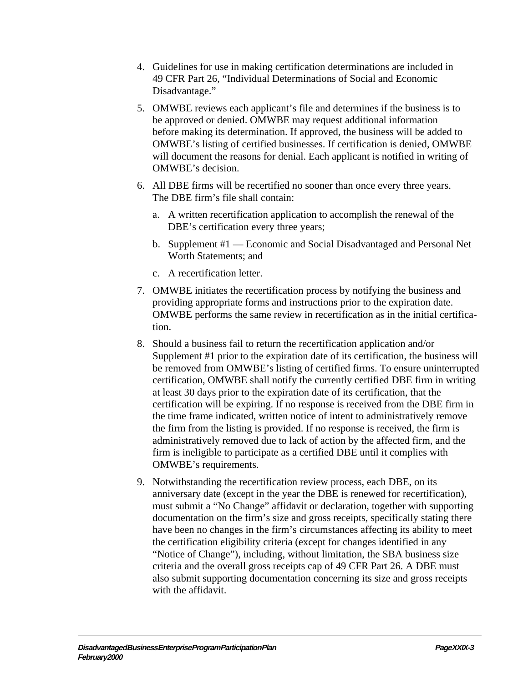- 4. Guidelines for use in making certification determinations are included in 49 CFR Part 26, "Individual Determinations of Social and Economic Disadvantage."
- 5. OMWBE reviews each applicant's file and determines if the business is to be approved or denied. OMWBE may request additional information before making its determination. If approved, the business will be added to OMWBE's listing of certified businesses. If certification is denied, OMWBE will document the reasons for denial. Each applicant is notified in writing of OMWBE's decision.
- 6. All DBE firms will be recertified no sooner than once every three years. The DBE firm's file shall contain:
	- a. A written recertification application to accomplish the renewal of the DBE's certification every three years;
	- b. Supplement #1 Economic and Social Disadvantaged and Personal Net Worth Statements; and
	- c. A recertification letter.
- 7. OMWBE initiates the recertification process by notifying the business and providing appropriate forms and instructions prior to the expiration date. OMWBE performs the same review in recertification as in the initial certification.
- 8. Should a business fail to return the recertification application and/or Supplement #1 prior to the expiration date of its certification, the business will be removed from OMWBE's listing of certified firms. To ensure uninterrupted certification, OMWBE shall notify the currently certified DBE firm in writing at least 30 days prior to the expiration date of its certification, that the certification will be expiring. If no response is received from the DBE firm in the time frame indicated, written notice of intent to administratively remove the firm from the listing is provided. If no response is received, the firm is administratively removed due to lack of action by the affected firm, and the firm is ineligible to participate as a certified DBE until it complies with OMWBE's requirements.
- 9. Notwithstanding the recertification review process, each DBE, on its anniversary date (except in the year the DBE is renewed for recertification), must submit a "No Change" affidavit or declaration, together with supporting documentation on the firm's size and gross receipts, specifically stating there have been no changes in the firm's circumstances affecting its ability to meet the certification eligibility criteria (except for changes identified in any "Notice of Change"), including, without limitation, the SBA business size criteria and the overall gross receipts cap of 49 CFR Part 26. A DBE must also submit supporting documentation concerning its size and gross receipts with the affidavit.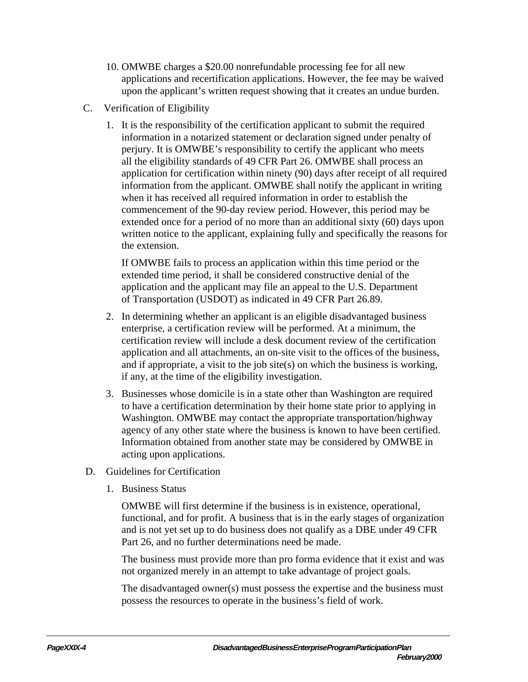- 10. OMWBE charges a \$20.00 nonrefundable processing fee for all new applications and recertification applications. However, the fee may be waived upon the applicant's written request showing that it creates an undue burden.
- C. Verification of Eligibility
	- 1. It is the responsibility of the certification applicant to submit the required information in a notarized statement or declaration signed under penalty of perjury. It is OMWBE's responsibility to certify the applicant who meets all the eligibility standards of 49 CFR Part 26. OMWBE shall process an application for certification within ninety (90) days after receipt of all required information from the applicant. OMWBE shall notify the applicant in writing when it has received all required information in order to establish the commencement of the 90-day review period. However, this period may be extended once for a period of no more than an additional sixty (60) days upon written notice to the applicant, explaining fully and specifically the reasons for the extension.

If OMWBE fails to process an application within this time period or the extended time period, it shall be considered constructive denial of the application and the applicant may file an appeal to the U.S. Department of Transportation (USDOT) as indicated in 49 CFR Part 26.89.

- 2. In determining whether an applicant is an eligible disadvantaged business enterprise, a certification review will be performed. At a minimum, the certification review will include a desk document review of the certification application and all attachments, an on-site visit to the offices of the business, and if appropriate, a visit to the job site(s) on which the business is working, if any, at the time of the eligibility investigation.
- 3. Businesses whose domicile is in a state other than Washington are required to have a certification determination by their home state prior to applying in Washington. OMWBE may contact the appropriate transportation/highway agency of any other state where the business is known to have been certified. Information obtained from another state may be considered by OMWBE in acting upon applications.
- D. Guidelines for Certification
	- 1. Business Status

OMWBE will first determine if the business is in existence, operational, functional, and for profit. A business that is in the early stages of organization and is not yet set up to do business does not qualify as a DBE under 49 CFR Part 26, and no further determinations need be made.

The business must provide more than pro forma evidence that it exist and was not organized merely in an attempt to take advantage of project goals.

The disadvantaged owner(s) must possess the expertise and the business must possess the resources to operate in the business's field of work.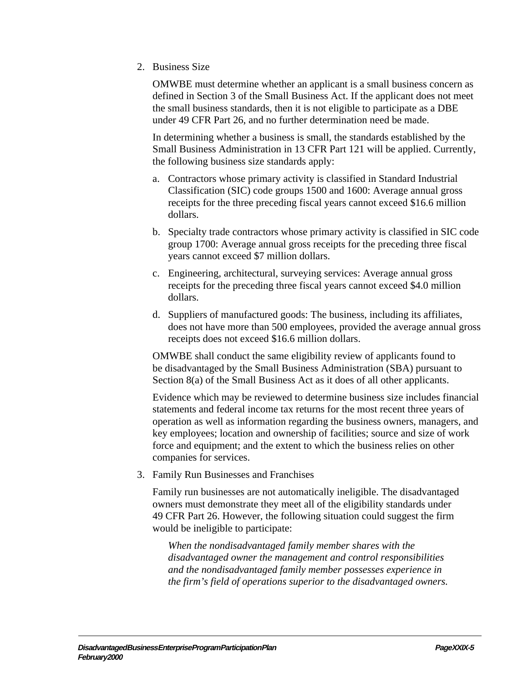2. Business Size

OMWBE must determine whether an applicant is a small business concern as defined in Section 3 of the Small Business Act. If the applicant does not meet the small business standards, then it is not eligible to participate as a DBE under 49 CFR Part 26, and no further determination need be made.

In determining whether a business is small, the standards established by the Small Business Administration in 13 CFR Part 121 will be applied. Currently, the following business size standards apply:

- a. Contractors whose primary activity is classified in Standard Industrial Classification (SIC) code groups 1500 and 1600: Average annual gross receipts for the three preceding fiscal years cannot exceed \$16.6 million dollars.
- b. Specialty trade contractors whose primary activity is classified in SIC code group 1700: Average annual gross receipts for the preceding three fiscal years cannot exceed \$7 million dollars.
- c. Engineering, architectural, surveying services: Average annual gross receipts for the preceding three fiscal years cannot exceed \$4.0 million dollars.
- d. Suppliers of manufactured goods: The business, including its affiliates, does not have more than 500 employees, provided the average annual gross receipts does not exceed \$16.6 million dollars.

OMWBE shall conduct the same eligibility review of applicants found to be disadvantaged by the Small Business Administration (SBA) pursuant to Section 8(a) of the Small Business Act as it does of all other applicants.

Evidence which may be reviewed to determine business size includes financial statements and federal income tax returns for the most recent three years of operation as well as information regarding the business owners, managers, and key employees; location and ownership of facilities; source and size of work force and equipment; and the extent to which the business relies on other companies for services.

3. Family Run Businesses and Franchises

Family run businesses are not automatically ineligible. The disadvantaged owners must demonstrate they meet all of the eligibility standards under 49 CFR Part 26. However, the following situation could suggest the firm would be ineligible to participate:

*When the nondisadvantaged family member shares with the disadvantaged owner the management and control responsibilities and the nondisadvantaged family member possesses experience in the firm's field of operations superior to the disadvantaged owners.*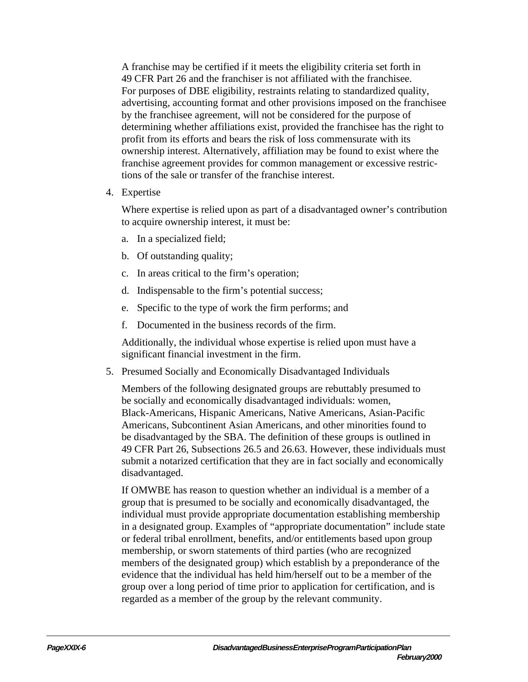A franchise may be certified if it meets the eligibility criteria set forth in 49 CFR Part 26 and the franchiser is not affiliated with the franchisee. For purposes of DBE eligibility, restraints relating to standardized quality, advertising, accounting format and other provisions imposed on the franchisee by the franchisee agreement, will not be considered for the purpose of determining whether affiliations exist, provided the franchisee has the right to profit from its efforts and bears the risk of loss commensurate with its ownership interest. Alternatively, affiliation may be found to exist where the franchise agreement provides for common management or excessive restrictions of the sale or transfer of the franchise interest.

4. Expertise

Where expertise is relied upon as part of a disadvantaged owner's contribution to acquire ownership interest, it must be:

- a. In a specialized field;
- b. Of outstanding quality;
- c. In areas critical to the firm's operation;
- d. Indispensable to the firm's potential success;
- e. Specific to the type of work the firm performs; and
- f. Documented in the business records of the firm.

Additionally, the individual whose expertise is relied upon must have a significant financial investment in the firm.

5. Presumed Socially and Economically Disadvantaged Individuals

Members of the following designated groups are rebuttably presumed to be socially and economically disadvantaged individuals: women, Black-Americans, Hispanic Americans, Native Americans, Asian-Pacific Americans, Subcontinent Asian Americans, and other minorities found to be disadvantaged by the SBA. The definition of these groups is outlined in 49 CFR Part 26, Subsections 26.5 and 26.63. However, these individuals must submit a notarized certification that they are in fact socially and economically disadvantaged.

If OMWBE has reason to question whether an individual is a member of a group that is presumed to be socially and economically disadvantaged, the individual must provide appropriate documentation establishing membership in a designated group. Examples of "appropriate documentation" include state or federal tribal enrollment, benefits, and/or entitlements based upon group membership, or sworn statements of third parties (who are recognized members of the designated group) which establish by a preponderance of the evidence that the individual has held him/herself out to be a member of the group over a long period of time prior to application for certification, and is regarded as a member of the group by the relevant community.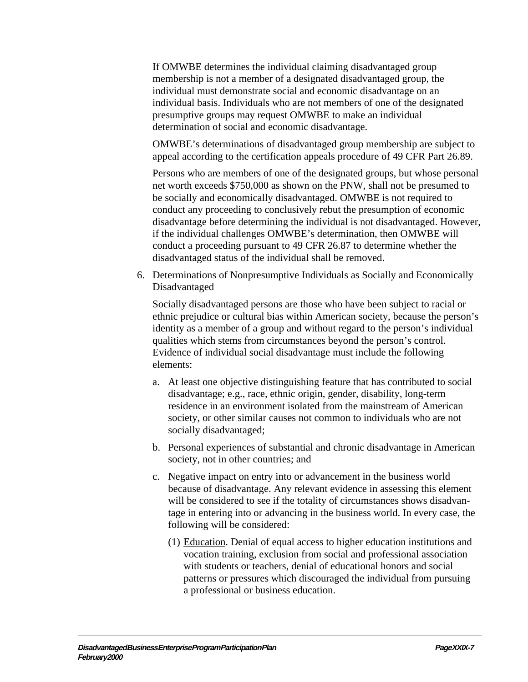If OMWBE determines the individual claiming disadvantaged group membership is not a member of a designated disadvantaged group, the individual must demonstrate social and economic disadvantage on an individual basis. Individuals who are not members of one of the designated presumptive groups may request OMWBE to make an individual determination of social and economic disadvantage.

OMWBE's determinations of disadvantaged group membership are subject to appeal according to the certification appeals procedure of 49 CFR Part 26.89.

Persons who are members of one of the designated groups, but whose personal net worth exceeds \$750,000 as shown on the PNW, shall not be presumed to be socially and economically disadvantaged. OMWBE is not required to conduct any proceeding to conclusively rebut the presumption of economic disadvantage before determining the individual is not disadvantaged. However, if the individual challenges OMWBE's determination, then OMWBE will conduct a proceeding pursuant to 49 CFR 26.87 to determine whether the disadvantaged status of the individual shall be removed.

6. Determinations of Nonpresumptive Individuals as Socially and Economically Disadvantaged

Socially disadvantaged persons are those who have been subject to racial or ethnic prejudice or cultural bias within American society, because the person's identity as a member of a group and without regard to the person's individual qualities which stems from circumstances beyond the person's control. Evidence of individual social disadvantage must include the following elements:

- a. At least one objective distinguishing feature that has contributed to social disadvantage; e.g., race, ethnic origin, gender, disability, long-term residence in an environment isolated from the mainstream of American society, or other similar causes not common to individuals who are not socially disadvantaged;
- b. Personal experiences of substantial and chronic disadvantage in American society, not in other countries; and
- c. Negative impact on entry into or advancement in the business world because of disadvantage. Any relevant evidence in assessing this element will be considered to see if the totality of circumstances shows disadvantage in entering into or advancing in the business world. In every case, the following will be considered:
	- (1) Education. Denial of equal access to higher education institutions and vocation training, exclusion from social and professional association with students or teachers, denial of educational honors and social patterns or pressures which discouraged the individual from pursuing a professional or business education.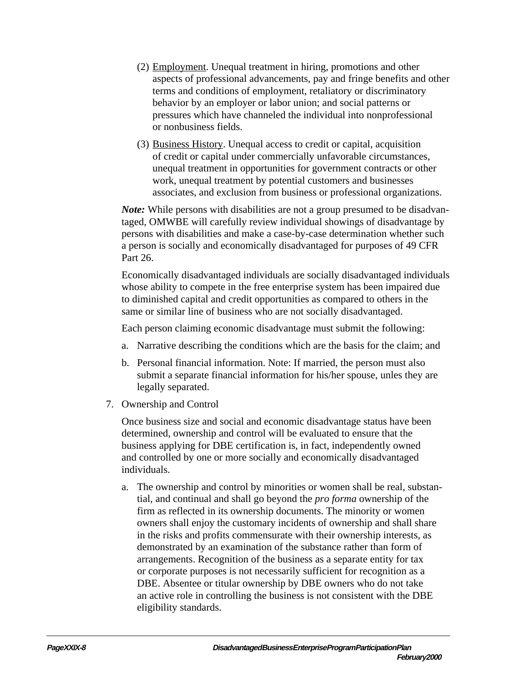- (2) Employment. Unequal treatment in hiring, promotions and other aspects of professional advancements, pay and fringe benefits and other terms and conditions of employment, retaliatory or discriminatory behavior by an employer or labor union; and social patterns or pressures which have channeled the individual into nonprofessional or nonbusiness fields.
- (3) Business History. Unequal access to credit or capital, acquisition of credit or capital under commercially unfavorable circumstances, unequal treatment in opportunities for government contracts or other work, unequal treatment by potential customers and businesses associates, and exclusion from business or professional organizations.

*Note:* While persons with disabilities are not a group presumed to be disadvantaged, OMWBE will carefully review individual showings of disadvantage by persons with disabilities and make a case-by-case determination whether such a person is socially and economically disadvantaged for purposes of 49 CFR Part 26.

Economically disadvantaged individuals are socially disadvantaged individuals whose ability to compete in the free enterprise system has been impaired due to diminished capital and credit opportunities as compared to others in the same or similar line of business who are not socially disadvantaged.

Each person claiming economic disadvantage must submit the following:

- a. Narrative describing the conditions which are the basis for the claim; and
- b. Personal financial information. Note: If married, the person must also submit a separate financial information for his/her spouse, unles they are legally separated.
- 7. Ownership and Control

Once business size and social and economic disadvantage status have been determined, ownership and control will be evaluated to ensure that the business applying for DBE certification is, in fact, independently owned and controlled by one or more socially and economically disadvantaged individuals.

a. The ownership and control by minorities or women shall be real, substantial, and continual and shall go beyond the *pro forma* ownership of the firm as reflected in its ownership documents. The minority or women owners shall enjoy the customary incidents of ownership and shall share in the risks and profits commensurate with their ownership interests, as demonstrated by an examination of the substance rather than form of arrangements. Recognition of the business as a separate entity for tax or corporate purposes is not necessarily sufficient for recognition as a DBE. Absentee or titular ownership by DBE owners who do not take an active role in controlling the business is not consistent with the DBE eligibility standards.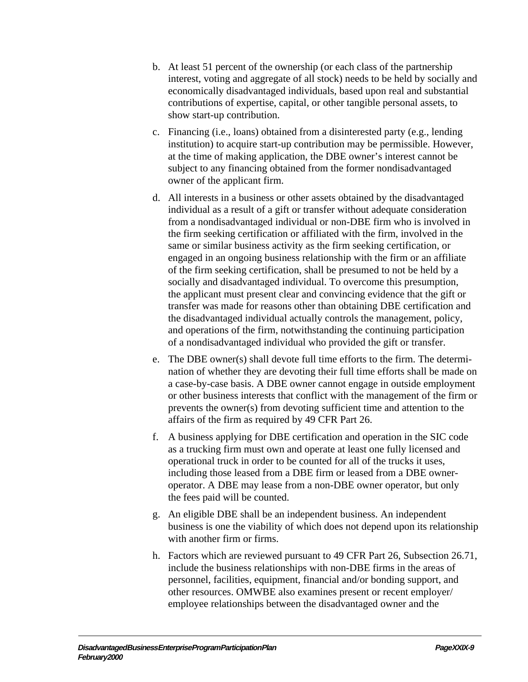- b. At least 51 percent of the ownership (or each class of the partnership interest, voting and aggregate of all stock) needs to be held by socially and economically disadvantaged individuals, based upon real and substantial contributions of expertise, capital, or other tangible personal assets, to show start-up contribution.
- c. Financing (i.e., loans) obtained from a disinterested party (e.g., lending institution) to acquire start-up contribution may be permissible. However, at the time of making application, the DBE owner's interest cannot be subject to any financing obtained from the former nondisadvantaged owner of the applicant firm.
- d. All interests in a business or other assets obtained by the disadvantaged individual as a result of a gift or transfer without adequate consideration from a nondisadvantaged individual or non-DBE firm who is involved in the firm seeking certification or affiliated with the firm, involved in the same or similar business activity as the firm seeking certification, or engaged in an ongoing business relationship with the firm or an affiliate of the firm seeking certification, shall be presumed to not be held by a socially and disadvantaged individual. To overcome this presumption, the applicant must present clear and convincing evidence that the gift or transfer was made for reasons other than obtaining DBE certification and the disadvantaged individual actually controls the management, policy, and operations of the firm, notwithstanding the continuing participation of a nondisadvantaged individual who provided the gift or transfer.
- e. The DBE owner(s) shall devote full time efforts to the firm. The determination of whether they are devoting their full time efforts shall be made on a case-by-case basis. A DBE owner cannot engage in outside employment or other business interests that conflict with the management of the firm or prevents the owner(s) from devoting sufficient time and attention to the affairs of the firm as required by 49 CFR Part 26.
- f. A business applying for DBE certification and operation in the SIC code as a trucking firm must own and operate at least one fully licensed and operational truck in order to be counted for all of the trucks it uses, including those leased from a DBE firm or leased from a DBE owneroperator. A DBE may lease from a non-DBE owner operator, but only the fees paid will be counted.
- g. An eligible DBE shall be an independent business. An independent business is one the viability of which does not depend upon its relationship with another firm or firms.
- h. Factors which are reviewed pursuant to 49 CFR Part 26, Subsection 26.71, include the business relationships with non-DBE firms in the areas of personnel, facilities, equipment, financial and/or bonding support, and other resources. OMWBE also examines present or recent employer/ employee relationships between the disadvantaged owner and the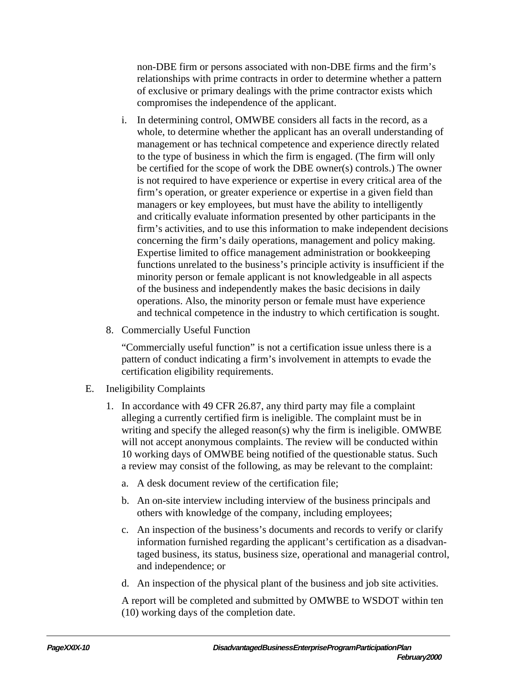non-DBE firm or persons associated with non-DBE firms and the firm's relationships with prime contracts in order to determine whether a pattern of exclusive or primary dealings with the prime contractor exists which compromises the independence of the applicant.

- i. In determining control, OMWBE considers all facts in the record, as a whole, to determine whether the applicant has an overall understanding of management or has technical competence and experience directly related to the type of business in which the firm is engaged. (The firm will only be certified for the scope of work the DBE owner(s) controls.) The owner is not required to have experience or expertise in every critical area of the firm's operation, or greater experience or expertise in a given field than managers or key employees, but must have the ability to intelligently and critically evaluate information presented by other participants in the firm's activities, and to use this information to make independent decisions concerning the firm's daily operations, management and policy making. Expertise limited to office management administration or bookkeeping functions unrelated to the business's principle activity is insufficient if the minority person or female applicant is not knowledgeable in all aspects of the business and independently makes the basic decisions in daily operations. Also, the minority person or female must have experience and technical competence in the industry to which certification is sought.
- 8. Commercially Useful Function

"Commercially useful function" is not a certification issue unless there is a pattern of conduct indicating a firm's involvement in attempts to evade the certification eligibility requirements.

- E. Ineligibility Complaints
	- 1. In accordance with 49 CFR 26.87, any third party may file a complaint alleging a currently certified firm is ineligible. The complaint must be in writing and specify the alleged reason(s) why the firm is ineligible. OMWBE will not accept anonymous complaints. The review will be conducted within 10 working days of OMWBE being notified of the questionable status. Such a review may consist of the following, as may be relevant to the complaint:
		- a. A desk document review of the certification file;
		- b. An on-site interview including interview of the business principals and others with knowledge of the company, including employees;
		- c. An inspection of the business's documents and records to verify or clarify information furnished regarding the applicant's certification as a disadvantaged business, its status, business size, operational and managerial control, and independence; or
		- d. An inspection of the physical plant of the business and job site activities.

A report will be completed and submitted by OMWBE to WSDOT within ten (10) working days of the completion date.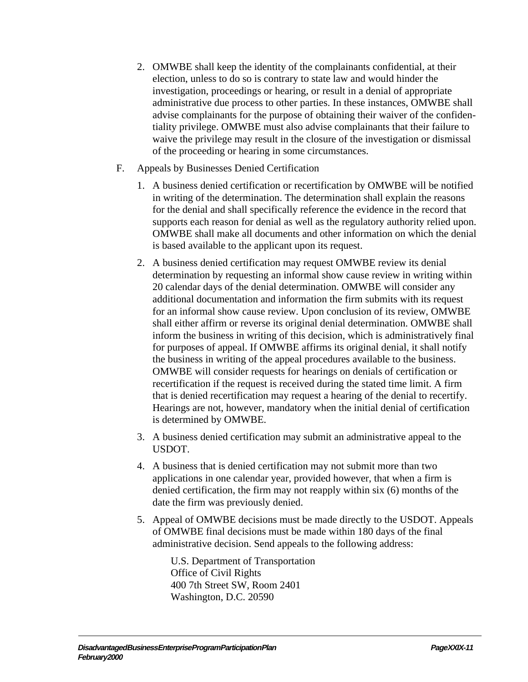- 2. OMWBE shall keep the identity of the complainants confidential, at their election, unless to do so is contrary to state law and would hinder the investigation, proceedings or hearing, or result in a denial of appropriate administrative due process to other parties. In these instances, OMWBE shall advise complainants for the purpose of obtaining their waiver of the confidentiality privilege. OMWBE must also advise complainants that their failure to waive the privilege may result in the closure of the investigation or dismissal of the proceeding or hearing in some circumstances.
- F. Appeals by Businesses Denied Certification
	- 1. A business denied certification or recertification by OMWBE will be notified in writing of the determination. The determination shall explain the reasons for the denial and shall specifically reference the evidence in the record that supports each reason for denial as well as the regulatory authority relied upon. OMWBE shall make all documents and other information on which the denial is based available to the applicant upon its request.
	- 2. A business denied certification may request OMWBE review its denial determination by requesting an informal show cause review in writing within 20 calendar days of the denial determination. OMWBE will consider any additional documentation and information the firm submits with its request for an informal show cause review. Upon conclusion of its review, OMWBE shall either affirm or reverse its original denial determination. OMWBE shall inform the business in writing of this decision, which is administratively final for purposes of appeal. If OMWBE affirms its original denial, it shall notify the business in writing of the appeal procedures available to the business. OMWBE will consider requests for hearings on denials of certification or recertification if the request is received during the stated time limit. A firm that is denied recertification may request a hearing of the denial to recertify. Hearings are not, however, mandatory when the initial denial of certification is determined by OMWBE.
	- 3. A business denied certification may submit an administrative appeal to the USDOT.
	- 4. A business that is denied certification may not submit more than two applications in one calendar year, provided however, that when a firm is denied certification, the firm may not reapply within six (6) months of the date the firm was previously denied.
	- 5. Appeal of OMWBE decisions must be made directly to the USDOT. Appeals of OMWBE final decisions must be made within 180 days of the final administrative decision. Send appeals to the following address:

U.S. Department of Transportation Office of Civil Rights 400 7th Street SW, Room 2401 Washington, D.C. 20590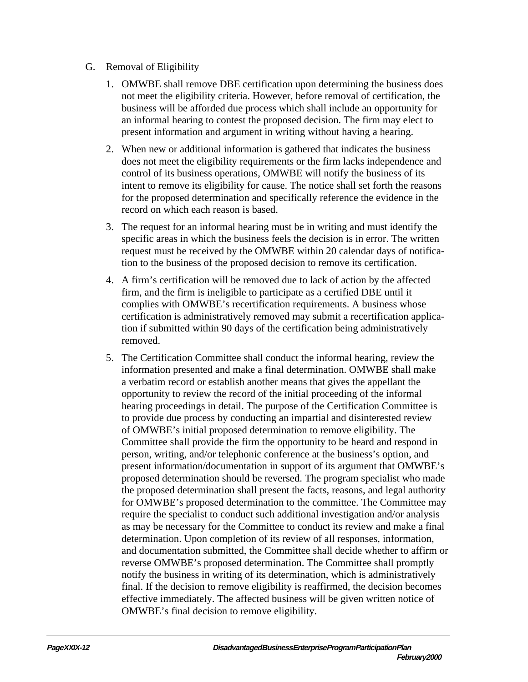## G. Removal of Eligibility

- 1. OMWBE shall remove DBE certification upon determining the business does not meet the eligibility criteria. However, before removal of certification, the business will be afforded due process which shall include an opportunity for an informal hearing to contest the proposed decision. The firm may elect to present information and argument in writing without having a hearing.
- 2. When new or additional information is gathered that indicates the business does not meet the eligibility requirements or the firm lacks independence and control of its business operations, OMWBE will notify the business of its intent to remove its eligibility for cause. The notice shall set forth the reasons for the proposed determination and specifically reference the evidence in the record on which each reason is based.
- 3. The request for an informal hearing must be in writing and must identify the specific areas in which the business feels the decision is in error. The written request must be received by the OMWBE within 20 calendar days of notification to the business of the proposed decision to remove its certification.
- 4. A firm's certification will be removed due to lack of action by the affected firm, and the firm is ineligible to participate as a certified DBE until it complies with OMWBE's recertification requirements. A business whose certification is administratively removed may submit a recertification application if submitted within 90 days of the certification being administratively removed.
- 5. The Certification Committee shall conduct the informal hearing, review the information presented and make a final determination. OMWBE shall make a verbatim record or establish another means that gives the appellant the opportunity to review the record of the initial proceeding of the informal hearing proceedings in detail. The purpose of the Certification Committee is to provide due process by conducting an impartial and disinterested review of OMWBE's initial proposed determination to remove eligibility. The Committee shall provide the firm the opportunity to be heard and respond in person, writing, and/or telephonic conference at the business's option, and present information/documentation in support of its argument that OMWBE's proposed determination should be reversed. The program specialist who made the proposed determination shall present the facts, reasons, and legal authority for OMWBE's proposed determination to the committee. The Committee may require the specialist to conduct such additional investigation and/or analysis as may be necessary for the Committee to conduct its review and make a final determination. Upon completion of its review of all responses, information, and documentation submitted, the Committee shall decide whether to affirm or reverse OMWBE's proposed determination. The Committee shall promptly notify the business in writing of its determination, which is administratively final. If the decision to remove eligibility is reaffirmed, the decision becomes effective immediately. The affected business will be given written notice of OMWBE's final decision to remove eligibility.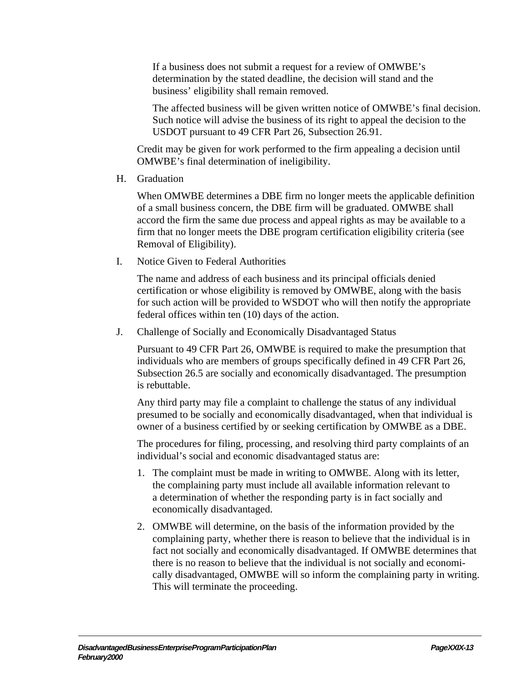If a business does not submit a request for a review of OMWBE's determination by the stated deadline, the decision will stand and the business' eligibility shall remain removed.

The affected business will be given written notice of OMWBE's final decision. Such notice will advise the business of its right to appeal the decision to the USDOT pursuant to 49 CFR Part 26, Subsection 26.91.

Credit may be given for work performed to the firm appealing a decision until OMWBE's final determination of ineligibility.

H. Graduation

When OMWBE determines a DBE firm no longer meets the applicable definition of a small business concern, the DBE firm will be graduated. OMWBE shall accord the firm the same due process and appeal rights as may be available to a firm that no longer meets the DBE program certification eligibility criteria (see Removal of Eligibility).

I. Notice Given to Federal Authorities

The name and address of each business and its principal officials denied certification or whose eligibility is removed by OMWBE, along with the basis for such action will be provided to WSDOT who will then notify the appropriate federal offices within ten (10) days of the action.

J. Challenge of Socially and Economically Disadvantaged Status

Pursuant to 49 CFR Part 26, OMWBE is required to make the presumption that individuals who are members of groups specifically defined in 49 CFR Part 26, Subsection 26.5 are socially and economically disadvantaged. The presumption is rebuttable.

Any third party may file a complaint to challenge the status of any individual presumed to be socially and economically disadvantaged, when that individual is owner of a business certified by or seeking certification by OMWBE as a DBE.

The procedures for filing, processing, and resolving third party complaints of an individual's social and economic disadvantaged status are:

- 1. The complaint must be made in writing to OMWBE. Along with its letter, the complaining party must include all available information relevant to a determination of whether the responding party is in fact socially and economically disadvantaged.
- 2. OMWBE will determine, on the basis of the information provided by the complaining party, whether there is reason to believe that the individual is in fact not socially and economically disadvantaged. If OMWBE determines that there is no reason to believe that the individual is not socially and economically disadvantaged, OMWBE will so inform the complaining party in writing. This will terminate the proceeding.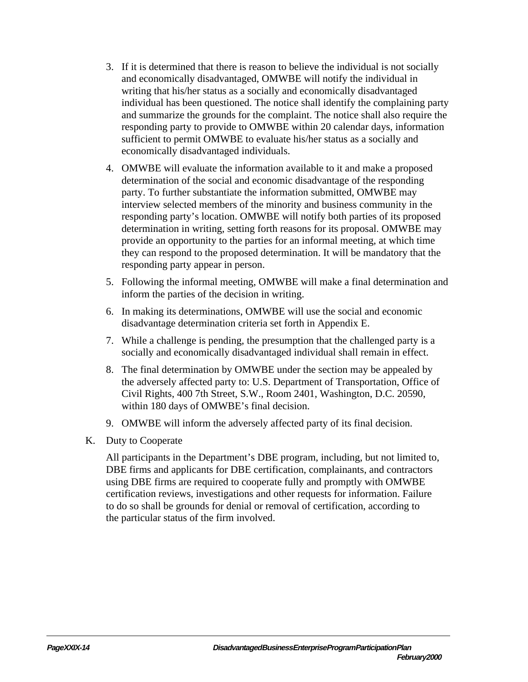- 3. If it is determined that there is reason to believe the individual is not socially and economically disadvantaged, OMWBE will notify the individual in writing that his/her status as a socially and economically disadvantaged individual has been questioned. The notice shall identify the complaining party and summarize the grounds for the complaint. The notice shall also require the responding party to provide to OMWBE within 20 calendar days, information sufficient to permit OMWBE to evaluate his/her status as a socially and economically disadvantaged individuals.
- 4. OMWBE will evaluate the information available to it and make a proposed determination of the social and economic disadvantage of the responding party. To further substantiate the information submitted, OMWBE may interview selected members of the minority and business community in the responding party's location. OMWBE will notify both parties of its proposed determination in writing, setting forth reasons for its proposal. OMWBE may provide an opportunity to the parties for an informal meeting, at which time they can respond to the proposed determination. It will be mandatory that the responding party appear in person.
- 5. Following the informal meeting, OMWBE will make a final determination and inform the parties of the decision in writing.
- 6. In making its determinations, OMWBE will use the social and economic disadvantage determination criteria set forth in Appendix E.
- 7. While a challenge is pending, the presumption that the challenged party is a socially and economically disadvantaged individual shall remain in effect.
- 8. The final determination by OMWBE under the section may be appealed by the adversely affected party to: U.S. Department of Transportation, Office of Civil Rights, 400 7th Street, S.W., Room 2401, Washington, D.C. 20590, within 180 days of OMWBE's final decision.
- 9. OMWBE will inform the adversely affected party of its final decision.
- K. Duty to Cooperate

All participants in the Department's DBE program, including, but not limited to, DBE firms and applicants for DBE certification, complainants, and contractors using DBE firms are required to cooperate fully and promptly with OMWBE certification reviews, investigations and other requests for information. Failure to do so shall be grounds for denial or removal of certification, according to the particular status of the firm involved.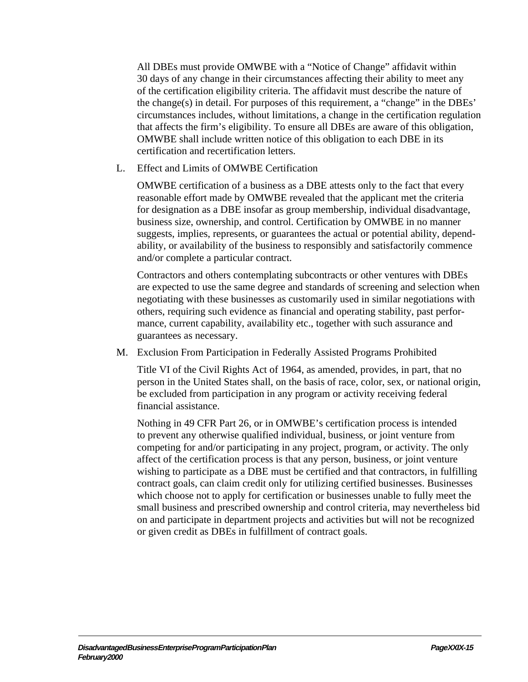All DBEs must provide OMWBE with a "Notice of Change" affidavit within 30 days of any change in their circumstances affecting their ability to meet any of the certification eligibility criteria. The affidavit must describe the nature of the change(s) in detail. For purposes of this requirement, a "change" in the DBEs' circumstances includes, without limitations, a change in the certification regulation that affects the firm's eligibility. To ensure all DBEs are aware of this obligation, OMWBE shall include written notice of this obligation to each DBE in its certification and recertification letters.

L. Effect and Limits of OMWBE Certification

OMWBE certification of a business as a DBE attests only to the fact that every reasonable effort made by OMWBE revealed that the applicant met the criteria for designation as a DBE insofar as group membership, individual disadvantage, business size, ownership, and control. Certification by OMWBE in no manner suggests, implies, represents, or guarantees the actual or potential ability, dependability, or availability of the business to responsibly and satisfactorily commence and/or complete a particular contract.

Contractors and others contemplating subcontracts or other ventures with DBEs are expected to use the same degree and standards of screening and selection when negotiating with these businesses as customarily used in similar negotiations with others, requiring such evidence as financial and operating stability, past performance, current capability, availability etc., together with such assurance and guarantees as necessary.

M. Exclusion From Participation in Federally Assisted Programs Prohibited

Title VI of the Civil Rights Act of 1964, as amended, provides, in part, that no person in the United States shall, on the basis of race, color, sex, or national origin, be excluded from participation in any program or activity receiving federal financial assistance.

Nothing in 49 CFR Part 26, or in OMWBE's certification process is intended to prevent any otherwise qualified individual, business, or joint venture from competing for and/or participating in any project, program, or activity. The only affect of the certification process is that any person, business, or joint venture wishing to participate as a DBE must be certified and that contractors, in fulfilling contract goals, can claim credit only for utilizing certified businesses. Businesses which choose not to apply for certification or businesses unable to fully meet the small business and prescribed ownership and control criteria, may nevertheless bid on and participate in department projects and activities but will not be recognized or given credit as DBEs in fulfillment of contract goals.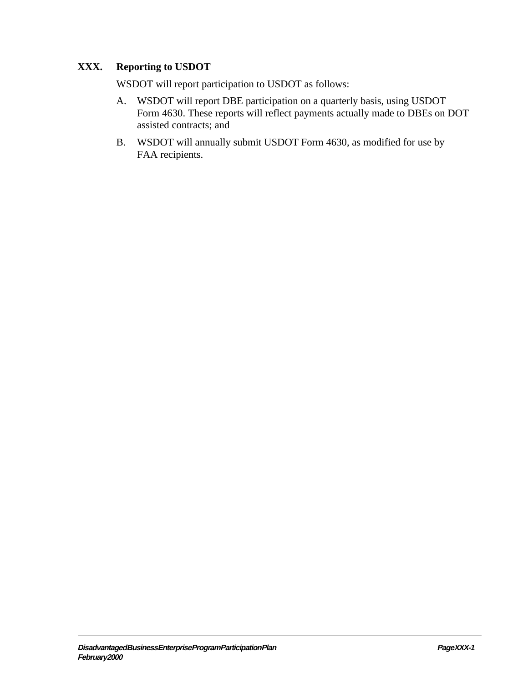# **XXX. Reporting to USDOT**

WSDOT will report participation to USDOT as follows:

- A. WSDOT will report DBE participation on a quarterly basis, using USDOT Form 4630. These reports will reflect payments actually made to DBEs on DOT assisted contracts; and
- B. WSDOT will annually submit USDOT Form 4630, as modified for use by FAA recipients.